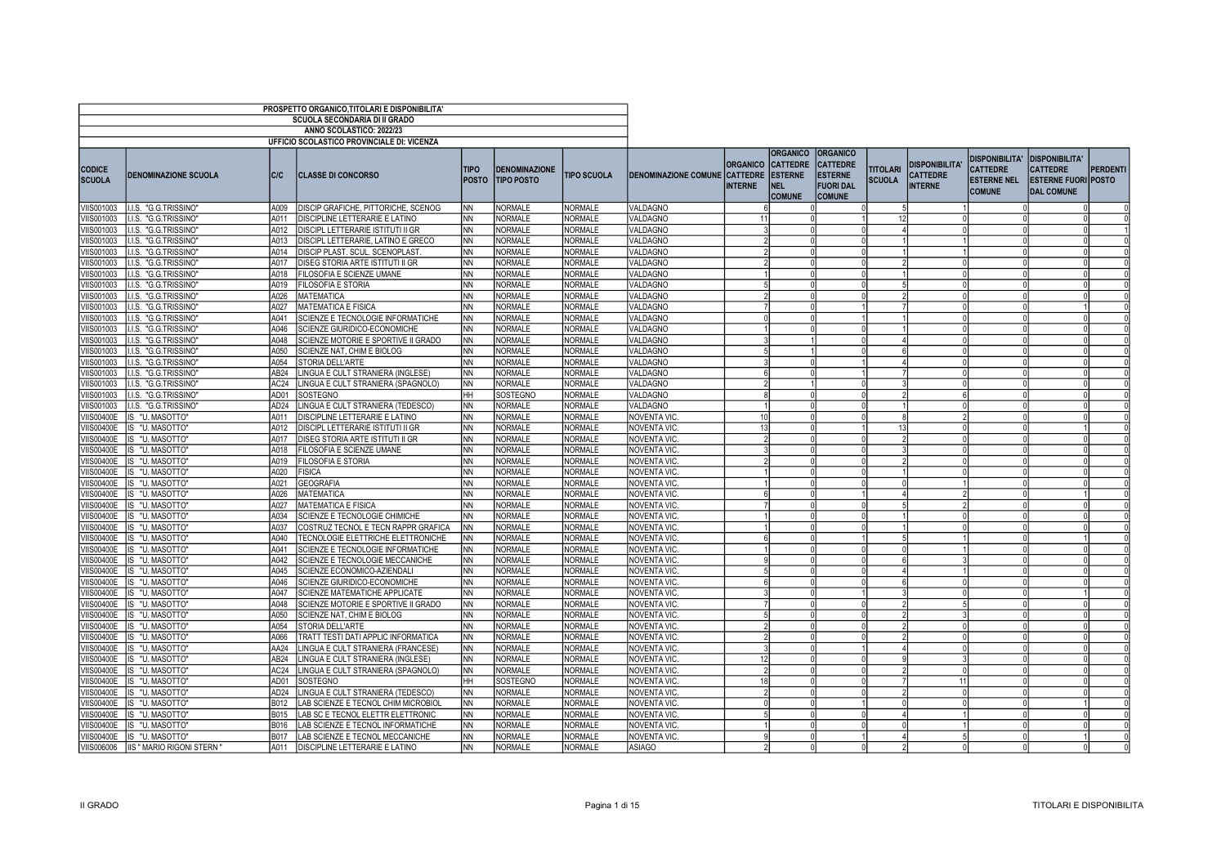|                                 |                                         |                  | PROSPETTO ORGANICO, TITOLARI E DISPONIBILITA'                        |                             |                                            |                           |                                      |                                   |                                                                                     |                                                                                           |                                  |                                                            |                                                                                 |                                                                                             |                 |
|---------------------------------|-----------------------------------------|------------------|----------------------------------------------------------------------|-----------------------------|--------------------------------------------|---------------------------|--------------------------------------|-----------------------------------|-------------------------------------------------------------------------------------|-------------------------------------------------------------------------------------------|----------------------------------|------------------------------------------------------------|---------------------------------------------------------------------------------|---------------------------------------------------------------------------------------------|-----------------|
|                                 |                                         |                  | <b>SCUOLA SECONDARIA DI II GRADO</b>                                 |                             |                                            |                           |                                      |                                   |                                                                                     |                                                                                           |                                  |                                                            |                                                                                 |                                                                                             |                 |
|                                 |                                         |                  | ANNO SCOLASTICO: 2022/23                                             |                             |                                            |                           |                                      |                                   |                                                                                     |                                                                                           |                                  |                                                            |                                                                                 |                                                                                             |                 |
|                                 |                                         |                  | UFFICIO SCOLASTICO PROVINCIALE DI: VICENZA                           |                             |                                            |                           |                                      |                                   |                                                                                     |                                                                                           |                                  |                                                            |                                                                                 |                                                                                             |                 |
| <b>CODICE</b><br><b>SCUOLA</b>  | <b>DENOMINAZIONE SCUOLA</b>             | C/C              | <b>CLASSE DI CONCORSO</b>                                            | <b>TIPO</b><br><b>POSTO</b> | <b>DENOMINAZIONE</b><br><b>ITIPO POSTO</b> | <b>TIPO SCUOLA</b>        | <b>DENOMINAZIONE COMUNE CATTEDRE</b> | <b>ORGANICO</b><br><b>INTERNE</b> | <b>ORGANICO</b><br><b>CATTEDRE</b><br><b>ESTERNE</b><br><b>NEL</b><br><b>COMUNE</b> | <b>ORGANICO</b><br><b>CATTEDRE</b><br><b>ESTERNE</b><br><b>FUORI DAL</b><br><b>COMUNE</b> | <b>TITOLARI</b><br><b>SCUOLA</b> | <b>DISPONIBILITA'</b><br><b>CATTEDRE</b><br><b>INTERNE</b> | <b>DISPONIBILITA'</b><br><b>CATTEDRE</b><br><b>ESTERNE NEL</b><br><b>COMUNE</b> | <b>DISPONIBILITA'</b><br><b>CATTEDRE</b><br><b>ESTERNE FUORI POSTO</b><br><b>DAL COMUNE</b> | <b>PERDENTI</b> |
| VIIS001003                      | I.I.S. "G.G.TRISSINO"                   | A009             | DISCIP GRAFICHE, PITTORICHE, SCENOG                                  | INN                         | <b>NORMALE</b>                             | <b>NORMALE</b>            | VALDAGNO                             |                                   |                                                                                     |                                                                                           |                                  |                                                            |                                                                                 |                                                                                             |                 |
| VIIS001003                      | I.I.S. "G.G.TRISSINO"                   | A011             | DISCIPLINE LETTERARIE E LATINO                                       | INN                         | NORMALE                                    | <b>NORMALE</b>            | VALDAGNO                             |                                   |                                                                                     |                                                                                           | 12                               |                                                            |                                                                                 |                                                                                             |                 |
| VIIS001003                      | I.I.S. "G.G.TRISSINO"                   | A012             | DISCIPL LETTERARIE ISTITUTI II GR                                    | INN                         | <b>NORMALE</b>                             | <b>NORMALE</b>            | VALDAGNO                             |                                   |                                                                                     |                                                                                           |                                  |                                                            |                                                                                 |                                                                                             |                 |
| VIIS001003                      | I.I.S. "G.G.TRISSINO"                   | A013             | DISCIPL LETTERARIE, LATINO E GRECO                                   | INN                         | NORMALE                                    | <b>NORMALE</b>            | VALDAGNO                             |                                   |                                                                                     |                                                                                           |                                  |                                                            |                                                                                 |                                                                                             |                 |
| VIIS001003                      | I.I.S. "G.G.TRISSINO"                   | A014             | DISCIP PLAST. SCUL. SCENOPLAST                                       | INN                         | <b>NORMALE</b>                             | NORMALE                   | VALDAGNO                             |                                   |                                                                                     |                                                                                           |                                  |                                                            |                                                                                 |                                                                                             |                 |
| VIIS001003                      | I.I.S. "G.G.TRISSINO"                   | A017             | DISEG STORIA ARTE ISTITUTI II GR                                     | <b>NN</b>                   | <b>NORMALE</b>                             | NORMALE                   | VALDAGNO                             |                                   |                                                                                     |                                                                                           |                                  |                                                            |                                                                                 |                                                                                             |                 |
| VIIS001003                      | I.I.S. "G.G.TRISSINO"                   | A018             | FILOSOFIA E SCIENZE UMANE                                            | <b>INN</b>                  | <b>NORMALE</b>                             | NORMALE                   | VALDAGNO                             |                                   |                                                                                     |                                                                                           |                                  |                                                            |                                                                                 |                                                                                             |                 |
| VIIS001003                      | I.I.S. "G.G.TRISSINO"                   | A019             | <b>FILOSOFIA E STORIA</b>                                            | <b>NN</b>                   | <b>NORMALE</b>                             | NORMALE                   | VALDAGNO                             |                                   |                                                                                     |                                                                                           |                                  |                                                            |                                                                                 |                                                                                             |                 |
| VIIS001003                      | I.I.S. "G.G.TRISSINO"                   | A026             | <b>MATEMATICA</b>                                                    | Inn                         | <b>NORMALE</b>                             | NORMALE                   | VALDAGNO                             |                                   |                                                                                     |                                                                                           |                                  |                                                            |                                                                                 |                                                                                             |                 |
| <b>VIIS001003</b>               | I.I.S. "G.G.TRISSINO"                   | A027             | <b>MATEMATICA E FISICA</b>                                           | <b>NN</b>                   | <b>NORMALE</b>                             | <b>NORMALE</b>            | VALDAGNO                             |                                   |                                                                                     |                                                                                           |                                  |                                                            |                                                                                 |                                                                                             |                 |
| VIIS001003                      | I.I.S. "G.G.TRISSINO"                   | A041             | SCIENZE E TECNOLOGIE INFORMATICHE                                    | <b>INN</b>                  | <b>NORMALE</b>                             | NORMALE                   | VALDAGNO                             |                                   |                                                                                     |                                                                                           |                                  |                                                            |                                                                                 |                                                                                             |                 |
| VIIS001003                      | I.I.S. "G.G.TRISSINO"                   | A046             | SCIENZE GIURIDICO-ECONOMICHE                                         | <b>NN</b>                   | <b>NORMALE</b>                             | <b>NORMALE</b>            | VALDAGNO                             |                                   |                                                                                     |                                                                                           |                                  |                                                            |                                                                                 |                                                                                             |                 |
| VIIS001003                      | I.I.S. "G.G.TRISSINO"                   | A048             | SCIENZE MOTORIE E SPORTIVE II GRADO                                  | INN.                        | <b>NORMALE</b>                             | NORMALE                   | VALDAGNO                             |                                   |                                                                                     |                                                                                           |                                  |                                                            |                                                                                 |                                                                                             |                 |
| VIIS001003                      | I.I.S. "G.G.TRISSINO"                   | A050             | SCIENZE NAT, CHIM E BIOLOG                                           | <b>NN</b>                   | <b>NORMALE</b>                             | <b>NORMALE</b>            | VALDAGNO                             |                                   |                                                                                     |                                                                                           |                                  |                                                            |                                                                                 |                                                                                             |                 |
| VIIS001003                      | I.I.S. "G.G.TRISSINO"                   | A054             | STORIA DELL'ARTE                                                     | INN.                        | <b>NORMALE</b>                             | <b>NORMALE</b>            | VALDAGNO                             |                                   |                                                                                     |                                                                                           |                                  |                                                            |                                                                                 |                                                                                             |                 |
| VIIS001003                      | I.I.S. "G.G.TRISSINO"                   | AB <sub>24</sub> | LINGUA E CULT STRANIERA (INGLESE)                                    | INN                         | <b>NORMALE</b>                             | <b>NORMALE</b>            | VALDAGNO                             |                                   |                                                                                     |                                                                                           |                                  |                                                            |                                                                                 |                                                                                             |                 |
| VIIS001003                      | I.I.S. "G.G.TRISSINO"                   | AC24             | LINGUA E CULT STRANIERA (SPAGNOLO)                                   | INN                         | <b>NORMALE</b>                             | NORMALE                   | VALDAGNO                             |                                   |                                                                                     |                                                                                           |                                  |                                                            |                                                                                 |                                                                                             |                 |
| VIIS001003                      | I.I.S. "G.G.TRISSINO"                   | AD01             | SOSTEGNO                                                             | Інн                         | SOSTEGNO                                   | <b>NORMALE</b>            | VALDAGNO                             |                                   |                                                                                     |                                                                                           |                                  |                                                            |                                                                                 |                                                                                             |                 |
| VIIS001003                      | I.I.S. "G.G.TRISSINO"                   | AD24             | LINGUA E CULT STRANIERA (TEDESCO)                                    | INN                         | NORMALE                                    | <b>NORMALE</b>            | VALDAGNO                             |                                   |                                                                                     |                                                                                           |                                  |                                                            |                                                                                 |                                                                                             |                 |
| <b>VIIS00400E</b>               | IS "U. MASOTTO"                         | A011             | DISCIPLINE LETTERARIE E LATINO                                       | <b>NN</b>                   | NORMALE                                    | <b>NORMALE</b>            | NOVENTA VIC                          |                                   |                                                                                     |                                                                                           |                                  |                                                            |                                                                                 |                                                                                             |                 |
| <b>VIIS00400E</b>               | IS "U. MASOTTO"                         | A012             | DISCIPL LETTERARIE ISTITUTI II GR                                    | INN                         | <b>NORMALE</b>                             | NORMALE                   | NOVENTA VIC                          |                                   |                                                                                     |                                                                                           |                                  |                                                            |                                                                                 |                                                                                             |                 |
| <b>VIIS00400E</b>               | IS "U. MASOTTO"                         | A017             | DISEG STORIA ARTE ISTITUTI II GR                                     | <b>NN</b>                   | <b>NORMALE</b>                             | <b>NORMALE</b>            | NOVENTA VIC                          |                                   |                                                                                     |                                                                                           |                                  |                                                            |                                                                                 |                                                                                             |                 |
| <b>VIIS00400E</b>               | IS "U. MASOTTO"                         | A018             | FILOSOFIA E SCIENZE UMANE                                            | <b>NN</b>                   | <b>NORMALE</b>                             | <b>NORMALE</b>            | <b>NOVENTA VIC</b>                   |                                   |                                                                                     |                                                                                           |                                  |                                                            |                                                                                 |                                                                                             |                 |
| <b>VIIS00400E</b>               | IS "U. MASOTTO"                         | A019             | <b>FILOSOFIA E STORIA</b>                                            | <b>NN</b>                   | <b>NORMALE</b>                             | NORMALE                   | NOVENTA VIC                          |                                   |                                                                                     |                                                                                           |                                  |                                                            |                                                                                 |                                                                                             |                 |
| <b>VIIS00400E</b>               | IS "U. MASOTTO"                         | A020             | <b>FISICA</b>                                                        | <b>NN</b>                   | <b>NORMALE</b>                             | <b>NORMALE</b>            | <b>NOVENTA VIC</b>                   |                                   |                                                                                     |                                                                                           |                                  |                                                            |                                                                                 |                                                                                             |                 |
| <b>VIIS00400E</b>               | IS "U. MASOTTO"                         | A021             | <b>GEOGRAFIA</b>                                                     | <b>INN</b>                  | <b>NORMALE</b>                             | NORMALE                   | NOVENTA VIC                          |                                   |                                                                                     |                                                                                           |                                  |                                                            |                                                                                 |                                                                                             |                 |
|                                 | VIIS00400E   IS "U. MASOTTO"            | A026<br>A027     | <b>MATEMATICA</b>                                                    | <b>NN</b>                   | <b>NORMALE</b><br><b>NORMALE</b>           | NORMALE<br>NORMALE        | NOVENTA VIC                          |                                   |                                                                                     |                                                                                           |                                  |                                                            |                                                                                 |                                                                                             |                 |
| <b>VIIS00400E</b>               | IS "U. MASOTTO"                         |                  | <b>MATEMATICA E FISICA</b>                                           | INN                         |                                            |                           | NOVENTA VIC                          |                                   |                                                                                     |                                                                                           |                                  |                                                            |                                                                                 |                                                                                             |                 |
| <b>VIIS00400E</b>               | IS "U. MASOTTO"                         | A034             | SCIENZE E TECNOLOGIE CHIMICHE                                        | <b>NN</b>                   | <b>NORMALE</b>                             | NORMALE                   | <b>NOVENTA VIC</b>                   |                                   |                                                                                     |                                                                                           |                                  |                                                            |                                                                                 |                                                                                             |                 |
| <b>VIIS00400E</b>               | IS "U. MASOTTO"                         | A037<br>A040     | COSTRUZ TECNOL E TECN RAPPR GRAFICA                                  | INN.<br><b>NN</b>           | <b>NORMALE</b><br><b>NORMALE</b>           | <b>NORMALE</b><br>NORMALE | NOVENTA VIC                          |                                   |                                                                                     |                                                                                           |                                  |                                                            |                                                                                 |                                                                                             |                 |
| VIIS00400E<br><b>VIIS00400E</b> | IS "U. MASOTTO"                         | A041             | TECNOLOGIE ELETTRICHE ELETTRONICHE                                   | <b>NN</b>                   | <b>NORMALE</b>                             | <b>NORMALE</b>            | NOVENTA VIC<br>NOVENTA VIC           |                                   |                                                                                     |                                                                                           |                                  |                                                            |                                                                                 |                                                                                             |                 |
| VIIS00400E                      | IS "U. MASOTTO"<br>IS "U. MASOTTO"      | A042             | SCIENZE E TECNOLOGIE INFORMATICHE<br>SCIENZE E TECNOLOGIE MECCANICHE | <b>INN</b>                  | <b>NORMALE</b>                             | NORMALE                   | <b>NOVENTA VIC</b>                   |                                   |                                                                                     |                                                                                           |                                  |                                                            |                                                                                 |                                                                                             |                 |
| <b>VIIS00400E</b>               | IS "U. MASOTTO"                         | A045             | SCIENZE ECONOMICO-AZIENDALI                                          | INN.                        | NORMALE                                    | <b>NORMALE</b>            | NOVENTA VIC.                         |                                   |                                                                                     |                                                                                           |                                  |                                                            |                                                                                 |                                                                                             |                 |
| <b>VIIS00400E</b>               | IS "U. MASOTTO"                         | A046             | SCIENZE GIURIDICO-ECONOMICHE                                         | INN                         | <b>NORMALE</b>                             | <b>NORMALE</b>            | NOVENTA VIC                          |                                   |                                                                                     |                                                                                           |                                  |                                                            |                                                                                 |                                                                                             |                 |
| <b>VIIS00400E</b>               | IS "U. MASOTTO"                         | A047             | SCIENZE MATEMATICHE APPLICATE                                        | INN                         | <b>NORMALE</b>                             | NORMALE                   | NOVENTA VIC                          |                                   |                                                                                     |                                                                                           |                                  |                                                            |                                                                                 |                                                                                             |                 |
| <b>VIIS00400E</b>               | IS "U. MASOTTO"                         | A048             | SCIENZE MOTORIE E SPORTIVE II GRADO                                  | Inn                         | <b>NORMALE</b>                             | NORMALE                   | NOVENTA VIC                          |                                   |                                                                                     |                                                                                           |                                  |                                                            |                                                                                 |                                                                                             |                 |
| <b>VIIS00400E</b>               | IS "U. MASOTTO"                         | A050             | SCIENZE NAT, CHIM E BIOLOG                                           | Inn                         | <b>NORMALE</b>                             | NORMALE                   | <b>NOVENTA VIC</b>                   |                                   |                                                                                     |                                                                                           |                                  |                                                            |                                                                                 |                                                                                             |                 |
| <b>VIIS00400E</b>               | IS "U. MASOTTO"                         | A054             | STORIA DELL'ARTE                                                     | INN                         | <b>NORMALE</b>                             | NORMALE                   | NOVENTA VIC                          |                                   |                                                                                     |                                                                                           |                                  |                                                            |                                                                                 |                                                                                             |                 |
| <b>VIIS00400E</b>               | IS "U. MASOTTO"                         | A066             | TRATT TESTI DATI APPLIC INFORMATICA                                  | <b>NN</b>                   | <b>NORMALE</b>                             | <b>NORMALE</b>            | NOVENTA VIC                          |                                   |                                                                                     |                                                                                           |                                  |                                                            |                                                                                 |                                                                                             |                 |
| <b>VIIS00400E</b>               | IS "U. MASOTTO"                         | AA24             | LINGUA E CULT STRANIERA (FRANCESE)                                   | INN.                        | <b>NORMALE</b>                             | NORMALE                   | NOVENTA VIC                          |                                   |                                                                                     |                                                                                           |                                  |                                                            |                                                                                 |                                                                                             |                 |
| <b>VIIS00400E</b>               | IS "U. MASOTTO"                         | AB24             | LINGUA E CULT STRANIERA (INGLESE)                                    | <b>NN</b>                   | <b>NORMALE</b>                             | <b>NORMALE</b>            | NOVENTA VIC                          |                                   |                                                                                     |                                                                                           |                                  |                                                            |                                                                                 |                                                                                             |                 |
| <b>VIIS00400E</b>               | IS "U. MASOTTO"                         | AC24             | LINGUA E CULT STRANIERA (SPAGNOLO)                                   | INN.                        | <b>NORMALE</b>                             | NORMALE                   | NOVENTA VIC                          |                                   |                                                                                     |                                                                                           |                                  |                                                            |                                                                                 |                                                                                             |                 |
| <b>VIIS00400E</b>               | IS "U. MASOTTO"                         | AD01             | <b>SOSTEGNO</b>                                                      | <b>HH</b>                   | SOSTEGNO                                   | <b>NORMALE</b>            | NOVENTA VIC                          |                                   |                                                                                     |                                                                                           |                                  | 11                                                         |                                                                                 |                                                                                             |                 |
| <b>VIIS00400E</b>               | IS "U. MASOTTO"                         | AD <sub>24</sub> | LINGUA E CULT STRANIERA (TEDESCO)                                    | INN.                        | <b>NORMALE</b>                             | NORMALE                   | NOVENTA VIC                          |                                   |                                                                                     |                                                                                           |                                  |                                                            |                                                                                 |                                                                                             |                 |
| <b>VIIS00400E</b>               | IS "U. MASOTTO"                         | B012             | LAB SCIENZE E TECNOL CHIM MICROBIOL                                  | INN.                        | <b>NORMALE</b>                             | <b>NORMALE</b>            | NOVENTA VIC.                         |                                   |                                                                                     |                                                                                           |                                  |                                                            |                                                                                 |                                                                                             |                 |
| <b>VIIS00400E</b>               | IS "U. MASOTTO"                         | B015             | LAB SC E TECNOL ELETTR ELETTRONIC                                    | <b>NN</b>                   | <b>NORMALE</b>                             | NORMALE                   | NOVENTA VIC                          |                                   |                                                                                     |                                                                                           |                                  |                                                            |                                                                                 |                                                                                             |                 |
| VIIS00400E                      | IS "U. MASOTTO"                         | B016             | LAB SCIENZE E TECNOL INFORMATICHE                                    | <b>NN</b>                   | <b>NORMALE</b>                             | <b>NORMALE</b>            | NOVENTA VIC                          |                                   |                                                                                     |                                                                                           |                                  |                                                            |                                                                                 |                                                                                             |                 |
|                                 | VIIS00400E   IS "U. MASOTTO"            | <b>B017</b>      | LAB SCIENZE E TECNOL MECCANICHE                                      | INN.                        | NORMALE                                    | <b>NORMALE</b>            | NOVENTA VIC.                         |                                   |                                                                                     |                                                                                           |                                  | 5                                                          |                                                                                 |                                                                                             |                 |
|                                 | VIIS006006   IIS " MARIO RIGONI STERN ' | A011             | <b>DISCIPLINE LETTERARIE E LATINO</b>                                | <b>NN</b>                   | <b>NORMALE</b>                             | <b>NORMALE</b>            | <b>ASIAGO</b>                        |                                   |                                                                                     |                                                                                           |                                  |                                                            |                                                                                 |                                                                                             |                 |
|                                 |                                         |                  |                                                                      |                             |                                            |                           |                                      |                                   |                                                                                     |                                                                                           |                                  |                                                            |                                                                                 |                                                                                             |                 |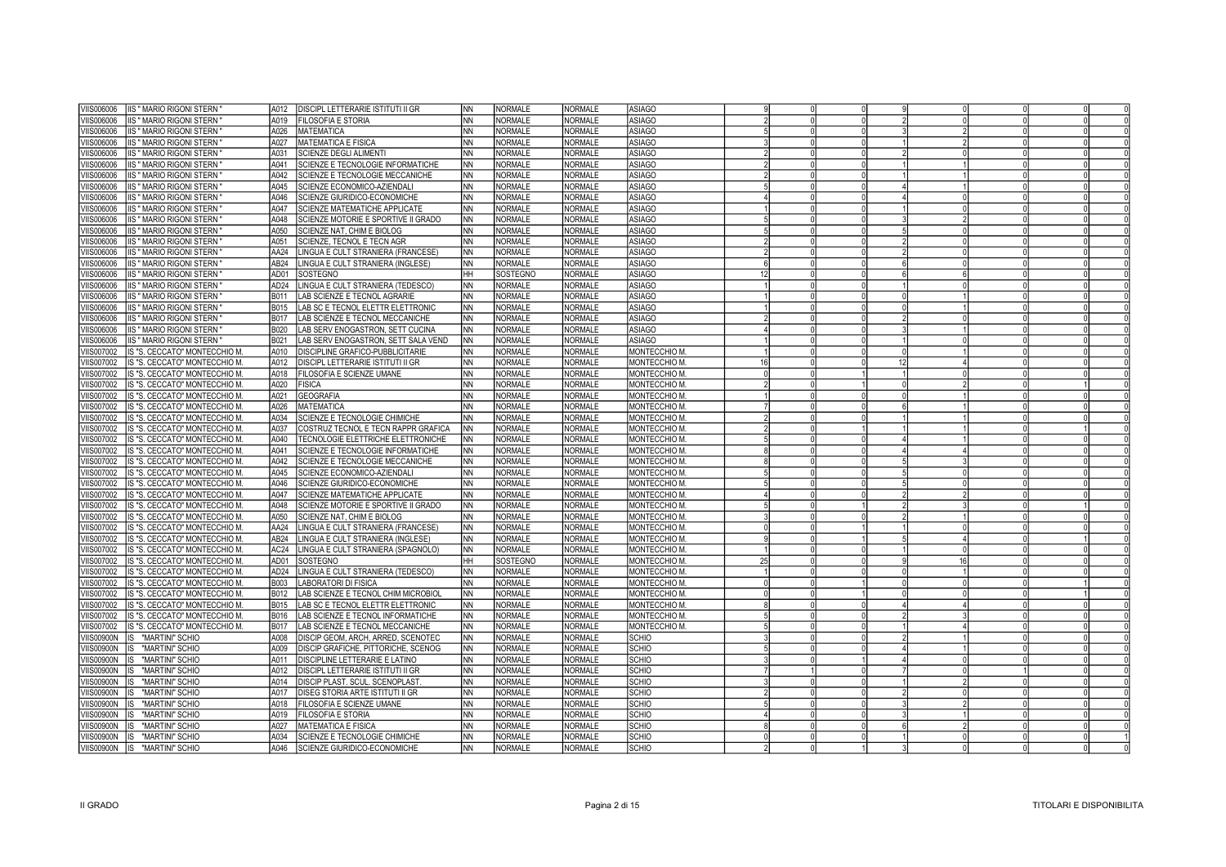| /IIS006006 | <b>IIS " MARIO RIGONI STERN</b> | A012             | DISCIPL LETTERARIE ISTITUTI II GR     | <b>NN</b> | <b>NORMALE</b> | <b>NORMALE</b> | <b>ASIAGO</b> |    |  |    |    |  |
|------------|---------------------------------|------------------|---------------------------------------|-----------|----------------|----------------|---------------|----|--|----|----|--|
| /IIS006006 | IIS " MARIO RIGONI STERN        | A019             | <b>FILOSOFIA E STORIA</b>             | <b>NN</b> | <b>NORMALE</b> | <b>NORMALE</b> | <b>ASIAGO</b> |    |  |    |    |  |
| /IIS006006 | <b>IIS " MARIO RIGONI STERN</b> | A026             | <b>MATEMATICA</b>                     | <b>NN</b> | <b>NORMALE</b> | <b>NORMALE</b> | <b>ASIAGO</b> |    |  |    |    |  |
| /IIS006006 | <b>IIS " MARIO RIGONI STERN</b> | A027             | MATEMATICA E FISICA                   | <b>NN</b> | <b>NORMALE</b> | <b>NORMALE</b> | <b>ASIAGO</b> |    |  |    |    |  |
| /IIS006006 | <b>IIS " MARIO RIGONI STERN</b> | A031             | SCIENZE DEGLI ALIMENTI                | <b>NN</b> | <b>NORMALE</b> | <b>NORMALE</b> | <b>ASIAGO</b> |    |  |    |    |  |
| /IIS006006 | <b>IIS " MARIO RIGONI STERN</b> | A041             | SCIENZE E TECNOLOGIE INFORMATICHE     | <b>NN</b> | <b>NORMALE</b> | <b>NORMALE</b> | <b>ASIAGO</b> |    |  |    |    |  |
| /IIS006006 | <b>IIS " MARIO RIGONI STERN</b> | A042             | SCIENZE E TECNOLOGIE MECCANICHE       | <b>NN</b> | <b>NORMALE</b> | <b>NORMALE</b> | <b>ASIAGO</b> |    |  |    |    |  |
| /IIS006006 | <b>IIS " MARIO RIGONI STERN</b> | A045             | SCIENZE ECONOMICO-AZIENDALI           | <b>NN</b> | <b>NORMALE</b> | <b>NORMALE</b> | <b>ASIAGO</b> |    |  |    |    |  |
| /IIS006006 | IIS " MARIO RIGONI STERN        | A046             | SCIENZE GIURIDICO-ECONOMICHE          | <b>NN</b> | <b>NORMALE</b> | <b>NORMALE</b> | <b>ASIAGO</b> |    |  |    |    |  |
| /IIS006006 | IIS " MARIO RIGONI STERN        | A047             | SCIENZE MATEMATICHE APPLICATE         | <b>NN</b> | NORMALE        | <b>NORMALE</b> | <b>ASIAGO</b> |    |  |    |    |  |
| /IIS006006 | IIS " MARIO RIGONI STERN        | A048             | SCIENZE MOTORIE E SPORTIVE II GRADO   | <b>NN</b> | <b>NORMALE</b> | <b>NORMALE</b> | <b>ASIAGO</b> |    |  |    |    |  |
| /IIS006006 | IIS " MARIO RIGONI STERN        | A050             | SCIENZE NAT, CHIM E BIOLOG            | <b>NN</b> | NORMALE        | <b>NORMALE</b> | <b>ASIAGO</b> |    |  |    |    |  |
| /IIS006006 | IIS " MARIO RIGONI STERN        | A051             | SCIENZE, TECNOL E TECN AGR            | <b>NN</b> | <b>NORMALE</b> | <b>NORMALE</b> | <b>ASIAGO</b> |    |  |    |    |  |
| /IIS006006 | <b>IIS " MARIO RIGONI STERN</b> | AA24             | INGUA E CULT STRANIERA (FRANCESE)     | <b>NN</b> | <b>NORMALE</b> | <b>NORMALE</b> | <b>ASIAGO</b> |    |  |    |    |  |
| /IIS006006 | <b>IIS " MARIO RIGONI STERN</b> | AB <sub>24</sub> | INGUA E CULT STRANIERA (INGLESE)      | <b>NN</b> | <b>NORMALE</b> | <b>NORMALE</b> | <b>ASIAGO</b> |    |  |    |    |  |
| /IIS006006 | IIS " MARIO RIGONI STERN        | AD01             | SOSTEGNO                              | HH        | SOSTEGNO       | <b>NORMALE</b> | <b>ASIAGO</b> | 12 |  |    |    |  |
| /IIS006006 | IIS " MARIO RIGONI STERN        | AD24             | INGUA E CULT STRANIERA (TEDESCO)      | <b>NN</b> | <b>NORMALE</b> | <b>NORMALE</b> | <b>ASIAGO</b> |    |  |    |    |  |
| /IIS006006 | IIS " MARIO RIGONI STERN        | B011             | AB SCIENZE E TECNOL AGRARIE           | <b>NN</b> | <b>NORMALE</b> | NORMALE        | <b>ASIAGO</b> |    |  |    |    |  |
| /IIS006006 | IIS " MARIO RIGONI STERN        | <b>B015</b>      | LAB SC E TECNOL ELETTR ELETTRONIC     | <b>NN</b> | <b>NORMALE</b> | <b>NORMALE</b> | <b>ASIAGO</b> |    |  |    |    |  |
| /IIS006006 | IIS " MARIO RIGONI STERN        | <b>B017</b>      | AB SCIENZE E TECNOL MECCANICHE        | <b>NN</b> | <b>NORMALE</b> | <b>NORMALE</b> | <b>ASIAGO</b> |    |  |    |    |  |
| /IIS006006 | IIS " MARIO RIGONI STERN        | <b>B020</b>      | AB SERV ENOGASTRON, SETT CUCINA       | <b>NN</b> | <b>NORMALE</b> | <b>NORMALE</b> | <b>ASIAGO</b> |    |  |    |    |  |
| /IIS006006 | IIS " MARIO RIGONI STERN        | B021             | AB SERV ENOGASTRON, SETT SALA VEND    | NN.       | <b>NORMALE</b> | <b>NORMALE</b> | <b>ASIAGO</b> |    |  |    |    |  |
| /IIS007002 | IS "S. CECCATO" MONTECCHIO M.   | A010             | DISCIPLINE GRAFICO-PUBBLICITARIE      | <b>NN</b> | <b>NORMALE</b> | NORMALE        | MONTECCHIO M. |    |  |    |    |  |
| /IIS007002 | IS "S. CECCATO" MONTECCHIO M.   | A012             | DISCIPL LETTERARIE ISTITUTI II GR     | ΝN        | <b>NORMALE</b> | <b>NORMALE</b> | MONTECCHIO M. |    |  | 12 |    |  |
| /IIS007002 | IS "S. CECCATO" MONTECCHIO M.   | A018             | FILOSOFIA E SCIENZE UMANE             | NN        | <b>NORMALE</b> | <b>NORMALE</b> | MONTECCHIO M  |    |  |    |    |  |
| /IIS007002 | IS "S. CECCATO" MONTECCHIO M.   | A020             | <b>FISICA</b>                         | <b>NN</b> | <b>NORMALE</b> | <b>NORMALE</b> | MONTECCHIO M. |    |  |    |    |  |
| /IIS007002 | IS "S. CECCATO" MONTECCHIO M.   | A021             | GEOGRAFIA                             | <b>NN</b> | <b>NORMALE</b> | <b>NORMALE</b> | MONTECCHIO M  |    |  |    |    |  |
| /IIS007002 | IS "S. CECCATO" MONTECCHIO M.   | A026             | <b>MATEMATICA</b>                     | <b>NN</b> | <b>NORMALE</b> | <b>NORMALE</b> | MONTECCHIO M. |    |  |    |    |  |
| /IIS007002 | IIS "S. CECCATO" MONTECCHIO M.  | A034             | SCIENZE E TECNOLOGIE CHIMICHE         | <b>NN</b> | <b>NORMALE</b> | <b>NORMALE</b> | MONTECCHIO M  |    |  |    |    |  |
| /IIS007002 | IS "S. CECCATO" MONTECCHIO M.   | A037             | COSTRUZ TECNOL E TECN RAPPR GRAFICA   | <b>NN</b> | <b>NORMALE</b> | <b>NORMALE</b> | MONTECCHIO M. |    |  |    |    |  |
| /IIS007002 | IIS "S. CECCATO" MONTECCHIO M.  | A040             | TECNOLOGIE ELETTRICHE ELETTRONICHE    | <b>NN</b> | NORMALE        | <b>NORMALE</b> | MONTECCHIO M. |    |  |    |    |  |
| /IIS007002 | IIS "S. CECCATO" MONTECCHIO M.  | A041             | SCIENZE E TECNOLOGIE INFORMATICHE     | <b>NN</b> | <b>NORMALE</b> | <b>NORMALE</b> | MONTECCHIO M. |    |  |    |    |  |
| /IIS007002 | IS "S. CECCATO" MONTECCHIO M.   | A042             | SCIENZE E TECNOLOGIE MECCANICHE       | <b>NN</b> | <b>NORMALE</b> | <b>NORMALE</b> | MONTECCHIO M  |    |  |    |    |  |
| /IIS007002 | IS "S. CECCATO" MONTECCHIO M.   | A045             | SCIENZE ECONOMICO-AZIENDALI           | <b>NN</b> | <b>NORMALE</b> | <b>NORMALE</b> | MONTECCHIO M. |    |  |    |    |  |
| /IIS007002 | IS "S. CECCATO" MONTECCHIO M.   | A046             | SCIENZE GIURIDICO-ECONOMICHE          | <b>NN</b> | NORMALE        | NORMALE        | MONTECCHIO M. |    |  |    |    |  |
| /IIS007002 | IS "S. CECCATO" MONTECCHIO M.   | A047             | SCIENZE MATEMATICHE APPLICATE         | <b>NN</b> | <b>NORMALE</b> | <b>NORMALE</b> | MONTECCHIO M. |    |  |    |    |  |
| VIIS007002 | IS "S. CECCATO" MONTECCHIO M.   | A048             | SCIENZE MOTORIE E SPORTIVE II GRADO   | NN)       | NORMALE        | <b>NORMALE</b> | MONTECCHIO M  |    |  |    |    |  |
| /IIS007002 | IS "S. CECCATO" MONTECCHIO M.   | A050             | SCIENZE NAT, CHIM E BIOLOG            | <b>NN</b> | <b>NORMALE</b> | <b>NORMALE</b> | MONTECCHIO M  |    |  |    |    |  |
| VIIS007002 | IS "S. CECCATO" MONTECCHIO M.   | AA24             | INGUA E CULT STRANIERA (FRANCESE)     | NN)       | <b>NORMALE</b> | <b>NORMALE</b> | MONTECCHIO M. |    |  |    |    |  |
| /IIS007002 | IS "S. CECCATO" MONTECCHIO M.   | AB <sub>24</sub> | LINGUA E CULT STRANIERA (INGLESE)     | <b>NN</b> | <b>NORMALE</b> | <b>NORMALE</b> | MONTECCHIO M. |    |  |    |    |  |
| VIIS007002 | IS "S. CECCATO" MONTECCHIO M.   | AC24             | INGUA E CULT STRANIERA (SPAGNOLO)     | NN.       | <b>NORMALE</b> | NORMALE        | MONTECCHIO M. |    |  |    |    |  |
| /IIS007002 | IS "S. CECCATO" MONTECCHIO M.   | AD01             | SOSTEGNO                              | HH        | SOSTEGNO       | <b>NORMALE</b> | MONTECCHIO M. | 25 |  |    | 16 |  |
| VIIS007002 | IS "S. CECCATO" MONTECCHIO M.   | AD <sub>24</sub> | INGUA E CULT STRANIERA (TEDESCO)      | NN)       | <b>NORMALE</b> | <b>NORMALE</b> | MONTECCHIO M. |    |  |    |    |  |
| /IIS007002 | IS "S. CECCATO" MONTECCHIO M.   | <b>B003</b>      | <b>ABORATORI DI FISICA</b>            | <b>NN</b> | <b>NORMALE</b> | NORMALE        | MONTECCHIO M  |    |  |    |    |  |
| /IIS007002 | IS "S. CECCATO" MONTECCHIO M.   | B012             | AB SCIENZE E TECNOL CHIM MICROBIOI    | <b>NN</b> | <b>NORMALE</b> | <b>NORMALE</b> | MONTECCHIO M. |    |  |    |    |  |
| /IIS007002 | IS "S. CECCATO" MONTECCHIO M.   | B015             | AB SC E TECNOL ELETTR ELETTRONIC      | <b>NN</b> | <b>NORMALE</b> | NORMALE        | MONTECCHIO M  |    |  |    |    |  |
| /IIS007002 | IS "S. CECCATO" MONTECCHIO M.   | B016             | AB SCIENZE E TECNOL INFORMATICHE      | <b>NN</b> | <b>NORMALE</b> | <b>NORMALE</b> | MONTECCHIO M. |    |  |    |    |  |
| /IIS007002 | IS "S. CECCATO" MONTECCHIO M.   | <b>B017</b>      | AB SCIENZE E TECNOL MECCANICHE        | <b>NN</b> | <b>NORMALE</b> | NORMALE        | MONTECCHIO M. |    |  |    |    |  |
| /IIS00900N | IS "MARTINI" SCHIO              | A008             | DISCIP GEOM, ARCH, ARRED, SCENOTEC    | <b>NN</b> | <b>NORMALE</b> | <b>NORMALE</b> | <b>SCHIO</b>  |    |  |    |    |  |
| /IIS00900N | IS "MARTINI" SCHIO              | A009             | DISCIP GRAFICHE, PITTORICHE, SCENOG   | <b>NN</b> | <b>NORMALE</b> | <b>NORMALE</b> | <b>SCHIO</b>  |    |  |    |    |  |
| /IIS00900N | IS "MARTINI" SCHIO              | A011             | DISCIPLINE LETTERARIE E LATINO        | NN        | <b>NORMALE</b> | <b>NORMALE</b> | <b>SCHIO</b>  |    |  |    |    |  |
| /IIS00900N | IS "MARTINI" SCHIO              | A012             | DISCIPL LETTERARIE ISTITUTI II GR     | <b>NN</b> | NORMALE        | <b>NORMALE</b> | <b>SCHIO</b>  |    |  |    |    |  |
| /IIS00900N | IS "MARTINI" SCHIO              | A014             | <b>DISCIP PLAST. SCUL. SCENOPLAST</b> | <b>NN</b> | <b>NORMALE</b> | <b>NORMALE</b> | <b>SCHIO</b>  |    |  |    |    |  |
| /IIS00900N | IS "MARTINI" SCHIO              | A017             | DISEG STORIA ARTE ISTITUTI II GR      | <b>NN</b> | NORMALE        | <b>NORMALE</b> | <b>SCHIO</b>  |    |  |    |    |  |
| /IIS00900N | IS "MARTINI" SCHIO              | A018             | FILOSOFIA E SCIENZE UMANE             | <b>NN</b> | <b>NORMALE</b> | <b>NORMALE</b> | <b>SCHIO</b>  |    |  |    |    |  |
| /IIS00900N | lis<br>"MARTINI" SCHIO          | A019             | <b>FILOSOFIA E STORIA</b>             | <b>NN</b> | NORMALE        | <b>NORMALE</b> | <b>SCHIO</b>  |    |  |    |    |  |
| /IIS00900N | lis<br>"MARTINI" SCHIO          | A027             | <b>MATEMATICA E FISICA</b>            | <b>NN</b> | <b>NORMALE</b> | <b>NORMALE</b> | <b>SCHIO</b>  |    |  |    |    |  |
| /IIS00900N | IS "MARTINI" SCHIO              | A034             | SCIENZE E TECNOLOGIE CHIMICHE         | <b>NN</b> | NORMALE        | <b>NORMALE</b> | <b>SCHIO</b>  |    |  |    |    |  |
|            | VIIS00900N  IS "MARTINI" SCHIO  | A046             | SCIENZE GIURIDICO-ECONOMICHE          | <b>NN</b> | <b>NORMALE</b> | NORMALE        | SCHIO         |    |  |    |    |  |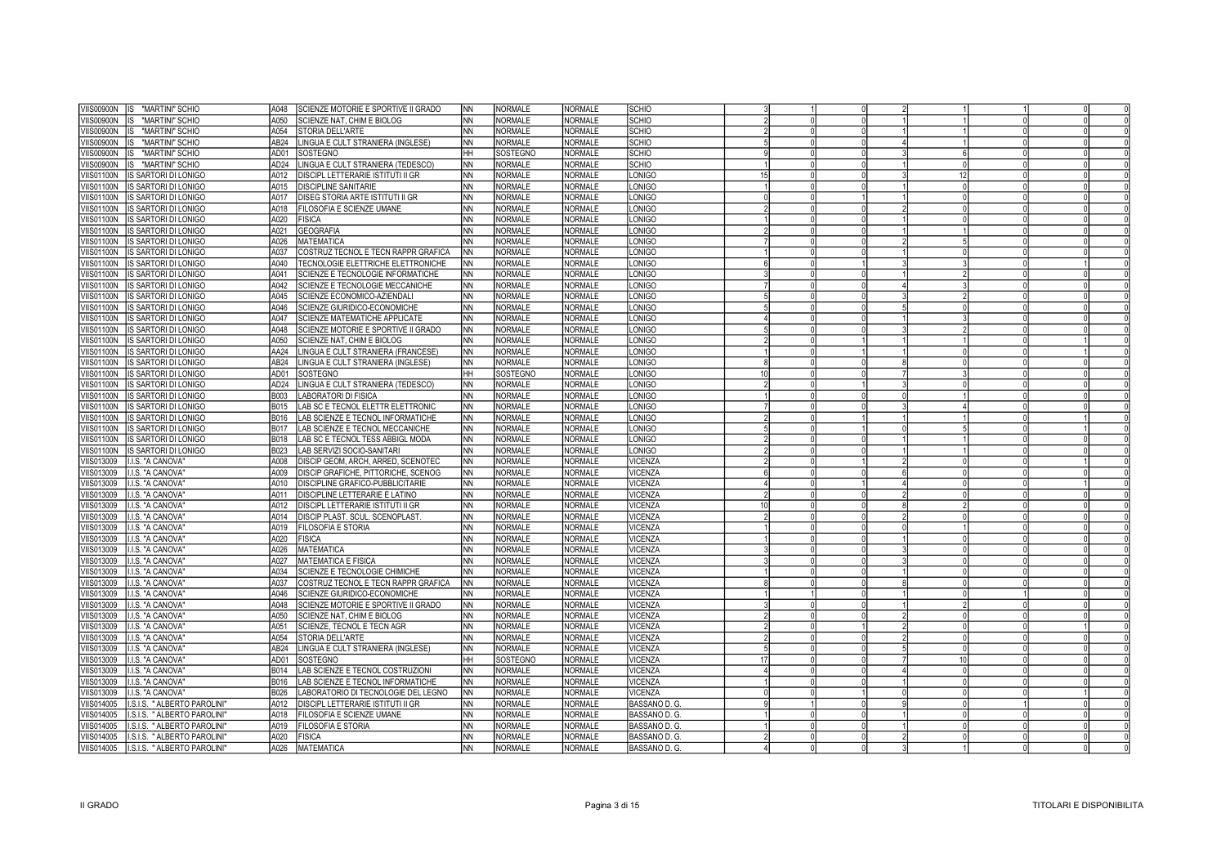| <b>VIIS00900N</b><br>IS.<br>"MARTINI" SCHIO                                    | SCIENZE MOTORIE E SPORTIVE II GRADO<br>A048                                | INN             | <b>NORMALE</b>      | <b>NORMALE</b> | SCHIO                   |    |          |  |    |  |  |
|--------------------------------------------------------------------------------|----------------------------------------------------------------------------|-----------------|---------------------|----------------|-------------------------|----|----------|--|----|--|--|
| <b>IIS00900N</b><br>"MARTINI" SCHIO<br>IS.                                     | A050<br>SCIENZE NAT. CHIM E BIOLOG                                         | <b>NN</b>       | NORMALE             | <b>NORMALE</b> | SCHIO                   |    |          |  |    |  |  |
| "MARTINI" SCHIO<br>'IIS00900N                                                  | A054<br>STORIA DELL'ARTE                                                   | <b>NN</b>       | NORMALE             | <b>NORMALE</b> | SCHIO                   |    |          |  |    |  |  |
| <b>IIS00900N</b><br>"MARTINI" SCHIO<br>IS.                                     | AB24<br>LINGUA E CULT STRANIERA (INGLESE)                                  | <b>NN</b>       | <b>NORMALE</b>      | <b>NORMALE</b> | SCHIO                   |    |          |  |    |  |  |
| <b>IIS00900N</b><br>"MARTINI" SCHIO                                            | AD <sub>01</sub><br>SOSTEGNO                                               | Iнн             | SOSTEGNO            | <b>NORMALE</b> | SCHIO                   |    |          |  |    |  |  |
| <b>IIS00900N</b><br>"MARTINI" SCHIO<br>IS                                      | AD <sub>24</sub><br>LINGUA E CULT STRANIERA (TEDESCO)                      | <b>NN</b>       | NORMALE             | <b>NORMALE</b> | SCHIO                   |    |          |  |    |  |  |
| <b>IIS01100N</b><br>IS SARTORI DI LONIGO                                       | A012<br>DISCIPL LETTERARIE ISTITUTI II GR                                  | <b>NN</b>       | NORMALE             | <b>NORMALE</b> | LONIGO                  |    |          |  | 12 |  |  |
| /IIS01100N<br><b>IS SARTORI DI LONIGO</b>                                      | A015<br>DISCIPLINE SANITARIE                                               | <b>NN</b>       | <b>NORMALE</b>      | <b>NORMALE</b> | LONIGO                  |    |          |  |    |  |  |
| <b>IIS01100N</b><br>IS SARTORI DI LONIGO                                       | A017<br>DISEG STORIA ARTE ISTITUTI II GR                                   | <b>NN</b>       | <b>NORMALE</b>      | <b>NORMALE</b> | LONIGO                  |    |          |  |    |  |  |
| /IIS01100N<br>IS SARTORI DI LONIGO                                             | FILOSOFIA E SCIENZE UMANE<br>A018                                          | <b>NN</b>       | <b>NORMALE</b>      | <b>NORMALE</b> | LONIGO                  |    |          |  |    |  |  |
| /IIS01100N<br>IS SARTORI DI LONIGO                                             | A020<br><b>FISICA</b>                                                      | <b>NN</b>       | <b>NORMALE</b>      | <b>NORMALE</b> | LONIGO                  |    |          |  |    |  |  |
| /IIS01100N<br>IS SARTORI DI LONIGO                                             | A021<br><b>GEOGRAFIA</b>                                                   | <b>NN</b>       | <b>NORMALE</b>      | <b>NORMALE</b> | LONIGO                  |    |          |  |    |  |  |
| /IIS01100N<br>IS SARTORI DI LONIGO                                             | A026<br><b>MATEMATICA</b>                                                  | <b>NN</b>       | NORMALE             | <b>NORMALE</b> | LONIGO                  |    |          |  |    |  |  |
| IS SARTORI DI LONIGO<br>/IIS01100N                                             | A037<br>COSTRUZ TECNOL E TECN RAPPR GRAFICA                                | <b>NN</b>       | NORMALE             | NORMALE        | LONIGO                  |    |          |  |    |  |  |
| /IIS01100N<br>IS SARTORI DI LONIGO                                             | A040<br>TECNOLOGIE ELETTRICHE ELETTRONICHE                                 | <b>NN</b>       | <b>NORMALE</b>      | <b>NORMALE</b> | LONIGO                  |    |          |  |    |  |  |
| 'IIS01100N<br>IS SARTORI DI LONIGO                                             | A041<br>SCIENZE E TECNOLOGIE INFORMATICHE                                  | <b>NN</b>       | <b>NORMALE</b>      | <b>NORMALE</b> | <b>LONIGO</b>           |    |          |  |    |  |  |
| 'IIS01100N<br>IS SARTORI DI LONIGO                                             | A042<br>SCIENZE E TECNOLOGIE MECCANICHE                                    | <b>NN</b>       | NORMALE             | <b>NORMALE</b> | <b>LONIGO</b>           |    |          |  |    |  |  |
| 'IIS01100N<br>IS SARTORI DI LONIGO                                             | A045<br>SCIENZE ECONOMICO-AZIENDALI                                        | <b>NN</b>       | <b>NORMALE</b>      | NORMALE        | <b>LONIGO</b>           |    |          |  |    |  |  |
| /IIS01100N<br>IS SARTORI DI LONIGO                                             | A046<br>SCIENZE GIURIDICO-ECONOMICHE                                       | <b>NN</b>       | NORMALE             | <b>NORMALE</b> | <b>LONIGO</b>           |    |          |  |    |  |  |
| /IIS01100N<br>IS SARTORI DI LONIGO                                             | SCIENZE MATEMATICHE APPLICATE<br>A047                                      | <b>NN</b>       | <b>NORMALE</b>      | <b>NORMALE</b> | LONIGO                  |    |          |  |    |  |  |
| /IIS01100N<br>IS SARTORI DI LONIGO                                             | A048<br>SCIENZE MOTORIE E SPORTIVE II GRADO                                | <b>NN</b>       | NORMALE             | <b>NORMALE</b> | LONIGO                  |    |          |  |    |  |  |
| /IIS01100N<br>IS SARTORI DI LONIGO                                             | A050<br>SCIENZE NAT, CHIM E BIOLOG                                         | <b>NN</b>       | <b>NORMALE</b>      | NORMALE        | LONIGO                  |    |          |  |    |  |  |
| /IIS01100N<br>IS SARTORI DI LONIGO                                             | AA24<br>LINGUA E CULT STRANIERA (FRANCESE)                                 | <b>NN</b>       | NORMALE             | <b>NORMALE</b> | LONIGO                  |    |          |  |    |  |  |
| 'IIS01100N<br>IS SARTORI DI LONIGO                                             | AB24<br>LINGUA E CULT STRANIERA (INGLESE)                                  | <b>NN</b>       | <b>NORMALE</b>      | <b>NORMALE</b> | LONIGO                  |    |          |  |    |  |  |
| 'IIS01100N<br>IS SARTORI DI LONIGO                                             | AD01<br>SOSTEGNO                                                           | lнн             | SOSTEGNO            | <b>NORMALE</b> | <b>LONIGO</b>           |    |          |  |    |  |  |
| /IIS01100N<br>IS SARTORI DI LONIGO                                             | AD <sub>24</sub><br>INGUA E CULT STRANIERA (TEDESCO)                       | <b>NN</b>       | NORMALE             | <b>NORMALE</b> | LONIGO                  |    |          |  |    |  |  |
| 'IIS01100N                                                                     | B003<br><b>ABORATORI DI FISICA</b>                                         | <b>NN</b>       | <b>NORMALE</b>      | <b>NORMALE</b> | LONIGO                  |    |          |  |    |  |  |
| IS SARTORI DI LONIGO                                                           | AB SC E TECNOL ELETTR ELETTRONIC<br>B015                                   | <b>NN</b>       | NORMALE             | <b>NORMALE</b> | LONIGO                  |    |          |  |    |  |  |
| 'IIS01100N<br>IS SARTORI DI LONIGO<br><b>IIS01100N</b>                         | B016                                                                       | <b>NN</b>       | NORMALE             | <b>NORMALE</b> |                         |    |          |  |    |  |  |
| IS SARTORI DI LONIGO<br>'IIS01100N<br>IS SARTORI DI LONIGO                     | AB SCIENZE E TECNOL INFORMATICHE<br>B017<br>AB SCIENZE E TECNOL MECCANICHE | <b>NN</b>       | NORMALE             | <b>NORMALE</b> | <b>LONIGO</b><br>LONIGO |    |          |  |    |  |  |
| /IIS01100N<br>IS SARTORI DI LONIGO                                             | B018<br>LAB SC E TECNOL TESS ABBIGL MODA                                   | <b>NN</b>       | <b>NORMALE</b>      | <b>NORMALE</b> | LONIGO                  |    |          |  |    |  |  |
| /IIS01100N<br>IS SARTORI DI LONIGO                                             | B023<br>LAB SERVIZI SOCIO-SANITARI                                         | <b>NN</b>       | <b>NORMALE</b>      | <b>NORMALE</b> | LONIGO                  |    |          |  |    |  |  |
| /IIS013009<br>I.I.S. "A CANOVA"                                                | A008<br>DISCIP GEOM, ARCH, ARRED, SCENOTEC                                 | <b>NN</b>       | <b>NORMALE</b>      | NORMALE        | VICENZA                 |    |          |  |    |  |  |
| /IIS013009<br>I.I.S. "A CANOVA"                                                | A009<br>DISCIP GRAFICHE, PITTORICHE, SCENOG                                | <b>NN</b>       | <b>NORMALE</b>      | <b>NORMALE</b> | VICENZA                 |    |          |  |    |  |  |
| /IIS013009<br>I.I.S. "A CANOVA"                                                | A010<br>DISCIPLINE GRAFICO-PUBBLICITARIE                                   | <b>NN</b>       | <b>NORMALE</b>      | <b>NORMALE</b> | VICENZA                 |    |          |  |    |  |  |
| /IIS013009<br>I.I.S. "A CANOVA"                                                | DISCIPLINE LETTERARIE E LATINO<br>A011                                     | <b>NN</b>       | NORMALE             | <b>NORMALE</b> | VICENZA                 |    |          |  |    |  |  |
| /IIS013009<br>I.I.S. "A CANOVA"                                                | A012<br>DISCIPL LETTERARIE ISTITUTI II GR                                  | <b>NN</b>       | <b>NORMALE</b>      | <b>NORMALE</b> | VICENZA                 | 10 | $\Omega$ |  |    |  |  |
| /IIS013009<br>I.I.S. "A CANOVA"                                                | A014<br>DISCIP PLAST. SCUL. SCENOPLAST                                     | <b>NN</b>       | NORMALE             | <b>NORMALE</b> | VICENZA                 |    |          |  |    |  |  |
| /IIS013009<br>I.I.S. "A CANOVA"                                                | A019<br><b>FILOSOFIA E STORIA</b>                                          | <b>NN</b>       | <b>NORMALE</b>      | <b>NORMALE</b> | VICENZA                 |    |          |  |    |  |  |
| 'IIS013009<br>I.I.S. "A CANOVA"                                                | A020<br><b>FISICA</b>                                                      | <b>NN</b>       | NORMALE             | <b>NORMALE</b> | VICENZA                 |    |          |  |    |  |  |
| /IIS013009<br>I.I.S. "A CANOVA"                                                | A026<br><b>MATEMATICA</b>                                                  | <b>NN</b>       | <b>NORMALE</b>      | <b>NORMALE</b> | VICENZA                 |    |          |  |    |  |  |
| I.I.S. "A CANOVA"<br>/IIS013009                                                | A027<br><b>MATEMATICA E FISICA</b>                                         | <b>NN</b>       | NORMALE             | <b>NORMALE</b> | VICENZA                 |    |          |  |    |  |  |
| /IIS013009<br>I.I.S. "A CANOVA"                                                | A034<br>SCIENZE E TECNOLOGIE CHIMICHE                                      | <b>NN</b>       | <b>NORMALE</b>      | <b>NORMALE</b> | VICENZA                 |    |          |  |    |  |  |
| /IIS013009<br>I.I.S. "A CANOVA"                                                | A037<br>COSTRUZ TECNOL E TECN RAPPR GRAFICA                                | <b>NN</b>       | NORMALE             | <b>NORMALE</b> | VICENZA                 |    |          |  |    |  |  |
| /IIS013009<br>I.I.S. "A CANOVA"                                                | A046<br>SCIENZE GIURIDICO-ECONOMICHE                                       | <b>NN</b>       | <b>NORMALE</b>      | <b>NORMALE</b> | VICENZA                 |    |          |  |    |  |  |
| 'IIS013009<br>I.I.S. "A CANOVA"                                                | A048<br>SCIENZE MOTORIE E SPORTIVE II GRADO                                | <b>NN</b>       | NORMALE             | <b>NORMALE</b> | VICENZA                 |    |          |  |    |  |  |
| 'IIS013009<br>I.I.S. "A CANOVA"                                                | A050<br>SCIENZE NAT, CHIM E BIOLOG                                         | <b>NN</b>       | NORMALE             | <b>NORMALE</b> | VICENZA                 |    |          |  |    |  |  |
| 'IIS013009<br>I.I.S. "A CANOVA"                                                | A051<br>SCIENZE, TECNOL E TECN AGR                                         | <b>NN</b>       | NORMALE             | <b>NORMALE</b> | VICENZA                 |    |          |  |    |  |  |
| 'IIS013009<br>I.I.S. "A CANOVA"                                                | A054<br>STORIA DELL'ARTE                                                   | <b>NN</b>       | NORMALE             | <b>NORMALE</b> | VICENZA                 |    |          |  |    |  |  |
|                                                                                | LINGUA E CULT STRANIERA (INGLESE)<br>AB24                                  |                 |                     | <b>NORMALE</b> |                         |    |          |  |    |  |  |
| <b>IIS013009</b><br>I.I.S. "A CANOVA"<br><b>IIS013009</b><br>I.I.S. "A CANOVA" | AD01<br>SOSTEGNO                                                           | <b>NN</b><br>HН | NORMALE<br>SOSTEGNO | <b>NORMALE</b> | VICENZA<br>VICENZA      | 17 |          |  |    |  |  |
| /IIS013009<br>I.I.S. "A CANOVA"                                                | B014<br>LAB SCIENZE E TECNOL COSTRUZIONI                                   | <b>NN</b>       | <b>NORMALE</b>      | <b>NORMALE</b> | VICENZA                 |    |          |  |    |  |  |
| /IIS013009<br>I.I.S. "A CANOVA"                                                | B016<br>AB SCIENZE E TECNOL INFORMATICHE                                   | <b>NN</b>       | NORMALE             | <b>NORMALE</b> | VICENZA                 |    |          |  |    |  |  |
| /IIS013009<br>I.I.S. "A CANOVA"                                                | B026<br>ABORATORIO DI TECNOLOGIE DEL LEGNO                                 | <b>NN</b>       | <b>NORMALE</b>      | <b>NORMALE</b> | VICENZA                 |    |          |  |    |  |  |
| /IIS014005<br>I.S.I.S. " ALBERTO PAROLINI"                                     | A012<br>DISCIPL LETTERARIE ISTITUTI II GR                                  | <b>NN</b>       | NORMALE             | <b>NORMALE</b> | BASSANO D. G.           |    |          |  |    |  |  |
| /IIS014005<br>I.S.I.S. " ALBERTO PAROLINI"                                     | A018<br>FILOSOFIA E SCIENZE UMANE                                          | <b>NN</b>       | <b>NORMALE</b>      | <b>NORMALE</b> | BASSANO D. G.           |    |          |  |    |  |  |
| I.S.I.S. " ALBERTO PAROLINI"<br>'IIS014005                                     | <b>FILOSOFIA E STORIA</b><br>A019                                          | <b>NN</b>       | NORMALE             | <b>NORMALE</b> | BASSANO D. G.           |    |          |  |    |  |  |
| /IIS014005<br>I.S.I.S. " ALBERTO PAROLINI"                                     | A020<br><b>FISICA</b>                                                      | <b>NN</b>       | <b>NORMALE</b>      | NORMALE        | BASSANO D. G.           |    |          |  |    |  |  |
| VIIS014005<br>I.S.I.S. " ALBERTO PAROLINI"                                     | A026<br><b>MATEMATICA</b>                                                  | <b>NN</b>       | <b>NORMALE</b>      | NORMALE        | BASSANO D. G.           |    |          |  |    |  |  |
|                                                                                |                                                                            |                 |                     |                |                         |    |          |  |    |  |  |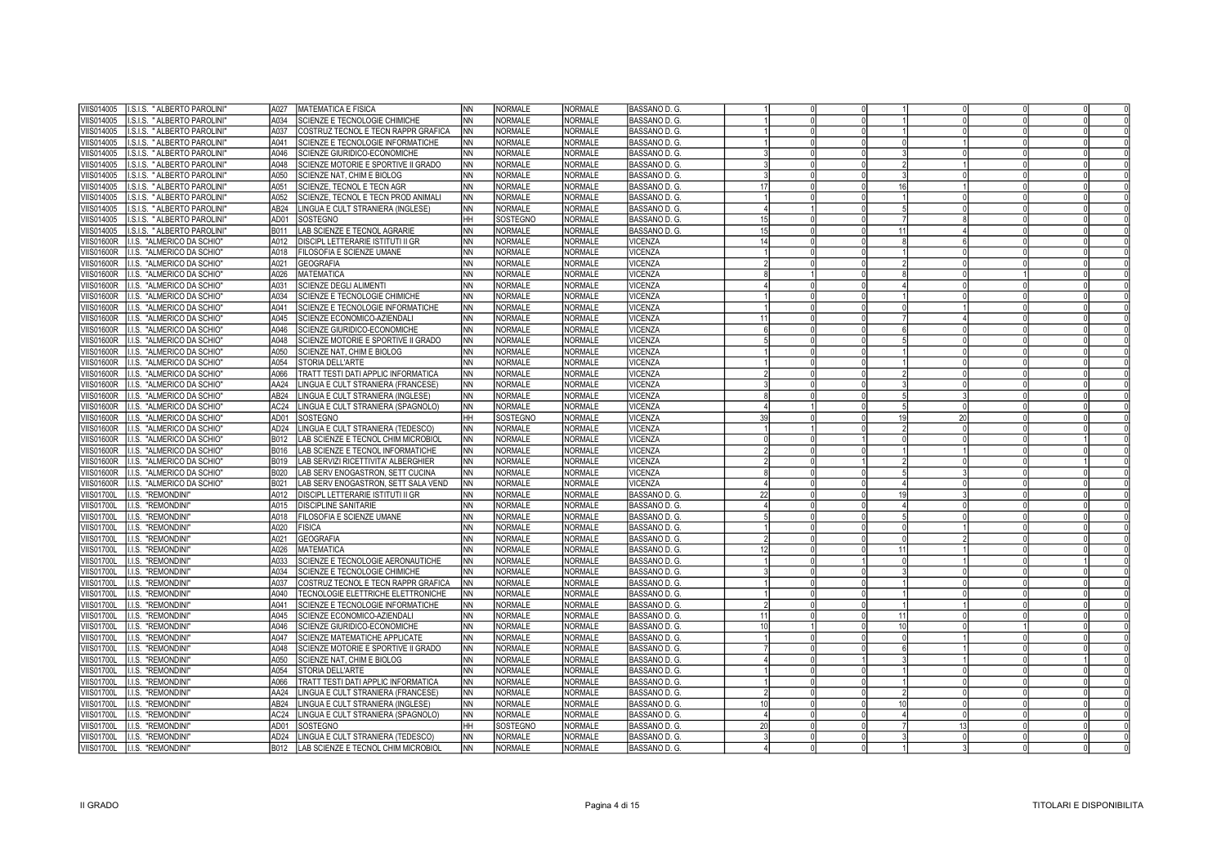| VIIS014005<br>.S.I.S. " ALBERTO PAROLINI'       | A027 | MATEMATICA E FISICA                      | INN.      | <b>NORMALE</b> | <b>NORMALE</b> | BASSANO D. G. |                 |          |    |    |  |  |
|-------------------------------------------------|------|------------------------------------------|-----------|----------------|----------------|---------------|-----------------|----------|----|----|--|--|
| VIIS014005<br>.S.I.S. " ALBERTO PAROLINI'       | A034 | SCIENZE E TECNOLOGIE CHIMICHE            | <b>NN</b> | <b>NORMALE</b> | <b>NORMALE</b> | BASSANO D. G. |                 |          |    |    |  |  |
| VIIS014005<br>.S.I.S. " ALBERTO PAROLINI"       | A037 | COSTRUZ TECNOL E TECN RAPPR GRAFICA      | <b>NN</b> | <b>NORMALE</b> | <b>NORMALE</b> | BASSANO D. G. |                 |          |    |    |  |  |
| VIIS014005<br>.S.I.S. " ALBERTO PAROLINI'       | A041 | SCIENZE E TECNOLOGIE INFORMATICHE        | NN        | <b>NORMALE</b> | <b>NORMALE</b> | BASSANO D. G. |                 |          |    |    |  |  |
| VIIS014005<br>.S.I.S. " ALBERTO PAROLINI'       | A046 | SCIENZE GIURIDICO-ECONOMICHE             | <b>NN</b> | <b>NORMALE</b> | <b>NORMALE</b> | BASSANO D. G. |                 |          |    |    |  |  |
| VIIS014005<br>.S.I.S. " ALBERTO PAROLINI        | A048 | SCIENZE MOTORIE E SPORTIVE II GRADO      | INN.      | <b>NORMALE</b> | <b>NORMALE</b> | BASSANO D. G. |                 |          |    |    |  |  |
| VIIS014005<br>.S.I.S. " ALBERTO PAROLINI'       | A050 | SCIENZE NAT, CHIM E BIOLOG               | INN.      | NORMALE        | <b>NORMALE</b> | BASSANO D. G. |                 |          |    |    |  |  |
| VIIS014005<br>.S.I.S. " ALBERTO PAROLINI'       | A051 | SCIENZE, TECNOL E TECN AGR               | INN.      | <b>NORMALE</b> | NORMALE        | BASSANO D. G. | 17              |          | 16 |    |  |  |
| VIIS014005<br>.S.I.S. " ALBERTO PAROLINI"       | A052 | SCIENZE, TECNOL E TECN PROD ANIMALI      | INN       | <b>NORMALE</b> | NORMALE        | BASSANO D. G. |                 |          |    |    |  |  |
| VIIS014005<br>.S.I.S. " ALBERTO PAROLINI'       | AB24 | LINGUA E CULT STRANIERA (INGLESE)        | INN.      | <b>NORMALE</b> | NORMALE        | BASSANO D. G. |                 |          |    |    |  |  |
| VIIS014005<br>.S.I.S. " ALBERTO PAROLINI"       | AD01 | SOSTEGNO                                 | Інн       | SOSTEGNO       | <b>NORMALE</b> | BASSANO D. G. | 15 <sup>1</sup> |          |    |    |  |  |
| VIIS014005<br>.S.I.S. " ALBERTO PAROLINI'       | B011 | LAB SCIENZE E TECNOL AGRARIE             | INN.      | <b>NORMALE</b> | <b>NORMALE</b> | BASSANO D. G. | 15              |          | 11 |    |  |  |
| <b>VIIS01600R</b><br>I.I.S. "ALMERICO DA SCHIO" | A012 | <b>DISCIPL LETTERARIE ISTITUTI II GR</b> | <b>NN</b> | <b>NORMALE</b> | <b>NORMALE</b> | VICENZA       | 14              |          |    |    |  |  |
| <b>VIIS01600R</b><br>I.I.S. "ALMERICO DA SCHIO" | A018 | FILOSOFIA E SCIENZE UMANE                | INN.      | NORMALE        | NORMALE        | VICENZA       |                 |          |    |    |  |  |
| <b>VIIS01600R</b><br>I.I.S. "ALMERICO DA SCHIO" | A021 | GEOGRAFIA                                | INN       | <b>NORMALE</b> | <b>NORMALE</b> | VICENZA       |                 |          |    |    |  |  |
| <b>VIIS01600R</b><br>I.I.S. "ALMERICO DA SCHIO" | A026 | MATEMATICA                               | INN.      | <b>NORMALE</b> | <b>NORMALE</b> | VICENZA       |                 |          |    |    |  |  |
| <b>VIIS01600R</b><br>I.I.S. "ALMERICO DA SCHIO" | A031 | <b>SCIENZE DEGLI ALIMENTI</b>            | INN       | <b>NORMALE</b> | <b>NORMALE</b> | VICENZA       |                 |          |    |    |  |  |
| <b>VIIS01600R</b><br>I.I.S. "ALMERICO DA SCHIO" | A034 | SCIENZE E TECNOLOGIE CHIMICHE            | Inn       | <b>NORMALE</b> | <b>NORMALE</b> | VICENZA       |                 |          |    |    |  |  |
| <b>VIIS01600R</b><br>I.I.S. "ALMERICO DA SCHIO" | A041 | SCIENZE E TECNOLOGIE INFORMATICHE        | INN       | <b>NORMALE</b> | <b>NORMALE</b> | VICENZA       |                 |          |    |    |  |  |
| I.I.S. "ALMERICO DA SCHIO"<br><b>VIIS01600R</b> | A045 | SCIENZE ECONOMICO-AZIENDALI              | INN.      | <b>NORMALE</b> | NORMALE        | VICENZA       | 11              | $\Omega$ |    |    |  |  |
| I.I.S. "ALMERICO DA SCHIO"<br><b>VIIS01600R</b> | A046 | SCIENZE GIURIDICO-ECONOMICHE             | Inn       | <b>NORMALE</b> | NORMALE        | VICENZA       |                 |          |    |    |  |  |
| I.I.S. "ALMERICO DA SCHIO"<br><b>VIIS01600R</b> | A048 | SCIENZE MOTORIE E SPORTIVE II GRADO      | Inn       | <b>NORMALE</b> | NORMALE        | VICENZA       | $\sqrt{2}$      | $\Omega$ |    |    |  |  |
| <b>VIIS01600R</b><br>I.I.S. "ALMERICO DA SCHIO" | A050 | SCIENZE NAT, CHIM E BIOLOG               | Inn       | <b>NORMALE</b> | NORMALE        | VICENZA       |                 |          |    |    |  |  |
| <b>VIIS01600R</b><br>I.I.S. "ALMERICO DA SCHIO" | A054 | STORIA DELL'ARTE                         | INN       | <b>NORMALE</b> | NORMALE        | VICENZA       |                 |          |    |    |  |  |
| <b>VIIS01600R</b><br>I.I.S. "ALMERICO DA SCHIO" | A066 | TRATT TESTI DATI APPLIC INFORMATICA      | Inn       | <b>NORMALE</b> | <b>NORMALE</b> | VICENZA       |                 |          |    |    |  |  |
| <b>VIIS01600R</b><br>I.I.S. "ALMERICO DA SCHIO" | AA24 | LINGUA E CULT STRANIERA (FRANCESE)       | Inn       | <b>NORMALE</b> | NORMALE        | VICENZA       |                 |          |    |    |  |  |
| <b>VIIS01600R</b><br>I.I.S. "ALMERICO DA SCHIO" | AB24 | LINGUA E CULT STRANIERA (INGLESE)        | INN.      | <b>NORMALE</b> | <b>NORMALE</b> | VICENZA       |                 |          |    |    |  |  |
| <b>VIIS01600R</b><br>.I.S. "ALMERICO DA SCHIO"  | AC24 | LINGUA E CULT STRANIERA (SPAGNOLO)       | Inn       | <b>NORMALE</b> | NORMALE        | VICENZA       |                 |          |    |    |  |  |
| <b>VIIS01600R</b><br>.I.S. "ALMERICO DA SCHIO"  | AD01 |                                          |           | SOSTEGNO       | <b>NORMALE</b> | VICENZA       | 39              |          |    | 20 |  |  |
|                                                 |      | SOSTEGNO                                 | HН        |                |                |               |                 |          |    |    |  |  |
| <b>VIIS01600R</b><br>.I.S. "ALMERICO DA SCHIO"  | AD24 | LINGUA E CULT STRANIERA (TEDESCO)        | NN)       | <b>NORMALE</b> | <b>NORMALE</b> | VICENZA       |                 |          |    |    |  |  |
| <b>VIIS01600R</b><br>I.I.S. "ALMERICO DA SCHIO" | B012 | LAB SCIENZE E TECNOL CHIM MICROBIOL      | NN)       | <b>NORMALE</b> | <b>NORMALE</b> | VICENZA       |                 |          |    |    |  |  |
| <b>VIIS01600R</b><br>.I.S. "ALMERICO DA SCHIO"  | B016 | LAB SCIENZE E TECNOL INFORMATICHE        | <b>NN</b> | <b>NORMALE</b> | <b>NORMALE</b> | VICENZA       |                 |          |    |    |  |  |
| I.I.S. "ALMERICO DA SCHIO"<br><b>VIIS01600R</b> | B019 | LAB SERVIZI RICETTIVITA' ALBERGHIER      | NN)       | <b>NORMALE</b> | <b>NORMALE</b> | VICENZA       |                 |          |    |    |  |  |
| I.I.S. "ALMERICO DA SCHIO"<br><b>VIIS01600R</b> | B020 | LAB SERV ENOGASTRON, SETT CUCINA         | INN.      | NORMALE        | <b>NORMALE</b> | VICENZA       |                 |          |    |    |  |  |
| I.I.S. "ALMERICO DA SCHIO"<br><b>VIIS01600R</b> | B021 | LAB SERV ENOGASTRON, SETT SALA VEND      | NN.       | <b>NORMALE</b> | <b>NORMALE</b> | VICENZA       |                 |          |    |    |  |  |
| <b>VIIS01700L</b><br>I.I.S. "REMONDINI"         | A012 | <b>DISCIPL LETTERARIE ISTITUTI II GR</b> | <b>NN</b> | <b>NORMALE</b> | <b>NORMALE</b> | BASSANO D. G. |                 |          |    |    |  |  |
| <b>VIIS01700L</b><br>I.I.S. "REMONDINI          | A015 | <b>DISCIPLINE SANITARIE</b>              | INN       | <b>NORMALE</b> | <b>NORMALE</b> | BASSANO D. G. |                 |          |    |    |  |  |
| I.I.S. "REMONDINI<br><b>VIIS01700L</b>          | A018 | FILOSOFIA E SCIENZE UMANE                | <b>NN</b> | <b>NORMALE</b> | <b>NORMALE</b> | BASSANO D. G. |                 |          |    |    |  |  |
| <b>VIIS01700L</b><br>I.I.S. "REMONDINI          | A020 | <b>FISICA</b>                            | INN.      | <b>NORMALE</b> | <b>NORMALE</b> | BASSANO D. G. |                 | $\Omega$ |    |    |  |  |
| <b>VIIS01700L</b><br>I.I.S. "REMONDINI"         | A021 | GEOGRAFIA                                | <b>NN</b> | <b>NORMALE</b> | <b>NORMALE</b> | BASSANO D. G. |                 |          |    |    |  |  |
| VIIS01700L<br>I.I.S. "REMONDINI                 | A026 | <b>MATEMATICA</b>                        | INN.      | <b>NORMALE</b> | <b>NORMALE</b> | BASSANO D. G. | 12              | $\Omega$ | 11 |    |  |  |
| I.I.S. "REMONDINI<br><b>VIIS01700L</b>          | A033 | SCIENZE E TECNOLOGIE AERONAUTICHE        | <b>NN</b> | <b>NORMALE</b> | <b>NORMALE</b> | BASSANO D. G. |                 |          |    |    |  |  |
| <b>VIIS01700L</b><br>I.I.S. "REMONDINI          | A034 | SCIENZE E TECNOLOGIE CHIMICHE            | INN.      | <b>NORMALE</b> | <b>NORMALE</b> | BASSANO D. G. |                 | $\Omega$ |    |    |  |  |
| <b>VIIS01700L</b><br>I.I.S. "REMONDINI"         | A037 | COSTRUZ TECNOL E TECN RAPPR GRAFICA      | <b>NN</b> | <b>NORMALE</b> | <b>NORMALE</b> | BASSANO D. G. |                 |          |    |    |  |  |
| VIIS01700L<br>I.I.S. "REMONDINI                 | A040 | TECNOLOGIE ELETTRICHE ELETTRONICHE       | INN.      | <b>NORMALE</b> | <b>NORMALE</b> | BASSANO D. G. |                 | $\Omega$ |    |    |  |  |
| <b>VIIS01700L</b><br>I.I.S. "REMONDINI          | A041 | SCIENZE E TECNOLOGIE INFORMATICHE        | INN       | <b>NORMALE</b> | <b>NORMALE</b> | BASSANO D. G. |                 |          |    |    |  |  |
| VIIS01700L<br>I.I.S. "REMONDINI                 | A045 | SCIENZE ECONOMICO-AZIENDALI              | INN.      | <b>NORMALE</b> | <b>NORMALE</b> | BASSANO D. G. | 11              | $\Omega$ | 11 |    |  |  |
| <b>VIIS01700L</b><br>I.I.S. "REMONDINI          | A046 | SCIENZE GIURIDICO-ECONOMICHE             | <b>NN</b> | <b>NORMALE</b> | <b>NORMALE</b> | BASSANO D. G. |                 |          |    |    |  |  |
| <b>VIIS01700L</b><br>I.I.S. "REMONDINI          | A047 | <b>SCIENZE MATEMATICHE APPLICATE</b>     | Inn       | <b>NORMALE</b> | <b>NORMALE</b> | BASSANO D. G. |                 | $\Omega$ |    |    |  |  |
| I.I.S. "REMONDINI"<br><b>VIIS01700L</b>         | A048 | SCIENZE MOTORIE E SPORTIVE II GRADO      | INN.      | <b>NORMALE</b> | NORMALE        | BASSANO D. G. |                 |          |    |    |  |  |
| <b>VIIS01700L</b><br>I.I.S. "REMONDINI"         | A050 | SCIENZE NAT, CHIM E BIOLOG               | INN.      | <b>NORMALE</b> | NORMALE        | BASSANO D. G. |                 | $\Omega$ |    |    |  |  |
| <b>VIIS01700L</b><br>I.I.S. "REMONDINI"         | A054 | <b>STORIA DELL'ARTE</b>                  | INN       | <b>NORMALE</b> | NORMALE        | BASSANO D. G. |                 |          |    |    |  |  |
| <b>VIIS01700L</b><br>I.I.S. "REMONDINI          | A066 | TRATT TESTI DATI APPLIC INFORMATICA      | Inn       | <b>NORMALE</b> | NORMALE        | BASSANO D. G. |                 |          |    |    |  |  |
| <b>VIIS01700L</b><br>I.I.S. "REMONDINI"         | AA24 | LINGUA E CULT STRANIERA (FRANCESE)       | INN.      | <b>NORMALE</b> | NORMALE        | BASSANO D. G. |                 |          |    |    |  |  |
| <b>VIIS01700L</b><br>I.I.S. "REMONDINI"         | AB24 | LINGUA E CULT STRANIERA (INGLESE)        | INN.      | <b>NORMALE</b> | <b>NORMALE</b> | BASSANO D. G. | 10 <sup>1</sup> |          | 10 |    |  |  |
| <b>VIIS01700L</b><br>I.I.S. "REMONDINI"         | AC24 | LINGUA E CULT STRANIERA (SPAGNOLO)       | Inn       | <b>NORMALE</b> | <b>NORMALE</b> | BASSANO D. G. |                 |          |    |    |  |  |
| <b>VIIS01700L</b><br>I.I.S. "REMONDINI          | AD01 | SOSTEGNO                                 | Інн       | SOSTEGNO       | <b>NORMALE</b> | BASSANO D. G. | 20 <sup>1</sup> |          |    |    |  |  |
| I.I.S. "REMONDINI<br><b>VIIS01700L</b>          | AD24 | LINGUA E CULT STRANIERA (TEDESCO)        | INN.      | <b>NORMALE</b> | <b>NORMALE</b> | BASSANO D. G. |                 |          |    |    |  |  |
| VIIS01700L<br>I.I.S. "REMONDINI"                | B012 | LAB SCIENZE E TECNOL CHIM MICROBIOL      | Inn       | <b>NORMALE</b> | <b>NORMALE</b> | BASSANO D. G. |                 |          |    |    |  |  |
|                                                 |      |                                          |           |                |                |               |                 |          |    |    |  |  |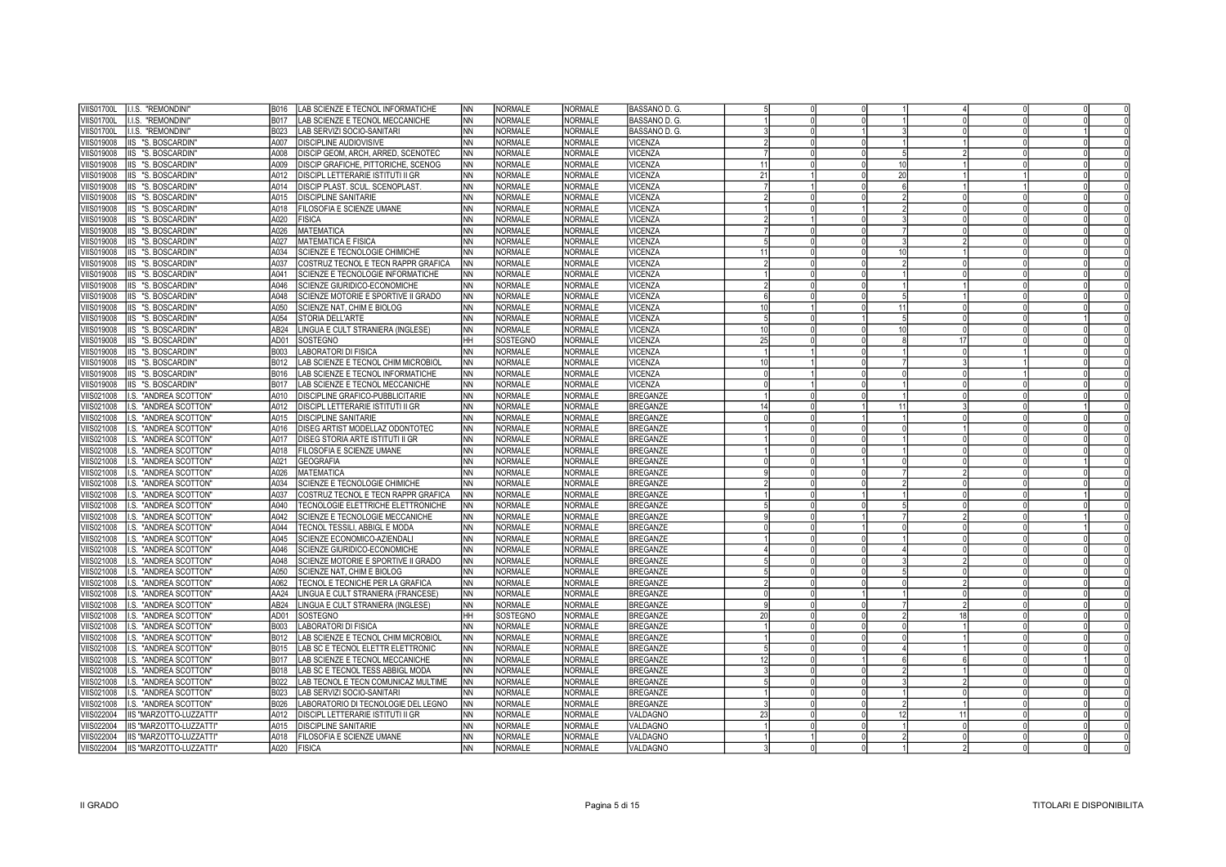| I.I.S. "REMONDINI"<br><b>VIIS01700L</b>                      | LAB SCIENZE E TECNOL INFORMATICHE<br>B016                               | <b>NN</b> | <b>NORMALE</b>     | <b>NORMALE</b>                   | BASSANO D. G.      |             |          |     |    |  |  |
|--------------------------------------------------------------|-------------------------------------------------------------------------|-----------|--------------------|----------------------------------|--------------------|-------------|----------|-----|----|--|--|
| I.I.S. "REMONDINI"<br>/IIS01700L                             | B017<br>LAB SCIENZE E TECNOL MECCANICHE                                 | <b>NN</b> | NORMALE            | <b>NORMALE</b>                   | BASSANO D. G.      |             | $\Omega$ |     |    |  |  |
| I.I.S. "REMONDINI"<br>/IIS01700L                             | B023<br>LAB SERVIZI SOCIO-SANITARI                                      | <b>NN</b> | NORMALE            | <b>NORMALE</b>                   | BASSANO D. G.      |             |          |     |    |  |  |
| IIS "S. BOSCARDIN"<br>'IIS019008                             | A007<br>DISCIPLINE AUDIOVISIVE                                          | <b>NN</b> | <b>NORMALE</b>     | <b>NORMALE</b>                   | VICENZA            |             |          |     |    |  |  |
| IIS "S. BOSCARDIN"<br>/IIS019008                             | DISCIP GEOM, ARCH, ARRED, SCENOTEC<br>800A                              | <b>NN</b> | NORMALE            | <b>NORMALE</b>                   | VICENZA            |             |          |     |    |  |  |
| /IIS019008<br>IIS "S. BOSCARDIN                              | A009<br>DISCIP GRAFICHE, PITTORICHE, SCENOG                             | <b>NN</b> | <b>NORMALE</b>     | <b>NORMALE</b>                   | VICENZA            | 11          |          | -10 |    |  |  |
| /IIS019008<br>IIS "S. BOSCARDIN"                             | A012<br>DISCIPL LETTERARIE ISTITUTI II GR                               | <b>NN</b> | NORMALE            | <b>NORMALE</b>                   | VICENZA            | 21          |          | 20  |    |  |  |
| /IIS019008<br>IIS "S. BOSCARDIN"                             | A014<br>DISCIP PLAST. SCUL. SCENOPLAST                                  | <b>NN</b> | <b>NORMALE</b>     | <b>NORMALE</b>                   | VICENZA            |             |          |     |    |  |  |
| 'IIS019008<br>IIS "S. BOSCARDIN"                             | <b>DISCIPLINE SANITARIE</b><br>A015                                     | <b>NN</b> | NORMALE            | <b>NORMALE</b>                   | VICENZA            |             |          |     |    |  |  |
| /IIS019008<br>IIS "S. BOSCARDIN"                             | A018<br>FILOSOFIA E SCIENZE UMANE                                       | <b>NN</b> | <b>NORMALE</b>     | <b>NORMALE</b>                   | VICENZA            |             |          |     |    |  |  |
| IIS "S. BOSCARDIN"<br>/IIS019008                             | A020<br><b>FISICA</b>                                                   | <b>NN</b> | NORMALE            | <b>NORMALE</b>                   | VICENZA            |             |          |     |    |  |  |
| /IIS019008<br>IIS "S. BOSCARDIN"                             | A026<br><b>MATEMATICA</b>                                               | <b>NN</b> | <b>NORMALE</b>     | <b>NORMALE</b>                   | VICENZA            |             |          |     |    |  |  |
| /IIS019008<br>IIS "S. BOSCARDIN"                             | A027<br>MATEMATICA E FISICA                                             | <b>NN</b> | NORMALE            | <b>NORMALE</b>                   | VICENZA            |             |          |     |    |  |  |
| /IIS019008<br>IIS "S. BOSCARDIN"                             | A034<br>SCIENZE E TECNOLOGIE CHIMICHE                                   | <b>NN</b> | <b>NORMALE</b>     | NORMALE                          | VICENZA            | 11          |          |     |    |  |  |
| 'IIS019008<br>IIS "S. BOSCARDIN"                             | A037<br>COSTRUZ TECNOL E TECN RAPPR GRAFICA                             | <b>NN</b> | NORMALE            | <b>NORMALE</b>                   | VICENZA            |             |          |     |    |  |  |
| 'IIS019008<br>IIS "S. BOSCARDIN"                             | A041<br>SCIENZE E TECNOLOGIE INFORMATICHE                               | <b>NN</b> | NORMALE            | <b>NORMALE</b>                   | VICENZA            |             |          |     |    |  |  |
| 'IIS019008<br>IIS "S. BOSCARDIN"                             | A046<br>SCIENZE GIURIDICO-ECONOMICHE                                    | <b>NN</b> | NORMALE            | <b>NORMALE</b>                   | VICENZA            |             |          |     |    |  |  |
| 'IIS019008<br>IIS "S. BOSCARDIN"                             | A048<br>SCIENZE MOTORIE E SPORTIVE II GRADO                             | <b>NN</b> | NORMALE            | <b>NORMALE</b>                   | VICENZA            |             |          |     |    |  |  |
| 'IIS019008<br>IIS "S. BOSCARDIN"                             | A050<br>SCIENZE NAT, CHIM E BIOLOG                                      | <b>NN</b> | NORMALE            | <b>NORMALE</b>                   | <b>VICENZA</b>     |             |          | 11  |    |  |  |
|                                                              | A054                                                                    | <b>NN</b> |                    |                                  | VICENZA            |             |          |     |    |  |  |
| 'IIS019008<br>IIS "S. BOSCARDIN"<br>IIS019008                | STORIA DELL'ARTE<br>AB24                                                | <b>NN</b> | NORMALE<br>NORMALE | <b>NORMALE</b><br><b>NORMALE</b> |                    | 10          |          |     |    |  |  |
| IIS "S. BOSCARDIN"<br><b>IIS019008</b><br>IIS "S. BOSCARDIN" | INGUA E CULT STRANIERA (INGLESE)<br>AD <sub>01</sub><br><b>SOSTEGNO</b> | HН        | SOSTEGNO           | <b>NORMALE</b>                   | VICENZA<br>VICENZA | 25          |          |     | 17 |  |  |
| /IIS019008                                                   | B003<br><b>ABORATORI DI FISICA</b>                                      | <b>NN</b> | <b>NORMALE</b>     | <b>NORMALE</b>                   | VICENZA            |             |          |     |    |  |  |
| IIS "S. BOSCARDIN"<br>/IIS019008<br>IIS "S. BOSCARDIN"       | B012<br>LAB SCIENZE E TECNOL CHIM MICROBIOL                             | <b>NN</b> | NORMALE            | <b>NORMALE</b>                   | VICENZA            |             |          |     |    |  |  |
| /IIS019008<br>IIS "S. BOSCARDIN"                             | B016<br>LAB SCIENZE E TECNOL INFORMATICHE                               | <b>NN</b> | NORMALE            | <b>NORMALE</b>                   | VICENZA            |             |          |     |    |  |  |
| /IIS019008<br>IIS "S. BOSCARDIN"                             | B017<br>LAB SCIENZE E TECNOL MECCANICHE                                 | <b>NN</b> | NORMALE            | <b>NORMALE</b>                   | <b>VICENZA</b>     |             |          |     |    |  |  |
| /IIS021008<br>I.S. "ANDREA SCOTTON"                          | A010<br>DISCIPLINE GRAFICO-PUBBLICITARIE                                | <b>NN</b> | <b>NORMALE</b>     | <b>NORMALE</b>                   | <b>BREGANZE</b>    |             |          |     |    |  |  |
| IIS021008<br>I.S. "ANDREA SCOTTON"                           | A012<br>DISCIPL LETTERARIE ISTITUTI II GR                               | <b>NN</b> | <b>NORMALE</b>     | <b>NORMALE</b>                   | <b>BREGANZE</b>    |             |          | 11  |    |  |  |
| /IIS021008<br>I.S. "ANDREA SCOTTON"                          | A015<br><b>DISCIPLINE SANITARIE</b>                                     | <b>NN</b> | <b>NORMALE</b>     | NORMALE                          | <b>BREGANZE</b>    |             | $\Omega$ |     |    |  |  |
| /IIS021008<br>I.S. "ANDREA SCOTTON"                          | A016<br>DISEG ARTIST MODELLAZ ODONTOTEC                                 | <b>NN</b> | <b>NORMALE</b>     | <b>NORMALE</b>                   | <b>BREGANZE</b>    |             |          |     |    |  |  |
| /IIS021008<br>I.S. "ANDREA SCOTTON"                          | A017<br>DISEG STORIA ARTE ISTITUTI II GR                                | <b>NN</b> | <b>NORMALE</b>     | <b>NORMALE</b>                   | <b>BREGANZE</b>    |             |          |     |    |  |  |
| IIS021008<br>I.S. "ANDREA SCOTTON"                           | A018<br>FILOSOFIA E SCIENZE UMANE                                       | <b>NN</b> | <b>NORMALE</b>     | <b>NORMALE</b>                   | <b>BREGANZE</b>    |             |          |     |    |  |  |
| IIS021008<br>I.S. "ANDREA SCOTTON"                           | A021<br><b>GEOGRAFIA</b>                                                | <b>NN</b> | NORMALE            | <b>NORMALE</b>                   | <b>BREGANZE</b>    |             |          |     |    |  |  |
| <b>IIS021008</b><br>I.S. "ANDREA SCOTTON"                    | A026<br><b>MATEMATICA</b>                                               | <b>NN</b> | NORMALE            | <b>NORMALE</b>                   | <b>BREGANZE</b>    |             |          |     |    |  |  |
| IIS021008<br>I.S. "ANDREA SCOTTON"                           | A034<br>SCIENZE E TECNOLOGIE CHIMICHE                                   | <b>NN</b> | NORMALE            | <b>NORMALE</b>                   | <b>BREGANZE</b>    |             |          |     |    |  |  |
| IIS021008<br>I.S. "ANDREA SCOTTON"                           | A037<br>COSTRUZ TECNOL E TECN RAPPR GRAFICA                             | INN       | NORMALE            | <b>NORMALE</b>                   | <b>BREGANZE</b>    |             |          |     |    |  |  |
| IIS021008<br>I.S. "ANDREA SCOTTON"                           | A040<br>TECNOLOGIE ELETTRICHE ELETTRONICHE                              | <b>NN</b> | NORMALE            | <b>NORMALE</b>                   | <b>BREGANZE</b>    |             |          |     |    |  |  |
| IIS021008<br>I.S. "ANDREA SCOTTON"                           | A042<br>SCIENZE E TECNOLOGIE MECCANICHE                                 | <b>NN</b> | NORMALE            | NORMALE                          | <b>BREGANZE</b>    |             |          |     |    |  |  |
| IIS021008<br>I.S. "ANDREA SCOTTON"                           | TECNOL TESSILI, ABBIGL E MODA<br>A044                                   | <b>NN</b> | <b>NORMALE</b>     | <b>NORMALE</b>                   | <b>BREGANZE</b>    |             | $\Omega$ |     |    |  |  |
| IIS021008<br>I.S. "ANDREA SCOTTON"                           | A045<br>SCIENZE ECONOMICO-AZIENDALI                                     | <b>NN</b> | <b>NORMALE</b>     | <b>NORMALE</b>                   | <b>BREGANZE</b>    |             |          |     |    |  |  |
| IIS021008<br>I.S. "ANDREA SCOTTON"                           | A046<br>SCIENZE GIURIDICO-ECONOMICHE                                    | <b>NN</b> | <b>NORMALE</b>     | NORMALE                          | <b>BREGANZE</b>    |             |          |     |    |  |  |
| IIS021008<br>I.S. "ANDREA SCOTTON"                           | A048<br>SCIENZE MOTORIE E SPORTIVE II GRADO                             | <b>NN</b> | NORMALE            | <b>NORMALE</b>                   | <b>BREGANZE</b>    |             |          |     |    |  |  |
| IIS021008<br>I.S. "ANDREA SCOTTON"                           | A050<br>SCIENZE NAT, CHIM E BIOLOG                                      | <b>NN</b> | <b>NORMALE</b>     | <b>NORMALE</b>                   | <b>BREGANZE</b>    |             |          |     |    |  |  |
| I.S. "ANDREA SCOTTON"<br>IIS021008                           | A062<br>TECNOL E TECNICHE PER LA GRAFICA                                | <b>NN</b> | <b>NORMALE</b>     | <b>NORMALE</b>                   | <b>BREGANZE</b>    |             |          |     |    |  |  |
| <b>IIS021008</b><br>I.S. "ANDREA SCOTTON"                    | AA24<br>INGUA E CULT STRANIERA (FRANCESE)                               | <b>NN</b> | NORMALE            | <b>NORMALE</b>                   | <b>BREGANZE</b>    |             |          |     |    |  |  |
| <b>IIS021008</b><br>I.S. "ANDREA SCOTTON"                    | AB24<br>LINGUA E CULT STRANIERA (INGLESE)                               | <b>NN</b> | NORMALE            | <b>NORMALE</b>                   | <b>BREGANZE</b>    |             |          |     |    |  |  |
| I.S. "ANDREA SCOTTON"<br><b>IIS021008</b>                    | AD <sub>01</sub><br>SOSTEGNO                                            | <b>HH</b> | SOSTEGNO           | <b>NORMALE</b>                   | <b>BREGANZE</b>    | 20          |          |     | 18 |  |  |
| <b>IIS021008</b><br>I.S. "ANDREA SCOTTON"                    | <b>ABORATORI DI FISICA</b><br>B003                                      | <b>NN</b> | NORMALE            | <b>NORMALE</b>                   | <b>BREGANZE</b>    |             |          |     |    |  |  |
| <b>IIS021008</b><br>I.S. "ANDREA SCOTTON"                    | B012<br>AB SCIENZE E TECNOL CHIM MICROBIOL                              | <b>NN</b> | NORMALE            | <b>NORMALE</b>                   | <b>BREGANZE</b>    |             |          |     |    |  |  |
| IIS021008<br>I.S. "ANDREA SCOTTON"                           | B015<br>AB SC E TECNOL ELETTR ELETTRONIC                                | <b>NN</b> | <b>NORMALE</b>     | <b>NORMALE</b>                   | <b>BREGANZE</b>    |             |          |     |    |  |  |
| IIS021008<br>I.S. "ANDREA SCOTTON"                           | B017<br>LAB SCIENZE E TECNOL MECCANICHE                                 | <b>NN</b> | NORMALE            | <b>NORMALE</b>                   | <b>BREGANZE</b>    |             |          |     |    |  |  |
| /IIS021008<br>II.S. "ANDREA SCOTTON"                         | B018<br>LAB SC E TECNOL TESS ABBIGL MODA                                | <b>NN</b> | <b>NORMALE</b>     | <b>NORMALE</b>                   | <b>BREGANZE</b>    |             |          |     |    |  |  |
| I.S. "ANDREA SCOTTON"<br>IIS021008                           | B022<br>AB TECNOL E TECN COMUNICAZ MULTIME                              | <b>NN</b> | NORMALE            | <b>NORMALE</b>                   | <b>BREGANZE</b>    |             |          |     |    |  |  |
| IIS021008<br>I.S. "ANDREA SCOTTON"                           | B023<br>LAB SERVIZI SOCIO-SANITARI                                      | <b>NN</b> | <b>NORMALE</b>     | <b>NORMALE</b>                   | <b>BREGANZE</b>    |             |          |     |    |  |  |
| IIS021008<br>I.S. "ANDREA SCOTTON"                           | B026<br>LABORATORIO DI TECNOLOGIE DEL LEGNO                             | <b>NN</b> | NORMALE            | <b>NORMALE</b>                   | <b>BREGANZE</b>    |             |          |     |    |  |  |
| <b>IIS022004</b><br>IIS "MARZOTTO-LUZZATTI"                  | A012<br>DISCIPL LETTERARIE ISTITUTI II GR                               | <b>NN</b> | <b>NORMALE</b>     | NORMALE                          | VALDAGNO           | $2^{\circ}$ |          | 12  | 11 |  |  |
| <b>IIS022004</b><br><b>IIS "MARZOTTO-LUZZATTI"</b>           | A015<br><b>DISCIPLINE SANITARIE</b>                                     | <b>NN</b> | NORMALE            | <b>NORMALE</b>                   | VALDAGNO           |             |          |     |    |  |  |
| <b>IIS022004</b><br>IIS "MARZOTTO-LUZZATTI"                  | A018<br>FILOSOFIA E SCIENZE UMANE                                       | <b>NN</b> | <b>NORMALE</b>     | <b>NORMALE</b>                   | VALDAGNO           |             |          |     |    |  |  |
| VIIS022004<br>IIS "MARZOTTO-LUZZATTI"                        | A020<br><b>FISICA</b>                                                   | <b>NN</b> | <b>NORMALE</b>     | <b>NORMALE</b>                   | VALDAGNO           |             |          |     |    |  |  |
|                                                              |                                                                         |           |                    |                                  |                    |             |          |     |    |  |  |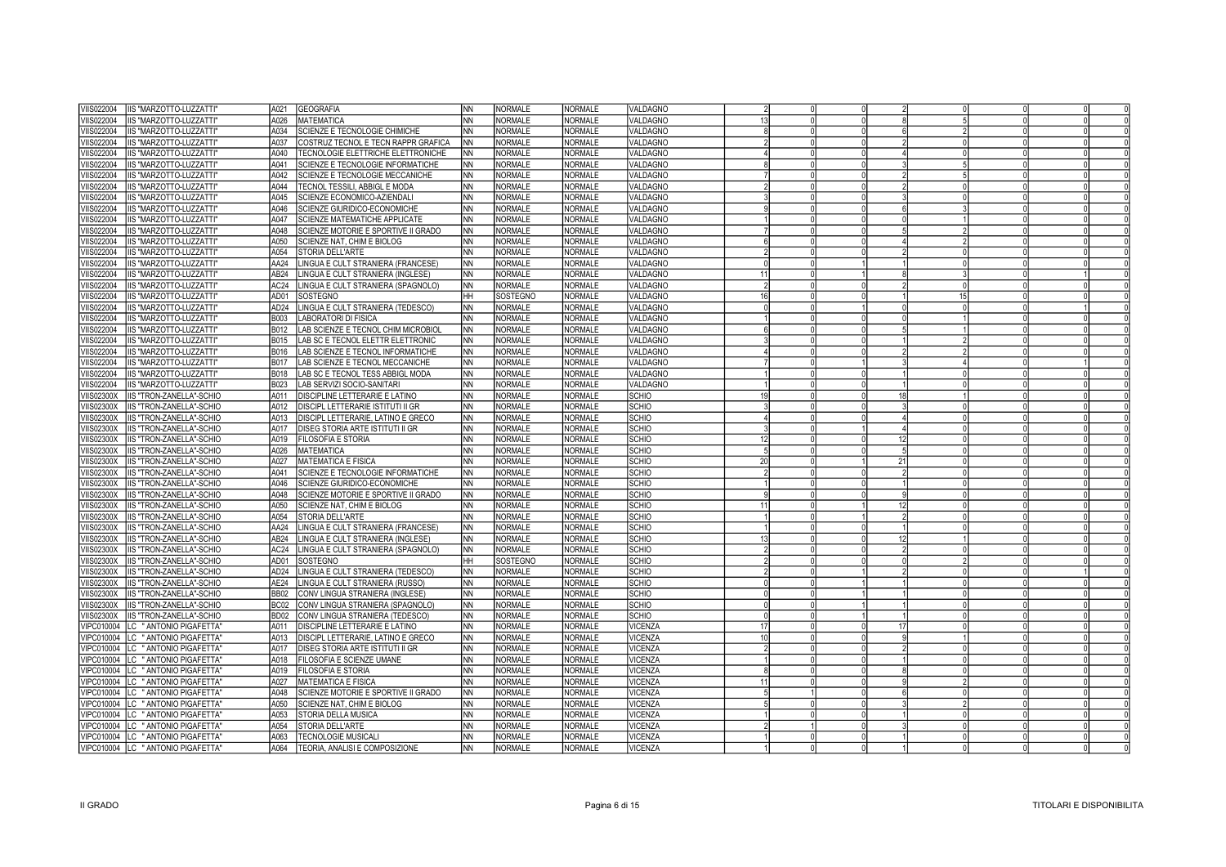| VIIS022004<br>IIS "MARZOTTO-LUZZATTI"                                               | A021<br><b>GEOGRAFIA</b>                              | <b>NN</b> | <b>NORMALE</b> | <b>NORMALE</b> | VALDAGNO       |                |  |    |    |                |  |
|-------------------------------------------------------------------------------------|-------------------------------------------------------|-----------|----------------|----------------|----------------|----------------|--|----|----|----------------|--|
| IIS "MARZOTTO-LUZZATTI"<br>/IIS022004                                               | A026<br>MATEMATICA                                    | ΝN        | <b>NORMALE</b> | <b>NORMALE</b> | VALDAGNO       |                |  |    |    |                |  |
| /IIS022004<br>IIS "MARZOTTO-LUZZATTI"                                               | A034<br>SCIENZE E TECNOLOGIE CHIMICHE                 | NΝ        | <b>NORMALE</b> | <b>NORMALE</b> | VALDAGNO       |                |  |    |    | $\overline{2}$ |  |
| <b>IIS022004</b><br>IIS "MARZOTTO-LUZZATTI"                                         | COSTRUZ TECNOL E TECN RAPPR GRAFICA<br>A037           | ΝN        | NORMALE        | <b>NORMALE</b> | VALDAGNO       |                |  |    |    |                |  |
| /IIS022004<br>IIS "MARZOTTO-LUZZATTI"                                               | TECNOLOGIE ELETTRICHE ELETTRONICHE<br>A040            | NΝ        | <b>NORMALE</b> | <b>NORMALE</b> | VALDAGNO       |                |  |    |    |                |  |
| VIIS022004<br>IIS "MARZOTTO-LUZZATTI"                                               | A041<br>SCIENZE E TECNOLOGIE INFORMATICHE             | ΝN        | <b>NORMALE</b> | <b>NORMALE</b> | VALDAGNO       |                |  |    |    |                |  |
| VIIS022004<br>IIS "MARZOTTO-LUZZATTI"                                               | A042<br>SCIENZE E TECNOLOGIE MECCANICHE               | ΝN        | <b>NORMALE</b> | <b>NORMALE</b> | VALDAGNO       |                |  |    |    |                |  |
| VIIS022004<br>IIS "MARZOTTO-LUZZATTI"                                               | A044<br>TECNOL TESSILI, ABBIGL E MODA                 | <b>NN</b> | NORMALE        | <b>NORMALE</b> | VALDAGNO       |                |  |    |    |                |  |
| <b>IIS022004</b><br>IIS "MARZOTTO-LUZZATTI"                                         | A045<br>SCIENZE ECONOMICO-AZIENDALI                   | <b>NN</b> | NORMALE        | NORMALE        | VALDAGNO       |                |  |    |    |                |  |
| VIIS022004<br>IIS "MARZOTTO-LUZZATTI"                                               | A046<br>SCIENZE GIURIDICO-ECONOMICHE                  | <b>NN</b> | NORMALE        | NORMALE        | VALDAGNO       |                |  |    |    |                |  |
| VIIS022004<br>IIS "MARZOTTO-LUZZATTI"                                               | A047<br>SCIENZE MATEMATICHE APPLICATE                 | <b>NN</b> | NORMALE        | NORMALE        | VALDAGNO       |                |  |    |    |                |  |
| /IIS022004<br>IIS "MARZOTTO-LUZZATTI"                                               | A048<br>SCIENZE MOTORIE E SPORTIVE II GRADO           | <b>NN</b> | NORMALE        | <b>NORMALE</b> | VALDAGNO       |                |  |    |    |                |  |
| /IIS022004<br>IIS "MARZOTTO-LUZZATTI"                                               | A050<br>SCIENZE NAT, CHIM E BIOLOG                    | NN        | NORMALE        | <b>NORMALE</b> | VALDAGNO       |                |  |    |    |                |  |
| /IIS022004<br>IIS "MARZOTTO-LUZZATTI"                                               | A054<br>STORIA DELL'ARTE                              | <b>NN</b> | NORMALE        | NORMALE        | VALDAGNO       |                |  |    |    |                |  |
| /IIS022004<br>IIS "MARZOTTO-LUZZATTI"                                               | AA24<br>LINGUA E CULT STRANIERA (FRANCESE)            | <b>NN</b> | <b>NORMALE</b> | <b>NORMALE</b> | VALDAGNO       |                |  |    |    |                |  |
| /IIS022004<br>IIS "MARZOTTO-LUZZATTI"                                               | LINGUA E CULT STRANIERA (INGLESE)<br>AB24             | <b>NN</b> | <b>NORMALE</b> | <b>NORMALE</b> | VALDAGNO       | 11             |  |    |    | $\mathcal{R}$  |  |
| IIS "MARZOTTO-LUZZATTI"<br>VIIS022004                                               | AC24<br>LINGUA E CULT STRANIERA (SPAGNOLO)            | <b>NN</b> | <b>NORMALE</b> | <b>NORMALE</b> | VALDAGNO       |                |  |    |    |                |  |
| VIIS022004<br>IIS "MARZOTTO-LUZZATTI"                                               | AD01<br>SOSTEGNO                                      | HH        | SOSTEGNO       | <b>NORMALE</b> | VALDAGNO       | 16             |  |    | 15 |                |  |
| /IIS022004<br>IIS "MARZOTTO-LUZZATTI"                                               | AD <sub>24</sub><br>LINGUA E CULT STRANIERA (TEDESCO) | <b>NN</b> | <b>NORMALE</b> | <b>NORMALE</b> | VALDAGNO       |                |  |    |    |                |  |
|                                                                                     | <b>LABORATORI DI FISICA</b><br><b>B003</b>            | <b>NN</b> | Inormale       | NORMALE        | VALDAGNO       |                |  |    |    |                |  |
| <b>IIS022004</b><br>IIS "MARZOTTO-LUZZATTI"<br>IIS022004<br>IIS "MARZOTTO-LUZZATTI" | LAB SCIENZE E TECNOL CHIM MICROBIOL<br><b>B012</b>    | <b>NN</b> | NORMALE        | <b>NORMALE</b> | VALDAGNO       |                |  |    |    |                |  |
| /IIS022004<br>IIS "MARZOTTO-LUZZATTI"                                               | LAB SC E TECNOL ELETTR ELETTRONIC<br><b>B015</b>      | <b>NN</b> | Inormale       | NORMALE        | VALDAGNO       |                |  |    |    |                |  |
|                                                                                     | LAB SCIENZE E TECNOL INFORMATICHE<br>B016             | <b>NN</b> | NORMALE        | NORMALE        | VALDAGNO       |                |  |    |    |                |  |
| IIS022004<br>IIS "MARZOTTO-LUZZATTI"                                                | <b>B017</b>                                           | <b>NN</b> | INORMALE       | NORMALE        |                |                |  |    |    |                |  |
| <b>IIS022004</b><br>IIS "MARZOTTO-LUZZATTI"                                         | LAB SCIENZE E TECNOL MECCANICHE                       |           | <b>NORMALE</b> | <b>NORMALE</b> | VALDAGNO       |                |  |    |    |                |  |
| IIS022004<br>IIS "MARZOTTO-LUZZATTI"                                                | <b>B018</b><br>LAB SC E TECNOL TESS ABBIGL MODA       | <b>NN</b> |                |                | VALDAGNO       |                |  |    |    |                |  |
| <b>IIS022004</b><br>IIS "MARZOTTO-LUZZATTI"                                         | B023<br>LAB SERVIZI SOCIO-SANITARI                    | <b>NN</b> | NORMALE        | NORMALE        | VALDAGNO       |                |  |    |    |                |  |
| <b>IIS02300X</b><br>IIS "TRON-ZANELLA"-SCHIO                                        | DISCIPLINE LETTERARIE E LATINO<br>A011                | <b>NN</b> | NORMALE        | NORMALE        | SCHIO          |                |  | 18 |    |                |  |
| <b>IIS02300X</b><br>IIS "TRON-ZANELLA"-SCHIO                                        | DISCIPL LETTERARIE ISTITUTI II GR<br>A012             | <b>NN</b> | NORMALE        | NORMALE        | SCHIO          |                |  |    |    |                |  |
| <b>IIS02300X</b><br>IIS "TRON-ZANELLA"-SCHIO                                        | DISCIPL LETTERARIE, LATINO E GRECO<br>A013            | <b>NN</b> | NORMALE        | <b>NORMALE</b> | SCHIO          |                |  |    |    |                |  |
| <b>IIS02300X</b><br>IIS "TRON-ZANELLA"-SCHIO                                        | A017<br>DISEG STORIA ARTE ISTITUTI II GR              | <b>NN</b> | <b>NORMALE</b> | <b>NORMALE</b> | <b>SCHIO</b>   |                |  |    |    |                |  |
| IIS02300X<br>IIS "TRON-ZANELLA"-SCHIO                                               | FILOSOFIA E STORIA<br>A019                            | <b>NN</b> | <b>NORMALE</b> | <b>NORMALE</b> | <b>SCHIO</b>   |                |  | 12 |    |                |  |
| <b>IIS02300X</b><br>IIS "TRON-ZANELLA"-SCHIO                                        | <b>MATEMATICA</b><br>A026                             | <b>NN</b> | <b>NORMALE</b> | <b>NORMALE</b> | SCHIO          |                |  |    |    |                |  |
| IIS02300X<br>IIS "TRON-ZANELLA"-SCHIO                                               | A027<br><b>MATEMATICA E FISICA</b>                    | <b>NN</b> | <b>NORMALE</b> | <b>NORMALE</b> | <b>SCHIO</b>   | $\overline{2}$ |  | 21 |    |                |  |
| <b>IIS02300X</b><br>IIS "TRON-ZANELLA"-SCHIO                                        | A041<br>SCIENZE E TECNOLOGIE INFORMATICHE             | <b>NN</b> | <b>NORMALE</b> | <b>NORMALE</b> | SCHIO          |                |  |    |    |                |  |
| 'IIS02300X<br>IIS "TRON-ZANELLA"-SCHIO                                              | A046<br>SCIENZE GIURIDICO-ECONOMICHE                  | NN        | NORMALE        | <b>NORMALE</b> | <b>SCHIO</b>   |                |  |    |    |                |  |
| /IIS02300X<br><b>IIS "TRON-ZANELLA"-SCHIO</b>                                       | SCIENZE MOTORIE E SPORTIVE II GRADO<br>A048           | ΝN        | <b>NORMALE</b> | <b>NORMALE</b> | SCHIO          |                |  |    |    |                |  |
| VIIS02300X<br>IIS "TRON-ZANELLA"-SCHIO                                              | A050<br>SCIENZE NAT, CHIM E BIOLOG                    | NN        | <b>NORMALE</b> | <b>NORMALE</b> | <b>SCHIO</b>   |                |  | 12 |    |                |  |
| /IIS02300X<br><b>IIS "TRON-ZANELLA"-SCHIO</b>                                       | A054<br>STORIA DELL'ARTE                              | <b>NN</b> | NORMALE        | NORMALE        | SCHIO          |                |  |    |    |                |  |
| VIIS02300X<br>IIS "TRON-ZANELLA"-SCHIO                                              | LINGUA E CULT STRANIERA (FRANCESE)<br>AA24            | <b>NN</b> | NORMALE        | <b>NORMALE</b> | <b>SCHIO</b>   |                |  |    |    |                |  |
| <b>IIS02300X</b><br><b>IIS "TRON-ZANELLA"-SCHIO</b>                                 | AB <sub>24</sub><br>LINGUA E CULT STRANIERA (INGLESE) | NN        | NORMALE        | <b>NORMALE</b> | <b>SCHIO</b>   |                |  | 12 |    |                |  |
| <b>VIIS02300X</b><br><b>IIS "TRON-ZANELLA"-SCHIO</b>                                | AC24<br>LINGUA E CULT STRANIERA (SPAGNOLO)            | <b>NN</b> | NORMALE        | NORMALE        | <b>SCHIO</b>   |                |  |    |    |                |  |
| <b>VIIS02300X</b><br><b>IIS "TRON-ZANELLA"-SCHIO</b>                                | AD01<br>SOSTEGNO                                      | HН        | SOSTEGNO       | <b>NORMALE</b> | <b>SCHIO</b>   |                |  |    |    |                |  |
| /IIS02300X<br>IIS "TRON-ZANELLA"-SCHIO                                              | LINGUA E CULT STRANIERA (TEDESCO)<br>AD <sub>24</sub> | <b>NN</b> | NORMALE        | <b>NORMALE</b> | SCHIO          |                |  |    |    |                |  |
| 'IIS02300X<br><b>IIS "TRON-ZANELLA"-SCHIO</b>                                       | AE24<br>LINGUA E CULT STRANIERA (RUSSO)               | <b>NN</b> | <b>NORMALE</b> | <b>NORMALE</b> | SCHIO          |                |  |    |    |                |  |
| <b>IIS "TRON-ZANELLA"-SCHIO</b><br><b>VIIS02300X</b>                                | <b>BB02</b><br>CONV LINGUA STRANIERA (INGLESE)        | <b>NN</b> | NORMALE        | <b>NORMALE</b> | <b>SCHIO</b>   |                |  |    |    |                |  |
| VIIS02300X<br><b>IIS "TRON-ZANELLA"-SCHIO</b>                                       | <b>BC02</b><br>CONV LINGUA STRANIERA (SPAGNOLO)       | <b>NN</b> | <b>NORMALE</b> | <b>NORMALE</b> | SCHIO          |                |  |    |    |                |  |
| <b>IIS "TRON-ZANELLA"-SCHIO</b><br><b>VIIS02300X</b>                                | CONV LINGUA STRANIERA (TEDESCO)<br>BD <sub>02</sub>   | <b>NN</b> | NORMALE        | <b>NORMALE</b> | <b>SCHIO</b>   |                |  |    |    | $\Omega$       |  |
| VIPC010004 LC "ANTONIO PIGAFETTA'                                                   | DISCIPLINE LETTERARIE E LATINO<br>A011                | <b>NN</b> | NORMALE        | <b>NORMALE</b> | VICENZA        |                |  | 17 |    |                |  |
| VIPC010004   LC " ANTONIO PIGAFETTA'                                                | A013<br>DISCIPL LETTERARIE, LATINO E GRECO            | <b>NN</b> | NORMALE        | <b>NORMALE</b> | VICENZA        | 10             |  |    |    |                |  |
| VIPC010004   LC " ANTONIO PIGAFETTA"                                                | DISEG STORIA ARTE ISTITUTI II GR<br>A017              | <b>NN</b> | NORMALE        | <b>NORMALE</b> | VICENZA        |                |  |    |    |                |  |
| VIPC010004   LC " ANTONIO PIGAFETTA"                                                | FILOSOFIA E SCIENZE UMANE<br>A018                     | <b>NN</b> | INORMALE       | NORMALE        | VICENZA        |                |  |    |    |                |  |
| VIPC010004 ILC "ANTONIO PIGAFETTA"                                                  | A019<br>FILOSOFIA E STORIA                            | <b>NN</b> | Inormale       | NORMALE        | VICENZA        |                |  |    |    |                |  |
| VIPC010004   LC " ANTONIO PIGAFETTA'                                                | A027<br><b>MATEMATICA E FISICA</b>                    | <b>NN</b> | Inormale       | NORMALE        | VICENZA        |                |  |    |    |                |  |
| VIPC010004   LC " ANTONIO PIGAFETTA"                                                | A048<br>SCIENZE MOTORIE E SPORTIVE II GRADO           | <b>NN</b> | NORMALE        | <b>NORMALE</b> | VICENZA        |                |  |    |    |                |  |
| VIPC010004   LC " ANTONIO PIGAFETTA"                                                | A050<br>SCIENZE NAT, CHIM E BIOLOG                    | <b>NN</b> | <b>NORMALE</b> | <b>NORMALE</b> | <b>VICENZA</b> |                |  |    |    |                |  |
| VIPC010004 LC "ANTONIO PIGAFETTA"                                                   | STORIA DELLA MUSICA<br>A053                           | <b>NN</b> | NORMALE        | <b>NORMALE</b> | VICENZA        |                |  |    |    |                |  |
| VIPC010004 LC "ANTONIO PIGAFETTA'                                                   | A054<br>STORIA DELL'ARTE                              | <b>NN</b> | NORMALE        | <b>NORMALE</b> | VICENZA        |                |  |    |    |                |  |
| VIPC010004 LC "ANTONIO PIGAFETTA'                                                   | A063<br><b>TECNOLOGIE MUSICALI</b>                    | <b>NN</b> | NORMALE        | <b>NORMALE</b> | VICENZA        |                |  |    |    |                |  |
| VIPC010004  LC " ANTONIO PIGAFETTA"                                                 | A064<br>TEORIA, ANALISI E COMPOSIZIONE                | <b>NN</b> | NORMALE        | <b>NORMALE</b> | VICENZA        |                |  |    |    |                |  |
|                                                                                     |                                                       |           |                |                |                |                |  |    |    |                |  |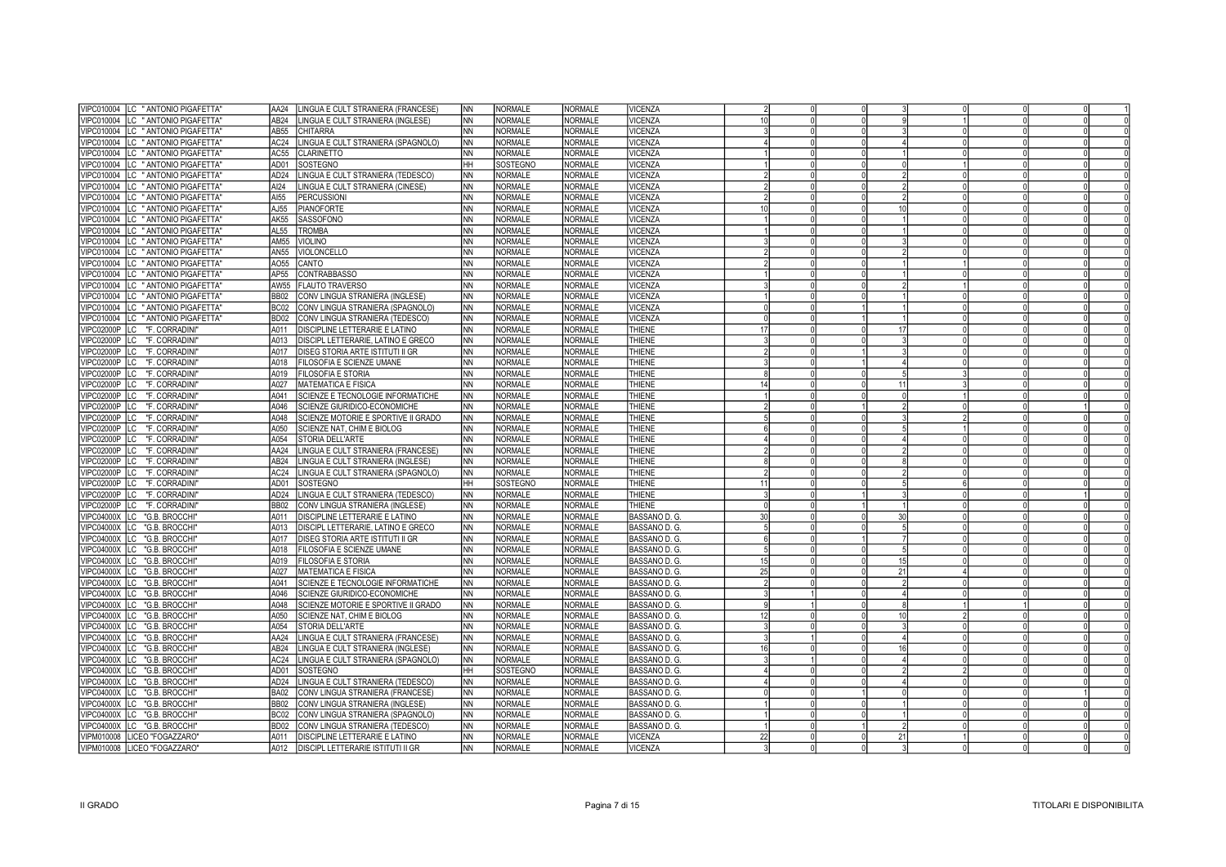| VIPC010004   LC " ANTONIO PIGAFETTA'   | AA24             | LINGUA E CULT STRANIERA (FRANCESE)       | NN.       | <b>NORMALE</b> | <b>NORMALE</b> | VICENZA        |                 |    |  |  |
|----------------------------------------|------------------|------------------------------------------|-----------|----------------|----------------|----------------|-----------------|----|--|--|
| VIPC010004  LC "ANTONIO PIGAFETTA"     | AB <sub>24</sub> | LINGUA E CULT STRANIERA (INGLESE)        | INN.      | <b>NORMALE</b> | <b>NORMALE</b> | /ICENZA        | 10I             |    |  |  |
| VIPC010004  LC "ANTONIO PIGAFETTA"     | AB55             | CHITARRA                                 | <b>NN</b> | <b>NORMALE</b> | <b>NORMALE</b> | <b>VICENZA</b> |                 |    |  |  |
| VIPC010004   LC " ANTONIO PIGAFETTA'   | AC24             | LINGUA E CULT STRANIERA (SPAGNOLO)       | NN.       | <b>NORMALE</b> | <b>NORMALE</b> | <b>VICENZA</b> |                 |    |  |  |
| VIPC010004  LC " ANTONIO PIGAFETTA'    | AC55             | <b>CLARINETTO</b>                        | <b>NN</b> | <b>NORMALE</b> | <b>NORMALE</b> | VICENZA        |                 |    |  |  |
| VIPC010004  LC "ANTONIO PIGAFETTA"     | AD01             | SOSTEGNO                                 | <b>HH</b> | SOSTEGNO       | <b>NORMALE</b> | VICENZA        |                 |    |  |  |
| VIPC010004  LC "ANTONIO PIGAFETTA"     | AD <sub>24</sub> | LINGUA E CULT STRANIERA (TEDESCO)        | ΝN        | <b>NORMALE</b> | <b>NORMALE</b> | VICENZA        |                 |    |  |  |
| VIPC010004   LC " ANTONIO PIGAFETTA"   | AI24             | LINGUA E CULT STRANIERA (CINESE)         | <b>NN</b> | <b>NORMALE</b> | <b>NORMALE</b> | VICENZA        |                 |    |  |  |
| VIPC010004 ILC "ANTONIO PIGAFETTA"     | AI55             | PERCUSSIONI                              | ΝN        | <b>NORMALE</b> | <b>NORMALE</b> | <b>VICENZA</b> |                 |    |  |  |
| VIPC010004  LC "ANTONIO PIGAFETTA"     | AJ55             | <b>PIANOFORTE</b>                        | <b>NN</b> | NORMALE        | NORMALE        | VICENZA        | 10 <sup>1</sup> | 10 |  |  |
| VIPC010004  LC "ANTONIO PIGAFETTA"     | <b>AK55</b>      | SASSOFONO                                | NN        | <b>NORMALE</b> | <b>NORMALE</b> | VICENZA        |                 |    |  |  |
|                                        | <b>AL55</b>      | <b>TROMBA</b>                            | NN        | NORMALE        | NORMALE        | VICENZA        |                 |    |  |  |
| VIPC010004   LC " ANTONIO PIGAFETTA'   | AM55             |                                          | ΝN        | <b>NORMALE</b> | <b>NORMALE</b> |                |                 |    |  |  |
| VIPC010004  LC " ANTONIO PIGAFETTA'    |                  | <b>VIOLINO</b>                           |           |                |                | VICENZA        |                 |    |  |  |
| VIPC010004 ILC "ANTONIO PIGAFETTA"     | AN55             | VIOLONCELLO                              | ΝN        | <b>NORMALE</b> | <b>NORMALE</b> | <b>VICENZA</b> |                 |    |  |  |
| VIPC010004  LC " ANTONIO PIGAFETTA'    | A055             | CANTO                                    | ΝN        | <b>NORMALE</b> | <b>NORMALE</b> | <b>VICENZA</b> |                 |    |  |  |
| VIPC010004   LC " ANTONIO PIGAFETTA"   | AP55             | <b>CONTRABBASSO</b>                      | NN.       | NORMALE        | <b>NORMALE</b> | <b>VICENZA</b> |                 |    |  |  |
| VIPC010004  LC " ANTONIO PIGAFETTA'    | AW55             | <b>FLAUTO TRAVERSO</b>                   | ΝN        | <b>NORMALE</b> | <b>NORMALE</b> | <b>VICENZA</b> |                 |    |  |  |
| VIPC010004 ILC "ANTONIO PIGAFETTA"     | <b>BB02</b>      | CONV LINGUA STRANIERA (INGLESE)          | NN.       | NORMALE        | <b>NORMALE</b> | <b>VICENZA</b> |                 |    |  |  |
| VIPC010004   LC " ANTONIO PIGAFETTA"   | BC02             | CONV LINGUA STRANIERA (SPAGNOLO)         | ΝN        | <b>NORMALE</b> | <b>NORMALE</b> | <b>VICENZA</b> |                 |    |  |  |
| VIPC010004   LC " ANTONIO PIGAFETTA"   | <b>BD02</b>      | CONV LINGUA STRANIERA (TEDESCO)          | NN.       | NORMALE        | <b>NORMALE</b> | <b>VICENZA</b> |                 |    |  |  |
| VIPC02000P   LC "F. CORRADINI"         | A011             | DISCIPLINE LETTERARIE E LATINO           | ΝN        | <b>NORMALE</b> | <b>NORMALE</b> | <b>THIENE</b>  | 17              |    |  |  |
| VIPC02000P   LC "F. CORRADINI"         | A013             | DISCIPL LETTERARIE, LATINO E GRECO       | NN.       | <b>NORMALE</b> | <b>NORMALE</b> | <b>THIENE</b>  |                 |    |  |  |
| VIPC02000P   LC "F. CORRADINI"         | A017             | DISEG STORIA ARTE ISTITUTI II GR         | <b>NN</b> | <b>NORMALE</b> | <b>NORMALE</b> | <b>THIENE</b>  |                 |    |  |  |
| VIPC02000P   LC "F. CORRADINI"         | A018             | FILOSOFIA E SCIENZE UMANE                | NN        | <b>NORMALE</b> | <b>NORMALE</b> | <b>THIENE</b>  |                 |    |  |  |
| VIPC02000P   LC "F. CORRADINI"         | A019             | FILOSOFIA E STORIA                       | ΝN        | <b>NORMALE</b> | <b>NORMALE</b> | <b>THIENE</b>  |                 |    |  |  |
| <b>VIPC02000P</b><br>LC "F. CORRADINI" | A027             | MATEMATICA E FISICA                      | NN        | <b>NORMALE</b> | <b>NORMALE</b> | <b>THIENE</b>  |                 |    |  |  |
| <b>VIPC02000P</b><br>LC "F. CORRADINI" | A041             | SCIENZE E TECNOLOGIE INFORMATICHE        | INN.      | <b>NORMALE</b> | <b>NORMALE</b> | THIENE         |                 |    |  |  |
| VIPC02000P LC "F. CORRADINI"           | A046             | SCIENZE GIURIDICO-ECONOMICHE             | <b>NN</b> | <b>NORMALE</b> | <b>NORMALE</b> | <b>THIENE</b>  |                 |    |  |  |
| VIPC02000P LC "F. CORRADINI"           | A048             | SCIENZE MOTORIE E SPORTIVE II GRADO      | NN.       | <b>NORMALE</b> | <b>NORMALE</b> | <b>THIENE</b>  |                 |    |  |  |
| VIPC02000P LC "F. CORRADINI"           | A050             | SCIENZE NAT, CHIM E BIOLOG               | NN.       | <b>NORMALE</b> | <b>NORMALE</b> | <b>THIENE</b>  |                 |    |  |  |
| VIPC02000P   LC "F. CORRADINI"         | A054             | STORIA DELL'ARTE                         | <b>NN</b> | <b>NORMALE</b> | <b>NORMALE</b> | <b>THIENE</b>  |                 |    |  |  |
| VIPC02000P   LC "F. CORRADINI"         | AA24             | LINGUA E CULT STRANIERA (FRANCESE)       | <b>NN</b> | NORMALE        | <b>NORMALE</b> | <b>THIENE</b>  |                 |    |  |  |
| VIPC02000P   LC "F. CORRADINI"         | AB <sub>24</sub> | LINGUA E CULT STRANIERA (INGLESE)        | INN.      | NORMALE        | <b>NORMALE</b> | <b>THIENE</b>  |                 |    |  |  |
| VIPC02000P   LC "F. CORRADINI"         | AC24             | LINGUA E CULT STRANIERA (SPAGNOLO)       | NN        | <b>NORMALE</b> | <b>NORMALE</b> | <b>THIENE</b>  |                 |    |  |  |
| VIPC02000P   LC "F. CORRADINI"         | AD01             | SOSTEGNO                                 | <b>HH</b> | SOSTEGNO       | NORMALE        | <b>THIENE</b>  | 11              |    |  |  |
| VIPC02000P   LC "F. CORRADINI"         | AD24             | LINGUA E CULT STRANIERA (TEDESCO)        | NN        | NORMALE        | <b>NORMALE</b> | <b>THIENE</b>  |                 |    |  |  |
| VIPC02000P   LC "F. CORRADINI"         | <b>BB02</b>      | CONV LINGUA STRANIERA (INGLESE)          | NN.       | <b>NORMALE</b> | NORMALE        | <b>THIENE</b>  |                 |    |  |  |
| VIPC04000X LC "G.B. BROCCHI"           | A011             | DISCIPLINE LETTERARIE E LATINO           | ΝN        | <b>NORMALE</b> | <b>NORMALE</b> | BASSANO D. G.  | 30 <sup>1</sup> | 30 |  |  |
| VIPC04000X LC "G.B. BROCCHI"           | A013             | DISCIPL LETTERARIE, LATINO E GRECO       | NN.       | <b>NORMALE</b> | <b>NORMALE</b> | BASSANO D. G.  | 5 <sup>1</sup>  |    |  |  |
| VIPC04000X  LC "G.B. BROCCHI"          | A017             | DISEG STORIA ARTE ISTITUTI II GR         | ΝN        | <b>NORMALE</b> | <b>NORMALE</b> | BASSANO D. G.  | ĥ               |    |  |  |
| VIPC04000X LC "G.B. BROCCHI"           | A018             | FILOSOFIA E SCIENZE UMANE                | NN.       | NORMALE        | <b>NORMALE</b> | BASSANO D. G.  |                 |    |  |  |
| VIPC04000X LC "G.B. BROCCHI"           | A019             | <b>FILOSOFIA E STORIA</b>                | ΝN        | <b>NORMALE</b> | <b>NORMALE</b> | BASSANO D. G.  | 15              |    |  |  |
| VIPC04000X LC "G.B. BROCCHI"           | A027             | MATEMATICA E FISICA                      | INN.      | NORMALE        | <b>NORMALE</b> | BASSANO D. G.  | 25              | 21 |  |  |
|                                        |                  |                                          |           |                |                |                |                 |    |  |  |
| VIPC04000X LC "G.B. BROCCHI"           | A041             | SCIENZE E TECNOLOGIE INFORMATICHE        | ΝN        | <b>NORMALE</b> | <b>NORMALE</b> | BASSANO D. G.  |                 |    |  |  |
| VIPC04000X LC "G.B. BROCCHI"           | A046             | SCIENZE GIURIDICO-ECONOMICHE             | NN.       | <b>NORMALE</b> | <b>NORMALE</b> | BASSANO D. G.  |                 |    |  |  |
| VIPC04000X LC "G.B. BROCCHI"           | A048             | SCIENZE MOTORIE E SPORTIVE II GRADO      | <b>NN</b> | <b>NORMALE</b> | <b>NORMALE</b> | BASSANO D. G.  |                 |    |  |  |
| VIPC04000X LC "G.B. BROCCHI"           | A050             | SCIENZE NAT, CHIM E BIOLOG               | <b>NN</b> | <b>NORMALE</b> | <b>NORMALE</b> | BASSANO D. G.  |                 |    |  |  |
| VIPC04000X LC "G.B. BROCCHI"           | A054             | STORIA DELL'ARTE                         | NN        | <b>NORMALE</b> | <b>NORMALE</b> | BASSANO D. G.  |                 |    |  |  |
| VIPC04000X LC "G.B. BROCCHI"           | AA24             | INGUA E CULT STRANIERA (FRANCESE)        | ΝN        | <b>NORMALE</b> | <b>NORMALE</b> | BASSANO D. G.  |                 |    |  |  |
| VIPC04000X LC "G.B. BROCCHI"           | AB <sub>24</sub> | LINGUA E CULT STRANIERA (INGLESE)        | <b>NN</b> | <b>NORMALE</b> | <b>NORMALE</b> | BASSANO D. G.  | 16I             | 16 |  |  |
| VIPC04000X LC "G.B. BROCCHI"           | AC24             | LINGUA E CULT STRANIERA (SPAGNOLO)       | <b>NN</b> | <b>NORMALE</b> | <b>NORMALE</b> | BASSANO D. G.  |                 |    |  |  |
| VIPC04000X LC "G.B. BROCCHI"           | AD01             | <b>SOSTEGNO</b>                          | <b>HH</b> | SOSTEGNO       | <b>NORMALE</b> | BASSANO D. G.  |                 |    |  |  |
| VIPC04000X LC "G.B. BROCCHI"           | AD <sub>24</sub> | INGUA E CULT STRANIERA (TEDESCO)         | <b>NN</b> | <b>NORMALE</b> | <b>NORMALE</b> | BASSANO D. G.  |                 |    |  |  |
| VIPC04000X LC "G.B. BROCCHI"           | <b>BA02</b>      | CONV LINGUA STRANIERA (FRANCESE)         | NN.       | <b>NORMALE</b> | <b>NORMALE</b> | BASSANO D. G.  |                 |    |  |  |
| VIPC04000X LC "G.B. BROCCHI"           | <b>BB02</b>      | CONV LINGUA STRANIERA (INGLESE)          | INN.      | <b>NORMALE</b> | <b>NORMALE</b> | BASSANO D. G.  |                 |    |  |  |
| VIPC04000X LC "G.B. BROCCHI"           | BC02             | CONV LINGUA STRANIERA (SPAGNOLO)         | INN.      | NORMALE        | <b>NORMALE</b> | BASSANO D. G.  |                 |    |  |  |
| VIPC04000X LC "G.B. BROCCHI"           | <b>BD02</b>      | CONV LINGUA STRANIERA (TEDESCO)          | NN        | <b>NORMALE</b> | <b>NORMALE</b> | BASSANO D. G.  |                 |    |  |  |
| VIPM010008  LICEO "FOGAZZARO"          | A011             | DISCIPLINE LETTERARIE E LATINO           | <b>NN</b> | NORMALE        | NORMALE        | <b>VICENZA</b> | 22              | 21 |  |  |
| VIPM010008  LICEO "FOGAZZARO"          | A012             | <b>DISCIPL LETTERARIE ISTITUTI II GR</b> | <b>NN</b> | NORMALE        | <b>NORMALE</b> | <b>VICENZA</b> |                 |    |  |  |
|                                        |                  |                                          |           |                |                |                |                 |    |  |  |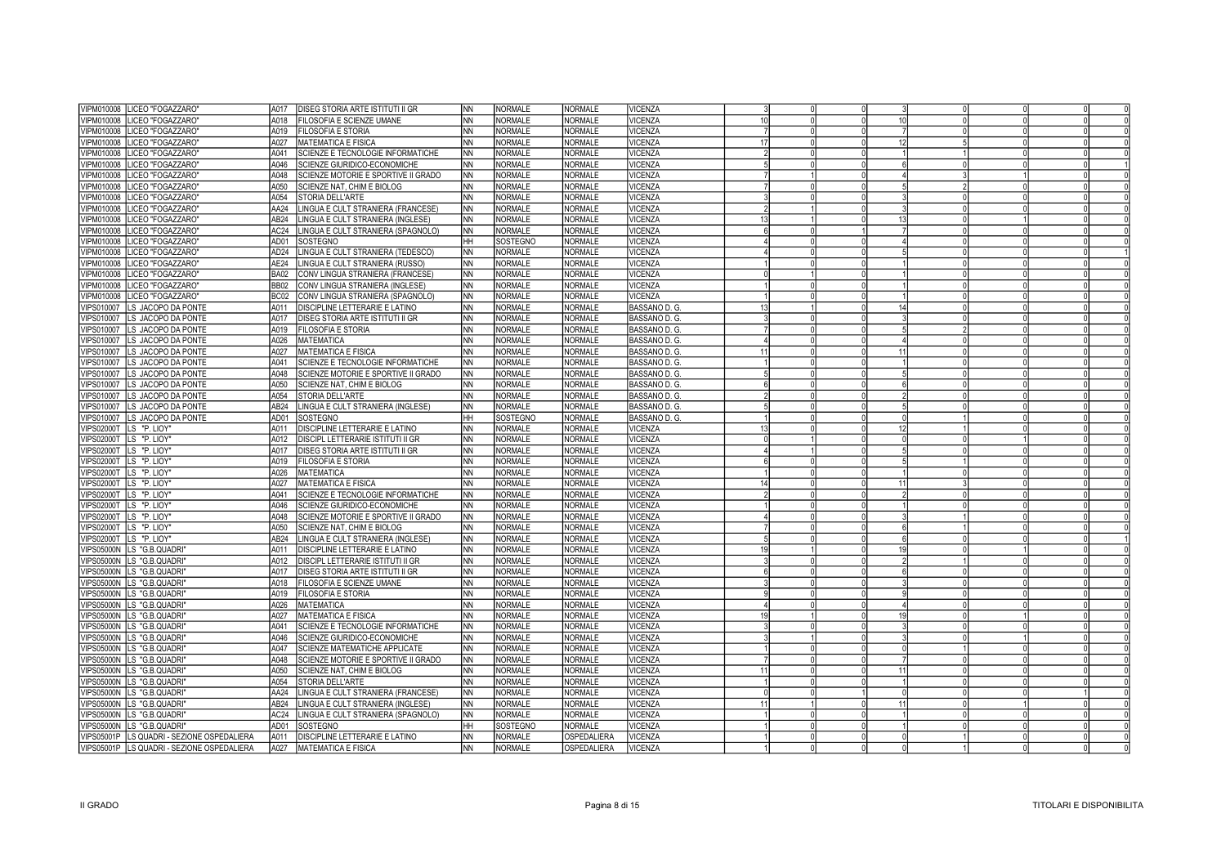| VIPM010008 LICEO "FOGAZZARO"                 | A017             | DISEG STORIA ARTE ISTITUTI II GR    | <b>NN</b>  | <b>NORMALE</b> | <b>NORMALE</b> | VICENZA        |                 |             |  |  |
|----------------------------------------------|------------------|-------------------------------------|------------|----------------|----------------|----------------|-----------------|-------------|--|--|
| VIPM010008<br>LICEO "FOGAZZARO"              | A018             | FILOSOFIA E SCIENZE UMANE           | <b>NN</b>  | <b>NORMALE</b> | <b>NORMALE</b> | /ICENZA        | 10 <sup>1</sup> | 10          |  |  |
| VIPM010008<br>LICEO "FOGAZZARO"              | A019             | <b>FILOSOFIA E STORIA</b>           | <b>NN</b>  | NORMALE        | <b>NORMALE</b> | VICENZA        |                 |             |  |  |
| VIPM010008<br>LICEO "FOGAZZARO"              | A027             | <b>MATEMATICA E FISICA</b>          | <b>NN</b>  | NORMALE        | NORMALE        | VICENZA        | 17 <sup>1</sup> | 12          |  |  |
| VIPM010008<br>LICEO "FOGAZZARO"              | A041             | SCIENZE E TECNOLOGIE INFORMATICHE   | <b>NN</b>  | NORMALE        | NORMALE        | <b>VICENZA</b> |                 |             |  |  |
| LICEO "FOGAZZARO"<br>VIPM010008              | A046             | SCIENZE GIURIDICO-ECONOMICHE        | <b>NN</b>  | NORMALE        | NORMALE        | VICENZA        |                 |             |  |  |
| VIPM010008<br>LICEO "FOGAZZARO"              | A048             | SCIENZE MOTORIE E SPORTIVE II GRADO | <b>NN</b>  | <b>NORMALE</b> | <b>NORMALE</b> | VICENZA        |                 |             |  |  |
| LICEO "FOGAZZARO"<br>VIPM010008              | A050             | SCIENZE NAT. CHIM E BIOLOG          | INN.       | NORMALE        | NORMALE        | <b>VICENZA</b> |                 |             |  |  |
| LICEO "FOGAZZARO"<br>VIPM010008              | A054             | STORIA DELL'ARTE                    | <b>NN</b>  | NORMALE        | NORMALE        | VICENZA        |                 |             |  |  |
| VIPM010008<br>LICEO "FOGAZZARO"              | <b>AA24</b>      | LINGUA E CULT STRANIERA (FRANCESE)  | INN.       | NORMALE        | NORMALE        | VICENZA        |                 |             |  |  |
| LICEO "FOGAZZARO"<br>VIPM010008              | AB24             | LINGUA E CULT STRANIERA (INGLESE)   | <b>NN</b>  | <b>NORMALE</b> | NORMALE        | VICENZA        | 13              |             |  |  |
| VIPM010008<br>LICEO "FOGAZZARO"              | AC <sub>24</sub> | LINGUA E CULT STRANIERA (SPAGNOLO)  | INN.       | NORMALE        | NORMALE        | VICENZA        | $\mathsf{R}$    |             |  |  |
| VIPM010008 LICEO "FOGAZZARO"                 | AD01             | SOSTEGNO                            | HН         | SOSTEGNO       | <b>NORMALE</b> | VICENZA        |                 |             |  |  |
| VIPM010008<br>LICEO "FOGAZZARO"              | AD <sub>24</sub> | LINGUA E CULT STRANIERA (TEDESCO)   | INN.       | <b>NORMALE</b> | NORMALE        | <b>VICENZA</b> |                 |             |  |  |
| VIPM010008 LICEO "FOGAZZARO"                 | AE24             | LINGUA E CULT STRANIERA (RUSSO)     | <b>NN</b>  | NORMALE        | <b>NORMALE</b> | <b>VICENZA</b> |                 |             |  |  |
| VIPM010008 LICEO "FOGAZZARO"                 | <b>BA02</b>      | CONV LINGUA STRANIERA (FRANCESE)    | INN.       | NORMALE        | NORMALE        | <b>VICENZA</b> |                 |             |  |  |
| VIPM010008  LICEO "FOGAZZARO"                | <b>BB02</b>      | CONV LINGUA STRANIERA (INGLESE)     | <b>NN</b>  | NORMALE        | <b>NORMALE</b> | <b>VICENZA</b> |                 |             |  |  |
| VIPM010008 LICEO "FOGAZZARO"                 | BC02             | CONV LINGUA STRANIERA (SPAGNOLO)    | INN.       | <b>NORMALE</b> | NORMALE        | <b>VICENZA</b> |                 |             |  |  |
| VIPS010007<br>LS JACOPO DA PONTE             | A011             | DISCIPLINE LETTERARIE E LATINO      | <b>NN</b>  | <b>NORMALE</b> | <b>NORMALE</b> | BASSANO D. G.  |                 |             |  |  |
| VIPS010007<br>LS JACOPO DA PONTE             | A017             | DISEG STORIA ARTE ISTITUTI II GR    | <b>NN</b>  | NORMALE        | NORMALE        | BASSANO D. G.  |                 |             |  |  |
| VIPS010007<br>LS JACOPO DA PONTE             | A019             | <b>FILOSOFIA E STORIA</b>           | NN         | NORMALE        | NORMALE        | BASSANO D. G.  |                 |             |  |  |
| VIPS010007<br>LS JACOPO DA PONTE             | A026             | <b>MATEMATICA</b>                   | <b>NN</b>  | <b>NORMALE</b> | NORMALE        | BASSANO D. G.  |                 |             |  |  |
| VIPS010007<br>LS JACOPO DA PONTE             | A027             | MATEMATICA E FISICA                 | ΝN         | NORMALE        | <b>NORMALE</b> | BASSANO D. G.  |                 |             |  |  |
| VIPS010007<br>LS JACOPO DA PONTE             | A041             | SCIENZE E TECNOLOGIE INFORMATICHE   | <b>NN</b>  | <b>NORMALE</b> | <b>NORMALE</b> | BASSANO D. G.  |                 |             |  |  |
| VIPS010007<br>LS JACOPO DA PONTE             | A048             | SCIENZE MOTORIE E SPORTIVE II GRADO | <b>NN</b>  | NORMALE        | <b>NORMALE</b> | BASSANO D. G.  |                 |             |  |  |
| VIPS010007 LS JACOPO DA PONTE                | A050             | SCIENZE NAT. CHIM E BIOLOG          | <b>NN</b>  | <b>NORMALE</b> | <b>NORMALE</b> | BASSANO D. G.  |                 |             |  |  |
| VIPS010007 LS JACOPO DA PONTE                | A054             | STORIA DELL'ARTE                    | <b>NN</b>  | NORMALE        | NORMALE        | BASSANO D. G.  |                 |             |  |  |
| VIPS010007 LS JACOPO DA PONTE                | AB <sub>24</sub> | LINGUA E CULT STRANIERA (INGLESE)   | NN         | NORMALE        | NORMALE        | BASSANO D. G.  |                 |             |  |  |
| VIPS010007 LS JACOPO DA PONTE                | AD01             | SOSTEGNO                            | <b>HH</b>  | SOSTEGNO       | NORMALE        | BASSANO D. G.  |                 |             |  |  |
| VIPS02000T LS "P. LIOY"                      | A011             | DISCIPLINE LETTERARIE E LATINO      | <b>NN</b>  | NORMALE        | <b>NORMALE</b> | <b>VICENZA</b> | 13              |             |  |  |
| VIPS02000T LS "P. LIOY"                      | A012             | DISCIPL LETTERARIE ISTITUTI II GR   | NN         | <b>NORMALE</b> | <b>NORMALE</b> | VICENZA        |                 |             |  |  |
| VIPS02000T LS "P. LIOY"                      | A017             | DISEG STORIA ARTE ISTITUTI II GR    | ΝN         | <b>NORMALE</b> | <b>NORMALE</b> | VICENZA        |                 |             |  |  |
| <b>VIPS02000T</b><br>LS "P. LIOY"            | A019             | FILOSOFIA E STORIA                  | <b>NN</b>  | <b>NORMALE</b> | NORMALE        | <b>VICENZA</b> |                 |             |  |  |
| VIPS02000T LS "P. LIOY"                      | A026             | MATEMATICA                          | NN         | <b>NORMALE</b> | <b>NORMALE</b> | VICENZA        |                 |             |  |  |
| VIPS02000T LS "P. LIOY"                      | A027             | MATEMATICA E FISICA                 | <b>NN</b>  | NORMALE        | <b>NORMALE</b> | VICENZA        | 14              | 11          |  |  |
| VIPS02000T LS "P. LIOY"                      | A041             | SCIENZE E TECNOLOGIE INFORMATICHE   | NN         | <b>NORMALE</b> | <b>NORMALE</b> | VICENZA        |                 |             |  |  |
| VIPS02000T LS "P. LIOY"                      | A046             | SCIENZE GIURIDICO-ECONOMICHE        | NN.        | <b>NORMALE</b> | <b>NORMALE</b> | <b>VICENZA</b> |                 |             |  |  |
| VIPS02000T LS "P. LIOY"                      | A048             | SCIENZE MOTORIE E SPORTIVE II GRADO | <b>NN</b>  | NORMALE        | NORMALE        | <b>VICENZA</b> |                 |             |  |  |
| VIPS02000T LS "P. LIOY"                      | A050             | SCIENZE NAT, CHIM E BIOLOG          | INN.       | NORMALE        | <b>NORMALE</b> | <b>VICENZA</b> |                 |             |  |  |
| VIPS02000T LS "P. LIOY"                      | AB <sub>24</sub> | LINGUA E CULT STRANIERA (INGLESE)   | NN         | <b>NORMALE</b> | NORMALE        | VICENZA        |                 |             |  |  |
| VIPS05000N LS "G.B.QUADRI"                   | A011             | DISCIPLINE LETTERARIE E LATINO      | NN.        | <b>NORMALE</b> | <b>NORMALE</b> | <b>VICENZA</b> | 19              |             |  |  |
| <b>VIPS05000N</b><br>LS "G.B.QUADRI"         | A012             | DISCIPL LETTERARIE ISTITUTI II GR   | ΝN         | <b>NORMALE</b> | <b>NORMALE</b> | <b>VICENZA</b> |                 |             |  |  |
| <b>VIPS05000N</b><br>LS "G.B.QUADRI"         | A017             | DISEG STORIA ARTE ISTITUTI II GR    | <b>NN</b>  | <b>NORMALE</b> | <b>NORMALE</b> | VICENZA        |                 |             |  |  |
| <b>VIPS05000N</b><br>LS "G.B.QUADRI"         | A018             | FILOSOFIA E SCIENZE UMANE           | NN         | <b>NORMALE</b> | <b>NORMALE</b> | <b>VICENZA</b> |                 |             |  |  |
| <b>VIPS05000N</b><br>LS "G.B.QUADRI"         | A019             | FILOSOFIA E STORIA                  | <b>NN</b>  | <b>NORMALE</b> | <b>NORMALE</b> | <b>VICENZA</b> |                 |             |  |  |
| <b>VIPS05000N</b><br>LS "G.B.QUADRI"         | A026             | <b>MATEMATICA</b>                   | INN.       | <b>NORMALE</b> | <b>NORMALE</b> | VICENZA        |                 |             |  |  |
| VIPS05000N LS "G.B.QUADRI"                   | A027             | MATEMATICA E FISICA                 | <b>NN</b>  | <b>NORMALE</b> | <b>NORMALE</b> | <b>VICENZA</b> |                 |             |  |  |
| VIPS05000N LS "G.B.QUADRI"                   | A041             | SCIENZE E TECNOLOGIE INFORMATICHE   | <b>INN</b> | <b>NORMALE</b> | <b>NORMALE</b> | VICENZA        |                 |             |  |  |
| VIPS05000N LS "G.B.QUADRI"                   | A046             | SCIENZE GIURIDICO-ECONOMICHE        | <b>NN</b>  | <b>NORMALE</b> | <b>NORMALE</b> | VICENZA        |                 |             |  |  |
| VIPS05000N LS "G.B.QUADRI"                   | A047             | SCIENZE MATEMATICHE APPLICATE       | <b>NN</b>  | NORMALE        | <b>NORMALE</b> | VICENZA        |                 |             |  |  |
| VIPS05000N LS "G.B.QUADRI"                   | A048             | SCIENZE MOTORIE E SPORTIVE II GRADO | <b>NN</b>  | NORMALE        | <b>NORMALE</b> | VICENZA        |                 |             |  |  |
| VIPS05000N LS "G.B.QUADRI"                   | A050             | SCIENZE NAT, CHIM E BIOLOG          | <b>NN</b>  | NORMALE        | <b>NORMALE</b> | VICENZA        |                 | 11          |  |  |
| VIPS05000N LS "G.B.QUADRI"                   | A054             | STORIA DELL'ARTE                    | <b>NN</b>  | NORMALE        | <b>NORMALE</b> | VICENZA        |                 |             |  |  |
| <b>VIPS05000N</b><br>LS "G.B.QUADRI"         | AA24             | LINGUA E CULT STRANIERA (FRANCESE)  | <b>NN</b>  | NORMALE        | NORMALE        | VICENZA        |                 |             |  |  |
| VIPS05000N LS "G.B.QUADRI"                   | AB <sub>24</sub> | LINGUA E CULT STRANIERA (INGLESE)   | NN         | <b>NORMALE</b> | <b>NORMALE</b> | VICENZA        |                 | $1^{\circ}$ |  |  |
| VIPS05000N<br>LS "G.B.QUADRI"                | AC24             | LINGUA E CULT STRANIERA (SPAGNOLO)  | <b>NN</b>  | <b>NORMALE</b> | <b>NORMALE</b> | VICENZA        |                 |             |  |  |
| <b>VIPS05000N</b><br>LS "G.B.QUADRI"         | AD01             | SOSTEGNO                            | HH         | SOSTEGNO       | <b>NORMALE</b> | <b>VICENZA</b> |                 |             |  |  |
| VIPS05001P   LS QUADRI - SEZIONE OSPEDALIERA | A011             | DISCIPLINE LETTERARIE E LATINO      | <b>NN</b>  | <b>NORMALE</b> | OSPEDALIERA    | <b>VICENZA</b> |                 |             |  |  |
| VIPS05001P   LS QUADRI - SEZIONE OSPEDALIERA | A027             | MATEMATICA E FISICA                 | <b>NN</b>  | NORMALE        | OSPEDALIERA    | <b>VICENZA</b> |                 |             |  |  |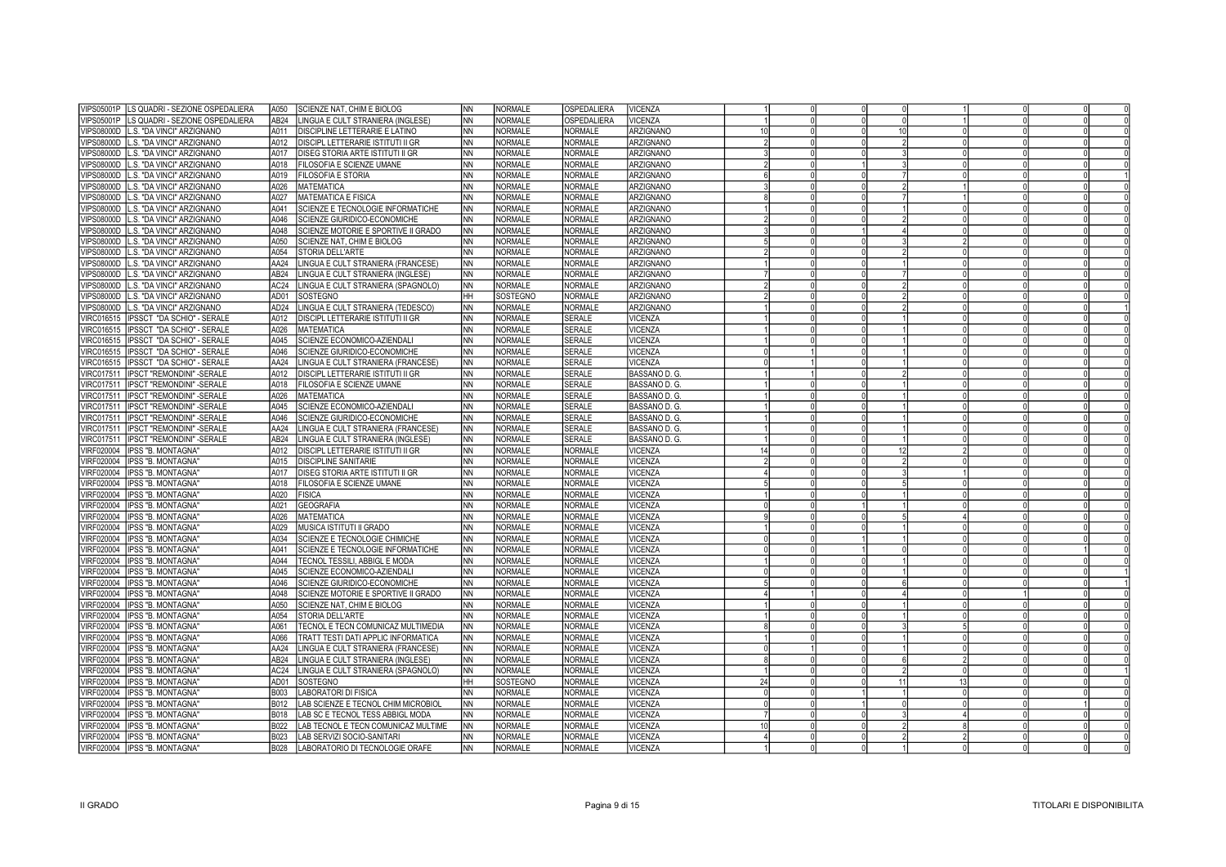| <b>VIPS05001P</b><br>LS QUADRI - SEZIONE OSPEDALIERA  | A050             | SCIENZE NAT, CHIM E BIOLOG               | <b>NN</b> | <b>NORMALE</b> | OSPEDALIERA    | <b>VICENZA</b>   |    |  |    |  |  |
|-------------------------------------------------------|------------------|------------------------------------------|-----------|----------------|----------------|------------------|----|--|----|--|--|
| <b>VIPS05001P</b><br>LS QUADRI - SEZIONE OSPEDALIERA  | AB <sub>24</sub> | LINGUA E CULT STRANIERA (INGLESE)        | ΝN        | <b>NORMALE</b> | OSPEDALIERA    | /ICENZA          |    |  |    |  |  |
| <b>VIPS08000D</b><br>L.S. "DA VINCI" ARZIGNANO        | A011             | DISCIPLINE LETTERARIE E LATINO           | NN        | <b>NORMALE</b> | <b>NORMALE</b> | ARZIGNANO        | 10 |  | 10 |  |  |
| <b>VIPS08000D</b><br>L.S. "DA VINCI" ARZIGNANO        | A012             | DISCIPL LETTERARIE ISTITUTI II GR        | INN.      | <b>NORMALE</b> | <b>NORMALE</b> | ARZIGNANO        |    |  |    |  |  |
| <b>VIPS08000D</b><br>L.S. "DA VINCI" ARZIGNANO        | A017             | DISEG STORIA ARTE ISTITUTI II GR         | ΝN        | <b>NORMALE</b> | <b>NORMALE</b> | ARZIGNANO        |    |  |    |  |  |
| VIPS08000D<br>L.S. "DA VINCI" ARZIGNANO               | A018             | FILOSOFIA E SCIENZE UMANE                | NN        | <b>NORMALE</b> | <b>NORMALE</b> | ARZIGNANO        |    |  |    |  |  |
| <b>VIPS08000D</b><br>L.S. "DA VINCI" ARZIGNANO        | A019             | FILOSOFIA E STORIA                       | <b>NN</b> | <b>NORMALE</b> | <b>NORMALE</b> | ARZIGNANO        |    |  |    |  |  |
| <b>VIPS08000D</b><br>L.S. "DA VINCI" ARZIGNANO        | A026             | <b>MATEMATICA</b>                        | <b>NN</b> | NORMALE        | NORMALE        | <b>ARZIGNANO</b> |    |  |    |  |  |
| L.S. "DA VINCI" ARZIGNANO<br><b>VIPS08000D</b>        | A027             | <b>MATEMATICA E FISICA</b>               | NN        | NORMALE        | NORMALE        | <b>ARZIGNANO</b> |    |  |    |  |  |
| <b>VIPS08000D</b><br>L.S. "DA VINCI" ARZIGNANO        | A041             | SCIENZE E TECNOLOGIE INFORMATICHE        | <b>NN</b> | NORMALE        | NORMALE        | <b>ARZIGNANO</b> |    |  |    |  |  |
| L.S. "DA VINCI" ARZIGNANO<br><b>VIPS08000D</b>        | A046             | SCIENZE GIURIDICO-ECONOMICHE             | NN        | <b>NORMALE</b> | NORMALE        | <b>ARZIGNANO</b> |    |  |    |  |  |
| <b>VIPS08000D</b><br>L.S. "DA VINCI" ARZIGNANO        | A048             | SCIENZE MOTORIE E SPORTIVE II GRADO      | INN.      | NORMALE        | <b>NORMALE</b> | ARZIGNANO        |    |  |    |  |  |
| <b>VIPS08000D</b><br>L.S. "DA VINCI" ARZIGNANO        | A050             | SCIENZE NAT, CHIM E BIOLOG               | NN        | <b>NORMALE</b> | <b>NORMALE</b> | ARZIGNANO        |    |  |    |  |  |
|                                                       |                  |                                          |           |                |                |                  |    |  |    |  |  |
| <b>VIPS08000D</b><br>L.S. "DA VINCI" ARZIGNANO        | A054             | STORIA DELL'ARTE                         | <b>NN</b> | NORMALE        | NORMALE        | ARZIGNANO        |    |  |    |  |  |
| <b>VIPS08000D</b><br>L.S. "DA VINCI" ARZIGNANO        | AA24             | LINGUA E CULT STRANIERA (FRANCESE)       | ΝN        | <b>NORMALE</b> | <b>NORMALE</b> | ARZIGNANO        |    |  |    |  |  |
| <b>VIPS08000D</b><br>L.S. "DA VINCI" ARZIGNANO        | AB <sub>24</sub> | LINGUA E CULT STRANIERA (INGLESE)        | INN.      | NORMALE        | NORMALE        | ARZIGNANO        |    |  |    |  |  |
| <b>VIPS08000D</b><br>L.S. "DA VINCI" ARZIGNANO        | AC24             | LINGUA E CULT STRANIERA (SPAGNOLO)       | NN        | <b>NORMALE</b> | NORMALE        | ARZIGNANO        |    |  |    |  |  |
| <b>VIPS08000D</b><br>L.S. "DA VINCI" ARZIGNANO        | AD01             | SOSTEGNO                                 | <b>HH</b> | SOSTEGNO       | NORMALE        | <b>ARZIGNANO</b> |    |  |    |  |  |
| <b>VIPS08000D</b><br>L.S. "DA VINCI" ARZIGNANO        | AD <sub>24</sub> | LINGUA E CULT STRANIERA (TEDESCO)        | NN        | <b>NORMALE</b> | NORMALE        | ARZIGNANO        |    |  |    |  |  |
| IPSSCT "DA SCHIO" - SERALE<br><b>VIRC016515</b>       | A012             | DISCIPL LETTERARIE ISTITUTI II GR        | <b>NN</b> | <b>NORMALE</b> | <b>SERALE</b>  | <b>VICENZA</b>   |    |  |    |  |  |
| VIRC016515   IPSSCT "DA SCHIO" - SERALE               | A026             | <b>MATEMATICA</b>                        | NN        | NORMALE        | <b>SERALE</b>  | <b>VICENZA</b>   |    |  |    |  |  |
| IPSSCT "DA SCHIO" - SERALE<br>VIRC016515              | A045             | SCIENZE ECONOMICO-AZIENDALI              | INN       | <b>NORMALE</b> | <b>SERALE</b>  | <b>VICENZA</b>   |    |  |    |  |  |
| VIRC016515   IPSSCT "DA SCHIO" - SERALE               | A046             | SCIENZE GIURIDICO-ECONOMICHE             | <b>NN</b> | NORMALE        | <b>SERALE</b>  | <b>VICENZA</b>   |    |  |    |  |  |
| VIRC016515   IPSSCT "DA SCHIO" - SERALE               | <b>AA24</b>      | LINGUA E CULT STRANIERA (FRANCESE)       | INN.      | <b>NORMALE</b> | <b>SERALE</b>  | <b>VICENZA</b>   |    |  |    |  |  |
| VIRC017511   IPSCT "REMONDINI" -SERALE                | A012             | <b>DISCIPL LETTERARIE ISTITUTI II GR</b> | <b>NN</b> | <b>NORMALE</b> | <b>SERALE</b>  | BASSANO D. G.    |    |  |    |  |  |
| <b>VIRC017511</b><br>IPSCT "REMONDINI" -SERALE        | A018             | FILOSOFIA E SCIENZE UMANE                | <b>NN</b> | NORMALE        | <b>SERALE</b>  | BASSANO D. G.    |    |  |    |  |  |
| <b>VIRC017511</b><br><b>IPSCT "REMONDINI" -SERALE</b> | A026             | <b>MATEMATICA</b>                        | <b>NN</b> | NORMALE        | <b>SERALE</b>  | BASSANO D. G.    |    |  |    |  |  |
| <b>VIRC017511</b><br>IPSCT "REMONDINI" - SERALE       | A045             | SCIENZE ECONOMICO-AZIENDALI              | <b>NN</b> | NORMALE        | <b>SERALE</b>  | BASSANO D. G.    |    |  |    |  |  |
| <b>VIRC017511</b><br>IPSCT "REMONDINI" -SERALE        | A046             | SCIENZE GIURIDICO-ECONOMICHE             | <b>NN</b> | NORMALE        | <b>SERALE</b>  | BASSANO D. G.    |    |  |    |  |  |
| <b>VIRC017511</b><br>IPSCT "REMONDINI" -SERALE        | AA24             | INGUA E CULT STRANIERA (FRANCESE)        | <b>NN</b> | <b>NORMALE</b> | <b>SERALE</b>  | BASSANO D. G.    |    |  |    |  |  |
| <b>VIRC017511</b><br>IPSCT "REMONDINI" - SERALE       | AB24             | LINGUA E CULT STRANIERA (INGLESE)        | <b>NN</b> | <b>NORMALE</b> | <b>SERALE</b>  | BASSANO D. G.    |    |  |    |  |  |
| VIRF020004<br>IPSS "B. MONTAGNA"                      | A012             | DISCIPL LETTERARIE ISTITUTI II GR        | NN        | <b>NORMALE</b> | <b>NORMALE</b> | VICENZA          |    |  |    |  |  |
| VIRF020004<br>IPSS "B. MONTAGNA"                      | A015             | <b>DISCIPLINE SANITARIE</b>              | ΝN        | <b>NORMALE</b> | <b>NORMALE</b> | <b>VICENZA</b>   |    |  |    |  |  |
| VIRF020004<br>IPSS "B. MONTAGNA"                      | A017             | DISEG STORIA ARTE ISTITUTI II GR         | NN        | <b>NORMALE</b> | <b>NORMALE</b> | VICENZA          |    |  |    |  |  |
| VIRF020004<br>IPSS "B. MONTAGNA"                      | A018             | FILOSOFIA E SCIENZE UMANE                | ΝN        | <b>NORMALE</b> | <b>NORMALE</b> | <b>VICENZA</b>   |    |  |    |  |  |
| VIRF020004<br>IPSS "B. MONTAGNA"                      | A020             | <b>FISICA</b>                            | NN        | <b>NORMALE</b> | <b>NORMALE</b> | VICENZA          |    |  |    |  |  |
| VIRF020004<br>IPSS "B. MONTAGNA"                      | A021             | <b>GEOGRAFIA</b>                         | NN        | <b>NORMALE</b> | NORMALE        | VICENZA          |    |  |    |  |  |
| VIRF020004<br><b>IPSS "B. MONTAGNA"</b>               | A026             | <b>MATEMATICA</b>                        |           | NORMALE        | NORMALE        | <b>VICENZA</b>   |    |  |    |  |  |
| VIRF020004                                            | A029             | MUSICA ISTITUTI II GRADO                 | NN        | NORMALE        | NORMALE        |                  |    |  |    |  |  |
| IPSS "B. MONTAGNA"                                    |                  |                                          | NN        | NORMALE        | NORMALE        | VICENZA          |    |  |    |  |  |
| VIRF020004<br>IPSS "B. MONTAGNA"                      | A034<br>A041     | SCIENZE E TECNOLOGIE CHIMICHE            | NN        | NORMALE        | NORMALE        | <b>VICENZA</b>   |    |  |    |  |  |
| VIRF020004<br>IPSS "B. MONTAGNA"                      | A044             | SCIENZE E TECNOLOGIE INFORMATICHE        | INN.      | <b>NORMALE</b> | <b>NORMALE</b> | VICENZA          |    |  |    |  |  |
| VIRF020004<br>IPSS "B. MONTAGNA"                      |                  | TECNOL TESSILI, ABBIGL E MODA            | NN        |                |                | VICENZA          |    |  |    |  |  |
| VIRF020004<br>IPSS "B. MONTAGNA"                      | A045             | SCIENZE ECONOMICO-AZIENDALI              | NN        | NORMALE        | <b>NORMALE</b> | VICENZA          |    |  |    |  |  |
| IPSS "B. MONTAGNA"<br>VIRF020004                      | A046             | SCIENZE GIURIDICO-ECONOMICHE             | ΝN        | <b>NORMALE</b> | <b>NORMALE</b> | /ICENZA          |    |  |    |  |  |
| VIRF020004<br>IPSS "B. MONTAGNA"                      | A048             | SCIENZE MOTORIE E SPORTIVE II GRADO      | <b>NN</b> | <b>NORMALE</b> | NORMALE        | VICENZA          |    |  |    |  |  |
| VIRF020004<br>IPSS "B. MONTAGNA"                      | A050             | SCIENZE NAT, CHIM E BIOLOG               | <b>NN</b> | <b>NORMALE</b> | NORMALE        | VICENZA          |    |  |    |  |  |
| VIRF020004<br>IPSS "B. MONTAGNA"                      | A054             | STORIA DELL'ARTE                         | <b>NN</b> | NORMALE        | NORMALE        | VICENZA          |    |  |    |  |  |
| VIRF020004<br><b>IPSS "B. MONTAGNA"</b>               | A061             | TECNOL E TECN COMUNICAZ MULTIMEDIA       | NN        | NORMALE        | <b>NORMALE</b> | VICENZA          |    |  |    |  |  |
| VIRF020004<br>IPSS "B. MONTAGNA"                      | A066             | TRATT TESTI DATI APPLIC INFORMATICA      | INN.      | <b>NORMALE</b> | NORMALE        | VICENZA          |    |  |    |  |  |
| IPSS "B. MONTAGNA"<br>VIRF020004                      | <b>AA24</b>      | LINGUA E CULT STRANIERA (FRANCESE)       | <b>NN</b> | NORMALE        | NORMALE        | <b>VICENZA</b>   |    |  |    |  |  |
| VIRF020004<br>IPSS "B. MONTAGNA"                      | AB <sub>24</sub> | LINGUA E CULT STRANIERA (INGLESE)        | INN.      | NORMALE        | NORMALE        | <b>VICENZA</b>   |    |  |    |  |  |
| VIRF020004<br><b>IPSS "B. MONTAGNA"</b>               | AC <sub>24</sub> | LINGUA E CULT STRANIERA (SPAGNOLO)       | <b>NN</b> | NORMALE        | <b>NORMALE</b> | <b>VICENZA</b>   |    |  |    |  |  |
| VIRF020004<br>IPSS "B. MONTAGNA"                      | AD01             | SOSTEGNO                                 | IHH.      | SOSTEGNO       | NORMALE        | <b>VICENZA</b>   | 24 |  |    |  |  |
| VIRF020004<br><b>IPSS "B. MONTAGNA"</b>               | <b>B003</b>      | <b>LABORATORI DI FISICA</b>              | <b>NN</b> | <b>NORMALE</b> | <b>NORMALE</b> | VICENZA          |    |  |    |  |  |
| VIRF020004<br>IPSS "B. MONTAGNA"                      | B012             | LAB SCIENZE E TECNOL CHIM MICROBIOL      | INN.      | <b>NORMALE</b> | <b>NORMALE</b> | <b>VICENZA</b>   |    |  |    |  |  |
| VIRF020004<br><b>IPSS "B. MONTAGNA"</b>               | <b>B018</b>      | LAB SC E TECNOL TESS ABBIGL MODA         | NN.       | NORMALE        | <b>NORMALE</b> | VICENZA          |    |  |    |  |  |
| VIRF020004<br>IPSS "B. MONTAGNA"                      | B022             | AB TECNOL E TECN COMUNICAZ MULTIME       | INN.      | <b>NORMALE</b> | NORMALE        | VICENZA          |    |  |    |  |  |
| VIRF020004<br><b>IPSS "B. MONTAGNA"</b>               | B023             | LAB SERVIZI SOCIO-SANITARI               | <b>NN</b> | NORMALE        | NORMALE        | VICENZA          |    |  |    |  |  |
| VIRF020004<br>IPSS "B. MONTAGNA"                      | B028             | LABORATORIO DI TECNOLOGIE ORAFE          | INN.      | <b>NORMALE</b> | <b>NORMALE</b> | <b>VICENZA</b>   |    |  |    |  |  |
|                                                       |                  |                                          |           |                |                |                  |    |  |    |  |  |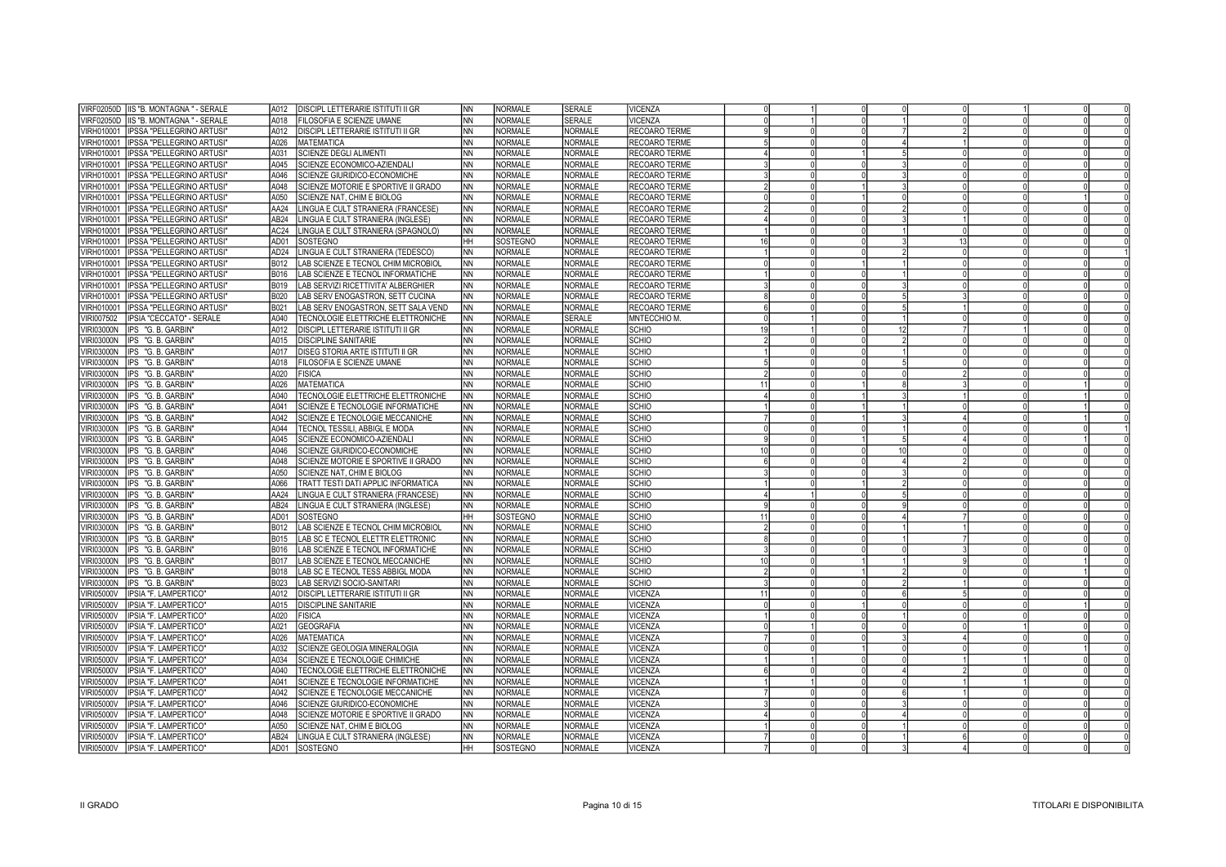| VIRF02050D   IIS "B. MONTAGNA " - SERALE<br>FILOSOFIA E SCIENZE UMANE<br><b>SERALE</b><br>VICENZA<br>A018<br><b>NN</b><br>NORMALE<br><b>NORMALE</b><br>VIRH010001 IPSSA "PELLEGRINO ARTUSI"<br>DISCIPL LETTERARIE ISTITUTI II GR<br><b>NN</b><br>NORMALE<br>RECOARO TERME<br>A012<br>VIRH010001   IPSSA "PELLEGRINO ARTUSI"<br>NORMALE<br><b>NORMALE</b><br>RECOARO TERME<br>A026<br><b>IMATEMATICA</b><br><b>INN</b><br>VIRH010001 IPSSA "PELLEGRINO ARTUSI"<br>SCIENZE DEGLI ALIMENTI<br><b>NN</b><br>NORMALE<br><b>NORMALE</b><br>A031<br>RECOARO TERME<br>VIRH010001   IPSSA "PELLEGRINO ARTUSI"<br>A045<br>SCIENZE ECONOMICO-AZIENDALI<br>INN<br><b>NORMALE</b><br><b>NORMALE</b><br>RECOARO TERME<br><b>NORMALE</b><br>VIRH010001   IPSSA "PELLEGRINO ARTUSI"<br>A046<br>SCIENZE GIURIDICO-ECONOMICHE<br>INN<br><b>NORMALE</b><br>RECOARO TERME<br>VIRH010001   IPSSA "PELLEGRINO ARTUSI"<br>A048<br>SCIENZE MOTORIE E SPORTIVE II GRADO<br>INN.<br><b>NORMALE</b><br><b>NORMALE</b><br>RECOARO TERME<br><b>NORMALE</b><br>VIRH010001 IPSSA "PELLEGRINO ARTUSI"<br>SCIENZE NAT, CHIM E BIOLOG<br>INN<br><b>NORMALE</b><br>RECOARO TERME<br>A050<br><b>NORMALE</b><br>VIRH010001   IPSSA "PELLEGRINO ARTUSI"<br>AA24<br>INN.<br><b>NORMALE</b><br>RECOARO TERME<br>LINGUA E CULT STRANIERA (FRANCESE)<br>VIRH010001   IPSSA "PELLEGRINO ARTUSI"<br>AB <sub>24</sub><br>INN.<br>NORMALE<br><b>NORMALE</b><br>LINGUA E CULT STRANIERA (INGLESE)<br>RECOARO TERME<br>NORMALE<br>NORMALE<br>VIRH010001   IPSSA "PELLEGRINO ARTUSI<br>AC24<br>LINGUA E CULT STRANIERA (SPAGNOLO)<br><b>INN</b><br>RECOARO TERME<br>SOSTEGNO<br><b>NORMALE</b><br>VIRH010001  IPSSA "PELLEGRINO ARTUSI"<br>AD01<br>SOSTEGNO<br> HH<br>RECOARO TERME<br>16<br>VIRH010001   IPSSA "PELLEGRINO ARTUSI"<br>AD24<br>LINGUA E CULT STRANIERA (TEDESCO)<br><b>NN</b><br>NORMALE<br><b>NORMALE</b><br>RECOARO TERME<br>VIRH010001 IPSSA "PELLEGRINO ARTUSI"<br>B012<br>LAB SCIENZE E TECNOL CHIM MICROBIOL<br><b>NORMALE</b><br><b>NORMALE</b><br><b>INN</b><br>RECOARO TERME<br>VIRH010001   IPSSA "PELLEGRINO ARTUSI"<br>LAB SCIENZE E TECNOL INFORMATICHE<br><b>NN</b><br>NORMALE<br><b>NORMALE</b><br>RECOARO TERME<br><b>B016</b><br>VIRH010001 IPSSA "PELLEGRINO ARTUSI"<br>LAB SERVIZI RICETTIVITA' ALBERGHIER<br>NORMALE<br><b>NORMALE</b><br>RECOARO TERME<br><b>B019</b><br><b>NN</b><br>VIRH010001  IPSSA "PELLEGRINO ARTUSI"<br><b>B020</b><br>LAB SERV ENOGASTRON, SETT CUCINA<br><b>NN</b><br><b>NORMALE</b><br><b>NORMALE</b><br>RECOARO TERME<br>VIRH010001  IPSSA "PELLEGRINO ARTUSI"<br>B021<br>LAB SERV ENOGASTRON, SETT SALA VEND<br>NORMALE<br><b>NORMALE</b><br>RECOARO TERME<br><b>INN</b><br><b>SERALE</b><br>VIRI007502   IPSIA "CECCATO" - SERALE<br>A040<br>TECNOLOGIE ELETTRICHE ELETTRONICHE<br>INN.<br>NORMALE<br>MNTECCHIO M.<br>VIRI03000N IPS "G.B. GARBIN"<br>A012<br>DISCIPL LETTERARIE ISTITUTI II GR<br>NORMALE<br><b>NORMALE</b><br><b>SCHIO</b><br><b>NN</b><br>19<br>VIRI03000N   IPS "G. B. GARBIN'<br>A015<br>DISCIPLINE SANITARIE<br>INN<br><b>NORMALE</b><br><b>NORMALE</b><br><b>SCHIO</b><br>VIRI03000N   IPS "G. B. GARBIN'<br>A017<br>DISEG STORIA ARTE ISTITUTI II GR<br>INN<br>NORMALE<br><b>NORMALE</b><br><b>SCHIO</b><br>VIRI03000N   IPS "G. B. GARBIN'<br>FILOSOFIA E SCIENZE UMANE<br>INN<br>NORMALE<br><b>NORMALE</b><br><b>SCHIO</b><br>A018<br>A020<br>NORMALE<br><b>NORMALE</b><br><b>SCHIO</b><br>VIRI03000N  IPS "G.B. GARBIN<br><b>FISICA</b><br>INN<br><b>SCHIO</b><br>VIRI03000N<br>IPS "G. B. GARBIN<br>A026<br><b>MATEMATICA</b><br><b>NN</b><br><b>NORMALE</b><br><b>NORMALE</b><br>VIRI03000N IPS "G.B. GARBIN'<br>A040<br>TECNOLOGIE ELETTRICHE ELETTRONICHE<br><b>NORMALE</b><br><b>NORMALE</b><br><b>SCHIO</b><br><b>INN</b><br><b>SCHIO</b><br>VIRI03000N   IPS "G. B. GARBIN'<br>SCIENZE E TECNOLOGIE INFORMATICHE<br><b>NN</b><br>NORMALE<br><b>NORMALE</b><br>A041<br>A042<br>SCIENZE E TECNOLOGIE MECCANICHE<br><b>NN</b><br>NORMALE<br><b>NORMALE</b><br><b>SCHIO</b><br>VIRI03000N IPS "G.B.GARBIN'<br><b>SCHIO</b><br>VIRI03000N   IPS "G. B. GARBIN'<br>A044<br>TECNOL TESSILI, ABBIGL E MODA<br>INN.<br><b>NORMALE</b><br><b>NORMALE</b><br>A045<br><b>NORMALE</b><br><b>NORMALE</b><br><b>SCHIO</b><br>VIRI03000N   IPS "G. B. GARBIN"<br>SCIENZE ECONOMICO-AZIENDALI<br><b>INN</b><br><b>NORMALE</b><br><b>NORMALE</b><br><b>SCHIO</b><br>VIRI03000N   IPS "G. B. GARBIN"<br>SCIENZE GIURIDICO-ECONOMICHE<br><b>NN</b><br>A046<br><b>NORMALE</b><br><b>SCHIO</b><br>VIRI03000N IPS "G. B. GARBIN'<br>A048<br>SCIENZE MOTORIE E SPORTIVE II GRADO<br>INN.<br><b>NORMALE</b><br><b>SCHIO</b><br>VIRI03000N   IPS "G. B. GARBIN'<br>A050<br>SCIENZE NAT, CHIM E BIOLOG<br>INN<br>NORMALE<br><b>NORMALE</b><br>NORMALE<br><b>NORMALE</b><br><b>SCHIO</b><br>VIRI03000N   IPS "G. B. GARBIN'<br>A066<br>TRATT TESTI DATI APPLIC INFORMATICA<br><b>INN</b><br><b>NORMALE</b><br><b>NORMALE</b><br><b>SCHIO</b><br>VIRI03000N  IPS "G.B.GARBIN'<br>AA24<br>LINGUA E CULT STRANIERA (FRANCESE)<br><b>INN</b><br>AB <sub>24</sub><br><b>NN</b><br>NORMALE<br><b>NORMALE</b><br><b>SCHIO</b><br>VIRI03000N   IPS "G. B. GARBIN<br>LINGUA E CULT STRANIERA (INGLESE)<br>VIRI03000N   IPS "G. B. GARBIN'<br>AD01<br>SOSTEGNO<br>HH<br>SOSTEGNO<br><b>NORMALE</b><br><b>SCHIO</b><br>VIRI03000N   IPS "G. B. GARBIN'<br>LAB SCIENZE E TECNOL CHIM MICROBIOL<br><b>NN</b><br>NORMALE<br><b>NORMALE</b><br><b>SCHIO</b><br>B012<br>LAB SC E TECNOL ELETTR ELETTRONIC<br>NORMALE<br><b>NORMALE</b><br><b>SCHIO</b><br>VIRI03000N   IPS "G. B. GARBIN'<br><b>B015</b><br><b>NN</b><br>VIRI03000N   IPS "G. B. GARBIN'<br><b>B016</b><br>LAB SCIENZE E TECNOL INFORMATICHE<br><b>NN</b><br><b>NORMALE</b><br><b>NORMALE</b><br><b>SCHIO</b><br>LAB SCIENZE E TECNOL MECCANICHE<br>NORMALE<br>NORMALE<br><b>SCHIO</b><br>VIRI03000N  IPS "G.B.GARBIN'<br><b>B017</b><br><b>NN</b><br>LAB SC E TECNOL TESS ABBIGL MODA<br>INN.<br>NORMALE<br><b>NORMALE</b><br><b>SCHIO</b><br>VIRI03000N  IPS "G. B. GARBIN"<br><b>B018</b><br>VIRI03000N IPS "G.B. GARBIN"<br>B023<br>LAB SERVIZI SOCIO-SANITARI<br>INN<br>NORMALE<br><b>NORMALE</b><br><b>SCHIO</b><br><b>VIRI05000V</b><br>IPSIA "F. LAMPERTICO"<br>A012<br>DISCIPL LETTERARIE ISTITUTI II GR<br>INN<br><b>NORMALE</b><br><b>NORMALE</b><br>VICENZA<br><b>IPSIA "F. LAMPERTICO"</b><br>A015<br><b>DISCIPLINE SANITARIE</b><br>INN<br>NORMALE<br><b>NORMALE</b><br>VICENZA<br>VIRI05000V<br><b>VIRI05000V</b><br>IPSIA "F. LAMPERTICO"<br>A020<br><b>FISICA</b><br>INN<br>NORMALE<br><b>NORMALE</b><br>VICENZA<br>IPSIA "F. LAMPERTICO"<br>A021<br><b>GEOGRAFIA</b><br>NORMALE<br><b>NORMALE</b><br>VICENZA<br>/IRI05000V<br>INN<br><b>VIRI05000V</b><br>IPSIA "F. LAMPERTICO"<br>A026<br><b>MATEMATICA</b><br>INN<br>NORMALE<br><b>NORMALE</b><br><b>VICENZA</b><br>A032<br>SCIENZE GEOLOGIA MINERALOGIA<br><b>NORMALE</b><br><b>NORMALE</b><br>VICENZA<br>VIRI05000V<br>IPSIA "F. LAMPERTICO"<br><b>NN</b><br>NORMALE<br><b>NORMALE</b><br>VICENZA<br>VIRI05000V<br>IPSIA "F. LAMPERTICO"<br>A034<br>SCIENZE E TECNOLOGIE CHIMICHE<br><b>NN</b><br>A040<br><b>NN</b><br><b>NORMALE</b><br><b>NORMALE</b><br>VICENZA<br>VIRI05000V<br>IPSIA "F. LAMPERTICO"<br>TECNOLOGIE ELETTRICHE ELETTRONICHE<br>IPSIA "F. LAMPERTICO"<br>A041<br>SCIENZE E TECNOLOGIE INFORMATICHE<br><b>NN</b><br><b>NORMALE</b><br><b>NORMALE</b><br>VICENZA<br>VIRI05000V<br>A042<br>INN.<br><b>NORMALE</b><br><b>NORMALE</b><br>VICENZA<br>VIRI05000V<br><b>IPSIA "F. LAMPERTICO"</b><br>SCIENZE E TECNOLOGIE MECCANICHE<br>VIRI05000V<br>SCIENZE GIURIDICO-ECONOMICHE<br>NORMALE<br><b>NORMALE</b><br>VICENZA<br>IPSIA "F. LAMPERTICO"<br>A046<br><b>NN</b><br><b>NORMALE</b><br>VIRI05000V<br>IPSIA "F. LAMPERTICO"<br>A048<br>SCIENZE MOTORIE E SPORTIVE II GRADO<br>INN.<br><b>NORMALE</b><br>VICENZA<br>A050<br>SCIENZE NAT, CHIM E BIOLOG<br>NORMALE<br><b>NORMALE</b><br>VICENZA<br><b>VIRI05000V</b><br>IPSIA "F. LAMPERTICO"<br><b>INN</b><br><b>NORMALE</b><br><b>VICENZA</b><br>VIRI05000V   IPSIA "F. LAMPERTICO"<br>AB24<br>LINGUA E CULT STRANIERA (INGLESE)<br><b>INN</b><br><b>NORMALE</b><br>SOSTEGNO<br><b>NORMALE</b><br><b>VICENZA</b><br>VIRI05000V   IPSIA "F. LAMPERTICO"<br>AD01<br>SOSTEGNO<br> HH | VIRF02050D IIS "B. MONTAGNA " - SERALE | A012 | <b>DISCIPL LETTERARIE ISTITUTI II GR</b> | INN. | NORMALE | <b>SERALE</b> | VICENZA |  |  |  |  |
|-------------------------------------------------------------------------------------------------------------------------------------------------------------------------------------------------------------------------------------------------------------------------------------------------------------------------------------------------------------------------------------------------------------------------------------------------------------------------------------------------------------------------------------------------------------------------------------------------------------------------------------------------------------------------------------------------------------------------------------------------------------------------------------------------------------------------------------------------------------------------------------------------------------------------------------------------------------------------------------------------------------------------------------------------------------------------------------------------------------------------------------------------------------------------------------------------------------------------------------------------------------------------------------------------------------------------------------------------------------------------------------------------------------------------------------------------------------------------------------------------------------------------------------------------------------------------------------------------------------------------------------------------------------------------------------------------------------------------------------------------------------------------------------------------------------------------------------------------------------------------------------------------------------------------------------------------------------------------------------------------------------------------------------------------------------------------------------------------------------------------------------------------------------------------------------------------------------------------------------------------------------------------------------------------------------------------------------------------------------------------------------------------------------------------------------------------------------------------------------------------------------------------------------------------------------------------------------------------------------------------------------------------------------------------------------------------------------------------------------------------------------------------------------------------------------------------------------------------------------------------------------------------------------------------------------------------------------------------------------------------------------------------------------------------------------------------------------------------------------------------------------------------------------------------------------------------------------------------------------------------------------------------------------------------------------------------------------------------------------------------------------------------------------------------------------------------------------------------------------------------------------------------------------------------------------------------------------------------------------------------------------------------------------------------------------------------------------------------------------------------------------------------------------------------------------------------------------------------------------------------------------------------------------------------------------------------------------------------------------------------------------------------------------------------------------------------------------------------------------------------------------------------------------------------------------------------------------------------------------------------------------------------------------------------------------------------------------------------------------------------------------------------------------------------------------------------------------------------------------------------------------------------------------------------------------------------------------------------------------------------------------------------------------------------------------------------------------------------------------------------------------------------------------------------------------------------------------------------------------------------------------------------------------------------------------------------------------------------------------------------------------------------------------------------------------------------------------------------------------------------------------------------------------------------------------------------------------------------------------------------------------------------------------------------------------------------------------------------------------------------------------------------------------------------------------------------------------------------------------------------------------------------------------------------------------------------------------------------------------------------------------------------------------------------------------------------------------------------------------------------------------------------------------------------------------------------------------------------------------------------------------------------------------------------------------------------------------------------------------------------------------------------------------------------------------------------------------------------------------------------------------------------------------------------------------------------------------------------------------------------------------------------------------------------------------------------------------------------------------------------------------------------------------------------------------------------------------------------------------------------------------------------------------------------------------------------------------------------------------------------------------------------------------------------------------------------------------------------------------------------------------------------------------------------------------------------------------------------------------------------------------------------------------------------------------------------------------------------------------------------------------------------------------------------------------------------------------------------------------------------------------------------------------------------------------------------------------------------------------------------------------------------------------------------------------------------------------------------------------------------------------------------------------------------------------------------------------------------------------------------------------------------------------------------------------------------------------------------------------------------------------------------------------------------------------------------------------------------------------------------------------------------------------------------------------------------------------------------------------------------------------------------------------------------------------------------------------------------------------------------------------------------------------------------------------------------------------------------------------------------------------------------------------------------------------------------------------------------------------------------------------------------------------------------|----------------------------------------|------|------------------------------------------|------|---------|---------------|---------|--|--|--|--|
|                                                                                                                                                                                                                                                                                                                                                                                                                                                                                                                                                                                                                                                                                                                                                                                                                                                                                                                                                                                                                                                                                                                                                                                                                                                                                                                                                                                                                                                                                                                                                                                                                                                                                                                                                                                                                                                                                                                                                                                                                                                                                                                                                                                                                                                                                                                                                                                                                                                                                                                                                                                                                                                                                                                                                                                                                                                                                                                                                                                                                                                                                                                                                                                                                                                                                                                                                                                                                                                                                                                                                                                                                                                                                                                                                                                                                                                                                                                                                                                                                                                                                                                                                                                                                                                                                                                                                                                                                                                                                                                                                                                                                                                                                                                                                                                                                                                                                                                                                                                                                                                                                                                                                                                                                                                                                                                                                                                                                                                                                                                                                                                                                                                                                                                                                                                                                                                                                                                                                                                                                                                                                                                                                                                                                                                                                                                                                                                                                                                                                                                                                                                                                                                                                                                                                                                                                                                                                                                                                                                                                                                                                                                                                                                                                                                                                                                                                                                                                                                                                                                                                                                                                                                                                                                                                                                                                                                                                                                                                                                                                                                                                                                                                                                                                                                                                                 |                                        |      |                                          |      |         |               |         |  |  |  |  |
|                                                                                                                                                                                                                                                                                                                                                                                                                                                                                                                                                                                                                                                                                                                                                                                                                                                                                                                                                                                                                                                                                                                                                                                                                                                                                                                                                                                                                                                                                                                                                                                                                                                                                                                                                                                                                                                                                                                                                                                                                                                                                                                                                                                                                                                                                                                                                                                                                                                                                                                                                                                                                                                                                                                                                                                                                                                                                                                                                                                                                                                                                                                                                                                                                                                                                                                                                                                                                                                                                                                                                                                                                                                                                                                                                                                                                                                                                                                                                                                                                                                                                                                                                                                                                                                                                                                                                                                                                                                                                                                                                                                                                                                                                                                                                                                                                                                                                                                                                                                                                                                                                                                                                                                                                                                                                                                                                                                                                                                                                                                                                                                                                                                                                                                                                                                                                                                                                                                                                                                                                                                                                                                                                                                                                                                                                                                                                                                                                                                                                                                                                                                                                                                                                                                                                                                                                                                                                                                                                                                                                                                                                                                                                                                                                                                                                                                                                                                                                                                                                                                                                                                                                                                                                                                                                                                                                                                                                                                                                                                                                                                                                                                                                                                                                                                                                                 |                                        |      |                                          |      |         |               |         |  |  |  |  |
|                                                                                                                                                                                                                                                                                                                                                                                                                                                                                                                                                                                                                                                                                                                                                                                                                                                                                                                                                                                                                                                                                                                                                                                                                                                                                                                                                                                                                                                                                                                                                                                                                                                                                                                                                                                                                                                                                                                                                                                                                                                                                                                                                                                                                                                                                                                                                                                                                                                                                                                                                                                                                                                                                                                                                                                                                                                                                                                                                                                                                                                                                                                                                                                                                                                                                                                                                                                                                                                                                                                                                                                                                                                                                                                                                                                                                                                                                                                                                                                                                                                                                                                                                                                                                                                                                                                                                                                                                                                                                                                                                                                                                                                                                                                                                                                                                                                                                                                                                                                                                                                                                                                                                                                                                                                                                                                                                                                                                                                                                                                                                                                                                                                                                                                                                                                                                                                                                                                                                                                                                                                                                                                                                                                                                                                                                                                                                                                                                                                                                                                                                                                                                                                                                                                                                                                                                                                                                                                                                                                                                                                                                                                                                                                                                                                                                                                                                                                                                                                                                                                                                                                                                                                                                                                                                                                                                                                                                                                                                                                                                                                                                                                                                                                                                                                                                                 |                                        |      |                                          |      |         |               |         |  |  |  |  |
|                                                                                                                                                                                                                                                                                                                                                                                                                                                                                                                                                                                                                                                                                                                                                                                                                                                                                                                                                                                                                                                                                                                                                                                                                                                                                                                                                                                                                                                                                                                                                                                                                                                                                                                                                                                                                                                                                                                                                                                                                                                                                                                                                                                                                                                                                                                                                                                                                                                                                                                                                                                                                                                                                                                                                                                                                                                                                                                                                                                                                                                                                                                                                                                                                                                                                                                                                                                                                                                                                                                                                                                                                                                                                                                                                                                                                                                                                                                                                                                                                                                                                                                                                                                                                                                                                                                                                                                                                                                                                                                                                                                                                                                                                                                                                                                                                                                                                                                                                                                                                                                                                                                                                                                                                                                                                                                                                                                                                                                                                                                                                                                                                                                                                                                                                                                                                                                                                                                                                                                                                                                                                                                                                                                                                                                                                                                                                                                                                                                                                                                                                                                                                                                                                                                                                                                                                                                                                                                                                                                                                                                                                                                                                                                                                                                                                                                                                                                                                                                                                                                                                                                                                                                                                                                                                                                                                                                                                                                                                                                                                                                                                                                                                                                                                                                                                                 |                                        |      |                                          |      |         |               |         |  |  |  |  |
|                                                                                                                                                                                                                                                                                                                                                                                                                                                                                                                                                                                                                                                                                                                                                                                                                                                                                                                                                                                                                                                                                                                                                                                                                                                                                                                                                                                                                                                                                                                                                                                                                                                                                                                                                                                                                                                                                                                                                                                                                                                                                                                                                                                                                                                                                                                                                                                                                                                                                                                                                                                                                                                                                                                                                                                                                                                                                                                                                                                                                                                                                                                                                                                                                                                                                                                                                                                                                                                                                                                                                                                                                                                                                                                                                                                                                                                                                                                                                                                                                                                                                                                                                                                                                                                                                                                                                                                                                                                                                                                                                                                                                                                                                                                                                                                                                                                                                                                                                                                                                                                                                                                                                                                                                                                                                                                                                                                                                                                                                                                                                                                                                                                                                                                                                                                                                                                                                                                                                                                                                                                                                                                                                                                                                                                                                                                                                                                                                                                                                                                                                                                                                                                                                                                                                                                                                                                                                                                                                                                                                                                                                                                                                                                                                                                                                                                                                                                                                                                                                                                                                                                                                                                                                                                                                                                                                                                                                                                                                                                                                                                                                                                                                                                                                                                                                                 |                                        |      |                                          |      |         |               |         |  |  |  |  |
|                                                                                                                                                                                                                                                                                                                                                                                                                                                                                                                                                                                                                                                                                                                                                                                                                                                                                                                                                                                                                                                                                                                                                                                                                                                                                                                                                                                                                                                                                                                                                                                                                                                                                                                                                                                                                                                                                                                                                                                                                                                                                                                                                                                                                                                                                                                                                                                                                                                                                                                                                                                                                                                                                                                                                                                                                                                                                                                                                                                                                                                                                                                                                                                                                                                                                                                                                                                                                                                                                                                                                                                                                                                                                                                                                                                                                                                                                                                                                                                                                                                                                                                                                                                                                                                                                                                                                                                                                                                                                                                                                                                                                                                                                                                                                                                                                                                                                                                                                                                                                                                                                                                                                                                                                                                                                                                                                                                                                                                                                                                                                                                                                                                                                                                                                                                                                                                                                                                                                                                                                                                                                                                                                                                                                                                                                                                                                                                                                                                                                                                                                                                                                                                                                                                                                                                                                                                                                                                                                                                                                                                                                                                                                                                                                                                                                                                                                                                                                                                                                                                                                                                                                                                                                                                                                                                                                                                                                                                                                                                                                                                                                                                                                                                                                                                                                                 |                                        |      |                                          |      |         |               |         |  |  |  |  |
|                                                                                                                                                                                                                                                                                                                                                                                                                                                                                                                                                                                                                                                                                                                                                                                                                                                                                                                                                                                                                                                                                                                                                                                                                                                                                                                                                                                                                                                                                                                                                                                                                                                                                                                                                                                                                                                                                                                                                                                                                                                                                                                                                                                                                                                                                                                                                                                                                                                                                                                                                                                                                                                                                                                                                                                                                                                                                                                                                                                                                                                                                                                                                                                                                                                                                                                                                                                                                                                                                                                                                                                                                                                                                                                                                                                                                                                                                                                                                                                                                                                                                                                                                                                                                                                                                                                                                                                                                                                                                                                                                                                                                                                                                                                                                                                                                                                                                                                                                                                                                                                                                                                                                                                                                                                                                                                                                                                                                                                                                                                                                                                                                                                                                                                                                                                                                                                                                                                                                                                                                                                                                                                                                                                                                                                                                                                                                                                                                                                                                                                                                                                                                                                                                                                                                                                                                                                                                                                                                                                                                                                                                                                                                                                                                                                                                                                                                                                                                                                                                                                                                                                                                                                                                                                                                                                                                                                                                                                                                                                                                                                                                                                                                                                                                                                                                                 |                                        |      |                                          |      |         |               |         |  |  |  |  |
|                                                                                                                                                                                                                                                                                                                                                                                                                                                                                                                                                                                                                                                                                                                                                                                                                                                                                                                                                                                                                                                                                                                                                                                                                                                                                                                                                                                                                                                                                                                                                                                                                                                                                                                                                                                                                                                                                                                                                                                                                                                                                                                                                                                                                                                                                                                                                                                                                                                                                                                                                                                                                                                                                                                                                                                                                                                                                                                                                                                                                                                                                                                                                                                                                                                                                                                                                                                                                                                                                                                                                                                                                                                                                                                                                                                                                                                                                                                                                                                                                                                                                                                                                                                                                                                                                                                                                                                                                                                                                                                                                                                                                                                                                                                                                                                                                                                                                                                                                                                                                                                                                                                                                                                                                                                                                                                                                                                                                                                                                                                                                                                                                                                                                                                                                                                                                                                                                                                                                                                                                                                                                                                                                                                                                                                                                                                                                                                                                                                                                                                                                                                                                                                                                                                                                                                                                                                                                                                                                                                                                                                                                                                                                                                                                                                                                                                                                                                                                                                                                                                                                                                                                                                                                                                                                                                                                                                                                                                                                                                                                                                                                                                                                                                                                                                                                                 |                                        |      |                                          |      |         |               |         |  |  |  |  |
|                                                                                                                                                                                                                                                                                                                                                                                                                                                                                                                                                                                                                                                                                                                                                                                                                                                                                                                                                                                                                                                                                                                                                                                                                                                                                                                                                                                                                                                                                                                                                                                                                                                                                                                                                                                                                                                                                                                                                                                                                                                                                                                                                                                                                                                                                                                                                                                                                                                                                                                                                                                                                                                                                                                                                                                                                                                                                                                                                                                                                                                                                                                                                                                                                                                                                                                                                                                                                                                                                                                                                                                                                                                                                                                                                                                                                                                                                                                                                                                                                                                                                                                                                                                                                                                                                                                                                                                                                                                                                                                                                                                                                                                                                                                                                                                                                                                                                                                                                                                                                                                                                                                                                                                                                                                                                                                                                                                                                                                                                                                                                                                                                                                                                                                                                                                                                                                                                                                                                                                                                                                                                                                                                                                                                                                                                                                                                                                                                                                                                                                                                                                                                                                                                                                                                                                                                                                                                                                                                                                                                                                                                                                                                                                                                                                                                                                                                                                                                                                                                                                                                                                                                                                                                                                                                                                                                                                                                                                                                                                                                                                                                                                                                                                                                                                                                                 |                                        |      |                                          |      |         |               |         |  |  |  |  |
|                                                                                                                                                                                                                                                                                                                                                                                                                                                                                                                                                                                                                                                                                                                                                                                                                                                                                                                                                                                                                                                                                                                                                                                                                                                                                                                                                                                                                                                                                                                                                                                                                                                                                                                                                                                                                                                                                                                                                                                                                                                                                                                                                                                                                                                                                                                                                                                                                                                                                                                                                                                                                                                                                                                                                                                                                                                                                                                                                                                                                                                                                                                                                                                                                                                                                                                                                                                                                                                                                                                                                                                                                                                                                                                                                                                                                                                                                                                                                                                                                                                                                                                                                                                                                                                                                                                                                                                                                                                                                                                                                                                                                                                                                                                                                                                                                                                                                                                                                                                                                                                                                                                                                                                                                                                                                                                                                                                                                                                                                                                                                                                                                                                                                                                                                                                                                                                                                                                                                                                                                                                                                                                                                                                                                                                                                                                                                                                                                                                                                                                                                                                                                                                                                                                                                                                                                                                                                                                                                                                                                                                                                                                                                                                                                                                                                                                                                                                                                                                                                                                                                                                                                                                                                                                                                                                                                                                                                                                                                                                                                                                                                                                                                                                                                                                                                                 |                                        |      |                                          |      |         |               |         |  |  |  |  |
|                                                                                                                                                                                                                                                                                                                                                                                                                                                                                                                                                                                                                                                                                                                                                                                                                                                                                                                                                                                                                                                                                                                                                                                                                                                                                                                                                                                                                                                                                                                                                                                                                                                                                                                                                                                                                                                                                                                                                                                                                                                                                                                                                                                                                                                                                                                                                                                                                                                                                                                                                                                                                                                                                                                                                                                                                                                                                                                                                                                                                                                                                                                                                                                                                                                                                                                                                                                                                                                                                                                                                                                                                                                                                                                                                                                                                                                                                                                                                                                                                                                                                                                                                                                                                                                                                                                                                                                                                                                                                                                                                                                                                                                                                                                                                                                                                                                                                                                                                                                                                                                                                                                                                                                                                                                                                                                                                                                                                                                                                                                                                                                                                                                                                                                                                                                                                                                                                                                                                                                                                                                                                                                                                                                                                                                                                                                                                                                                                                                                                                                                                                                                                                                                                                                                                                                                                                                                                                                                                                                                                                                                                                                                                                                                                                                                                                                                                                                                                                                                                                                                                                                                                                                                                                                                                                                                                                                                                                                                                                                                                                                                                                                                                                                                                                                                                                 |                                        |      |                                          |      |         |               |         |  |  |  |  |
|                                                                                                                                                                                                                                                                                                                                                                                                                                                                                                                                                                                                                                                                                                                                                                                                                                                                                                                                                                                                                                                                                                                                                                                                                                                                                                                                                                                                                                                                                                                                                                                                                                                                                                                                                                                                                                                                                                                                                                                                                                                                                                                                                                                                                                                                                                                                                                                                                                                                                                                                                                                                                                                                                                                                                                                                                                                                                                                                                                                                                                                                                                                                                                                                                                                                                                                                                                                                                                                                                                                                                                                                                                                                                                                                                                                                                                                                                                                                                                                                                                                                                                                                                                                                                                                                                                                                                                                                                                                                                                                                                                                                                                                                                                                                                                                                                                                                                                                                                                                                                                                                                                                                                                                                                                                                                                                                                                                                                                                                                                                                                                                                                                                                                                                                                                                                                                                                                                                                                                                                                                                                                                                                                                                                                                                                                                                                                                                                                                                                                                                                                                                                                                                                                                                                                                                                                                                                                                                                                                                                                                                                                                                                                                                                                                                                                                                                                                                                                                                                                                                                                                                                                                                                                                                                                                                                                                                                                                                                                                                                                                                                                                                                                                                                                                                                                                 |                                        |      |                                          |      |         |               |         |  |  |  |  |
|                                                                                                                                                                                                                                                                                                                                                                                                                                                                                                                                                                                                                                                                                                                                                                                                                                                                                                                                                                                                                                                                                                                                                                                                                                                                                                                                                                                                                                                                                                                                                                                                                                                                                                                                                                                                                                                                                                                                                                                                                                                                                                                                                                                                                                                                                                                                                                                                                                                                                                                                                                                                                                                                                                                                                                                                                                                                                                                                                                                                                                                                                                                                                                                                                                                                                                                                                                                                                                                                                                                                                                                                                                                                                                                                                                                                                                                                                                                                                                                                                                                                                                                                                                                                                                                                                                                                                                                                                                                                                                                                                                                                                                                                                                                                                                                                                                                                                                                                                                                                                                                                                                                                                                                                                                                                                                                                                                                                                                                                                                                                                                                                                                                                                                                                                                                                                                                                                                                                                                                                                                                                                                                                                                                                                                                                                                                                                                                                                                                                                                                                                                                                                                                                                                                                                                                                                                                                                                                                                                                                                                                                                                                                                                                                                                                                                                                                                                                                                                                                                                                                                                                                                                                                                                                                                                                                                                                                                                                                                                                                                                                                                                                                                                                                                                                                                                 |                                        |      |                                          |      |         |               |         |  |  |  |  |
|                                                                                                                                                                                                                                                                                                                                                                                                                                                                                                                                                                                                                                                                                                                                                                                                                                                                                                                                                                                                                                                                                                                                                                                                                                                                                                                                                                                                                                                                                                                                                                                                                                                                                                                                                                                                                                                                                                                                                                                                                                                                                                                                                                                                                                                                                                                                                                                                                                                                                                                                                                                                                                                                                                                                                                                                                                                                                                                                                                                                                                                                                                                                                                                                                                                                                                                                                                                                                                                                                                                                                                                                                                                                                                                                                                                                                                                                                                                                                                                                                                                                                                                                                                                                                                                                                                                                                                                                                                                                                                                                                                                                                                                                                                                                                                                                                                                                                                                                                                                                                                                                                                                                                                                                                                                                                                                                                                                                                                                                                                                                                                                                                                                                                                                                                                                                                                                                                                                                                                                                                                                                                                                                                                                                                                                                                                                                                                                                                                                                                                                                                                                                                                                                                                                                                                                                                                                                                                                                                                                                                                                                                                                                                                                                                                                                                                                                                                                                                                                                                                                                                                                                                                                                                                                                                                                                                                                                                                                                                                                                                                                                                                                                                                                                                                                                                                 |                                        |      |                                          |      |         |               |         |  |  |  |  |
|                                                                                                                                                                                                                                                                                                                                                                                                                                                                                                                                                                                                                                                                                                                                                                                                                                                                                                                                                                                                                                                                                                                                                                                                                                                                                                                                                                                                                                                                                                                                                                                                                                                                                                                                                                                                                                                                                                                                                                                                                                                                                                                                                                                                                                                                                                                                                                                                                                                                                                                                                                                                                                                                                                                                                                                                                                                                                                                                                                                                                                                                                                                                                                                                                                                                                                                                                                                                                                                                                                                                                                                                                                                                                                                                                                                                                                                                                                                                                                                                                                                                                                                                                                                                                                                                                                                                                                                                                                                                                                                                                                                                                                                                                                                                                                                                                                                                                                                                                                                                                                                                                                                                                                                                                                                                                                                                                                                                                                                                                                                                                                                                                                                                                                                                                                                                                                                                                                                                                                                                                                                                                                                                                                                                                                                                                                                                                                                                                                                                                                                                                                                                                                                                                                                                                                                                                                                                                                                                                                                                                                                                                                                                                                                                                                                                                                                                                                                                                                                                                                                                                                                                                                                                                                                                                                                                                                                                                                                                                                                                                                                                                                                                                                                                                                                                                                 |                                        |      |                                          |      |         |               |         |  |  |  |  |
|                                                                                                                                                                                                                                                                                                                                                                                                                                                                                                                                                                                                                                                                                                                                                                                                                                                                                                                                                                                                                                                                                                                                                                                                                                                                                                                                                                                                                                                                                                                                                                                                                                                                                                                                                                                                                                                                                                                                                                                                                                                                                                                                                                                                                                                                                                                                                                                                                                                                                                                                                                                                                                                                                                                                                                                                                                                                                                                                                                                                                                                                                                                                                                                                                                                                                                                                                                                                                                                                                                                                                                                                                                                                                                                                                                                                                                                                                                                                                                                                                                                                                                                                                                                                                                                                                                                                                                                                                                                                                                                                                                                                                                                                                                                                                                                                                                                                                                                                                                                                                                                                                                                                                                                                                                                                                                                                                                                                                                                                                                                                                                                                                                                                                                                                                                                                                                                                                                                                                                                                                                                                                                                                                                                                                                                                                                                                                                                                                                                                                                                                                                                                                                                                                                                                                                                                                                                                                                                                                                                                                                                                                                                                                                                                                                                                                                                                                                                                                                                                                                                                                                                                                                                                                                                                                                                                                                                                                                                                                                                                                                                                                                                                                                                                                                                                                                 |                                        |      |                                          |      |         |               |         |  |  |  |  |
|                                                                                                                                                                                                                                                                                                                                                                                                                                                                                                                                                                                                                                                                                                                                                                                                                                                                                                                                                                                                                                                                                                                                                                                                                                                                                                                                                                                                                                                                                                                                                                                                                                                                                                                                                                                                                                                                                                                                                                                                                                                                                                                                                                                                                                                                                                                                                                                                                                                                                                                                                                                                                                                                                                                                                                                                                                                                                                                                                                                                                                                                                                                                                                                                                                                                                                                                                                                                                                                                                                                                                                                                                                                                                                                                                                                                                                                                                                                                                                                                                                                                                                                                                                                                                                                                                                                                                                                                                                                                                                                                                                                                                                                                                                                                                                                                                                                                                                                                                                                                                                                                                                                                                                                                                                                                                                                                                                                                                                                                                                                                                                                                                                                                                                                                                                                                                                                                                                                                                                                                                                                                                                                                                                                                                                                                                                                                                                                                                                                                                                                                                                                                                                                                                                                                                                                                                                                                                                                                                                                                                                                                                                                                                                                                                                                                                                                                                                                                                                                                                                                                                                                                                                                                                                                                                                                                                                                                                                                                                                                                                                                                                                                                                                                                                                                                                                 |                                        |      |                                          |      |         |               |         |  |  |  |  |
|                                                                                                                                                                                                                                                                                                                                                                                                                                                                                                                                                                                                                                                                                                                                                                                                                                                                                                                                                                                                                                                                                                                                                                                                                                                                                                                                                                                                                                                                                                                                                                                                                                                                                                                                                                                                                                                                                                                                                                                                                                                                                                                                                                                                                                                                                                                                                                                                                                                                                                                                                                                                                                                                                                                                                                                                                                                                                                                                                                                                                                                                                                                                                                                                                                                                                                                                                                                                                                                                                                                                                                                                                                                                                                                                                                                                                                                                                                                                                                                                                                                                                                                                                                                                                                                                                                                                                                                                                                                                                                                                                                                                                                                                                                                                                                                                                                                                                                                                                                                                                                                                                                                                                                                                                                                                                                                                                                                                                                                                                                                                                                                                                                                                                                                                                                                                                                                                                                                                                                                                                                                                                                                                                                                                                                                                                                                                                                                                                                                                                                                                                                                                                                                                                                                                                                                                                                                                                                                                                                                                                                                                                                                                                                                                                                                                                                                                                                                                                                                                                                                                                                                                                                                                                                                                                                                                                                                                                                                                                                                                                                                                                                                                                                                                                                                                                                 |                                        |      |                                          |      |         |               |         |  |  |  |  |
|                                                                                                                                                                                                                                                                                                                                                                                                                                                                                                                                                                                                                                                                                                                                                                                                                                                                                                                                                                                                                                                                                                                                                                                                                                                                                                                                                                                                                                                                                                                                                                                                                                                                                                                                                                                                                                                                                                                                                                                                                                                                                                                                                                                                                                                                                                                                                                                                                                                                                                                                                                                                                                                                                                                                                                                                                                                                                                                                                                                                                                                                                                                                                                                                                                                                                                                                                                                                                                                                                                                                                                                                                                                                                                                                                                                                                                                                                                                                                                                                                                                                                                                                                                                                                                                                                                                                                                                                                                                                                                                                                                                                                                                                                                                                                                                                                                                                                                                                                                                                                                                                                                                                                                                                                                                                                                                                                                                                                                                                                                                                                                                                                                                                                                                                                                                                                                                                                                                                                                                                                                                                                                                                                                                                                                                                                                                                                                                                                                                                                                                                                                                                                                                                                                                                                                                                                                                                                                                                                                                                                                                                                                                                                                                                                                                                                                                                                                                                                                                                                                                                                                                                                                                                                                                                                                                                                                                                                                                                                                                                                                                                                                                                                                                                                                                                                                 |                                        |      |                                          |      |         |               |         |  |  |  |  |
|                                                                                                                                                                                                                                                                                                                                                                                                                                                                                                                                                                                                                                                                                                                                                                                                                                                                                                                                                                                                                                                                                                                                                                                                                                                                                                                                                                                                                                                                                                                                                                                                                                                                                                                                                                                                                                                                                                                                                                                                                                                                                                                                                                                                                                                                                                                                                                                                                                                                                                                                                                                                                                                                                                                                                                                                                                                                                                                                                                                                                                                                                                                                                                                                                                                                                                                                                                                                                                                                                                                                                                                                                                                                                                                                                                                                                                                                                                                                                                                                                                                                                                                                                                                                                                                                                                                                                                                                                                                                                                                                                                                                                                                                                                                                                                                                                                                                                                                                                                                                                                                                                                                                                                                                                                                                                                                                                                                                                                                                                                                                                                                                                                                                                                                                                                                                                                                                                                                                                                                                                                                                                                                                                                                                                                                                                                                                                                                                                                                                                                                                                                                                                                                                                                                                                                                                                                                                                                                                                                                                                                                                                                                                                                                                                                                                                                                                                                                                                                                                                                                                                                                                                                                                                                                                                                                                                                                                                                                                                                                                                                                                                                                                                                                                                                                                                                 |                                        |      |                                          |      |         |               |         |  |  |  |  |
|                                                                                                                                                                                                                                                                                                                                                                                                                                                                                                                                                                                                                                                                                                                                                                                                                                                                                                                                                                                                                                                                                                                                                                                                                                                                                                                                                                                                                                                                                                                                                                                                                                                                                                                                                                                                                                                                                                                                                                                                                                                                                                                                                                                                                                                                                                                                                                                                                                                                                                                                                                                                                                                                                                                                                                                                                                                                                                                                                                                                                                                                                                                                                                                                                                                                                                                                                                                                                                                                                                                                                                                                                                                                                                                                                                                                                                                                                                                                                                                                                                                                                                                                                                                                                                                                                                                                                                                                                                                                                                                                                                                                                                                                                                                                                                                                                                                                                                                                                                                                                                                                                                                                                                                                                                                                                                                                                                                                                                                                                                                                                                                                                                                                                                                                                                                                                                                                                                                                                                                                                                                                                                                                                                                                                                                                                                                                                                                                                                                                                                                                                                                                                                                                                                                                                                                                                                                                                                                                                                                                                                                                                                                                                                                                                                                                                                                                                                                                                                                                                                                                                                                                                                                                                                                                                                                                                                                                                                                                                                                                                                                                                                                                                                                                                                                                                                 |                                        |      |                                          |      |         |               |         |  |  |  |  |
|                                                                                                                                                                                                                                                                                                                                                                                                                                                                                                                                                                                                                                                                                                                                                                                                                                                                                                                                                                                                                                                                                                                                                                                                                                                                                                                                                                                                                                                                                                                                                                                                                                                                                                                                                                                                                                                                                                                                                                                                                                                                                                                                                                                                                                                                                                                                                                                                                                                                                                                                                                                                                                                                                                                                                                                                                                                                                                                                                                                                                                                                                                                                                                                                                                                                                                                                                                                                                                                                                                                                                                                                                                                                                                                                                                                                                                                                                                                                                                                                                                                                                                                                                                                                                                                                                                                                                                                                                                                                                                                                                                                                                                                                                                                                                                                                                                                                                                                                                                                                                                                                                                                                                                                                                                                                                                                                                                                                                                                                                                                                                                                                                                                                                                                                                                                                                                                                                                                                                                                                                                                                                                                                                                                                                                                                                                                                                                                                                                                                                                                                                                                                                                                                                                                                                                                                                                                                                                                                                                                                                                                                                                                                                                                                                                                                                                                                                                                                                                                                                                                                                                                                                                                                                                                                                                                                                                                                                                                                                                                                                                                                                                                                                                                                                                                                                                 |                                        |      |                                          |      |         |               |         |  |  |  |  |
|                                                                                                                                                                                                                                                                                                                                                                                                                                                                                                                                                                                                                                                                                                                                                                                                                                                                                                                                                                                                                                                                                                                                                                                                                                                                                                                                                                                                                                                                                                                                                                                                                                                                                                                                                                                                                                                                                                                                                                                                                                                                                                                                                                                                                                                                                                                                                                                                                                                                                                                                                                                                                                                                                                                                                                                                                                                                                                                                                                                                                                                                                                                                                                                                                                                                                                                                                                                                                                                                                                                                                                                                                                                                                                                                                                                                                                                                                                                                                                                                                                                                                                                                                                                                                                                                                                                                                                                                                                                                                                                                                                                                                                                                                                                                                                                                                                                                                                                                                                                                                                                                                                                                                                                                                                                                                                                                                                                                                                                                                                                                                                                                                                                                                                                                                                                                                                                                                                                                                                                                                                                                                                                                                                                                                                                                                                                                                                                                                                                                                                                                                                                                                                                                                                                                                                                                                                                                                                                                                                                                                                                                                                                                                                                                                                                                                                                                                                                                                                                                                                                                                                                                                                                                                                                                                                                                                                                                                                                                                                                                                                                                                                                                                                                                                                                                                                 |                                        |      |                                          |      |         |               |         |  |  |  |  |
|                                                                                                                                                                                                                                                                                                                                                                                                                                                                                                                                                                                                                                                                                                                                                                                                                                                                                                                                                                                                                                                                                                                                                                                                                                                                                                                                                                                                                                                                                                                                                                                                                                                                                                                                                                                                                                                                                                                                                                                                                                                                                                                                                                                                                                                                                                                                                                                                                                                                                                                                                                                                                                                                                                                                                                                                                                                                                                                                                                                                                                                                                                                                                                                                                                                                                                                                                                                                                                                                                                                                                                                                                                                                                                                                                                                                                                                                                                                                                                                                                                                                                                                                                                                                                                                                                                                                                                                                                                                                                                                                                                                                                                                                                                                                                                                                                                                                                                                                                                                                                                                                                                                                                                                                                                                                                                                                                                                                                                                                                                                                                                                                                                                                                                                                                                                                                                                                                                                                                                                                                                                                                                                                                                                                                                                                                                                                                                                                                                                                                                                                                                                                                                                                                                                                                                                                                                                                                                                                                                                                                                                                                                                                                                                                                                                                                                                                                                                                                                                                                                                                                                                                                                                                                                                                                                                                                                                                                                                                                                                                                                                                                                                                                                                                                                                                                                 |                                        |      |                                          |      |         |               |         |  |  |  |  |
|                                                                                                                                                                                                                                                                                                                                                                                                                                                                                                                                                                                                                                                                                                                                                                                                                                                                                                                                                                                                                                                                                                                                                                                                                                                                                                                                                                                                                                                                                                                                                                                                                                                                                                                                                                                                                                                                                                                                                                                                                                                                                                                                                                                                                                                                                                                                                                                                                                                                                                                                                                                                                                                                                                                                                                                                                                                                                                                                                                                                                                                                                                                                                                                                                                                                                                                                                                                                                                                                                                                                                                                                                                                                                                                                                                                                                                                                                                                                                                                                                                                                                                                                                                                                                                                                                                                                                                                                                                                                                                                                                                                                                                                                                                                                                                                                                                                                                                                                                                                                                                                                                                                                                                                                                                                                                                                                                                                                                                                                                                                                                                                                                                                                                                                                                                                                                                                                                                                                                                                                                                                                                                                                                                                                                                                                                                                                                                                                                                                                                                                                                                                                                                                                                                                                                                                                                                                                                                                                                                                                                                                                                                                                                                                                                                                                                                                                                                                                                                                                                                                                                                                                                                                                                                                                                                                                                                                                                                                                                                                                                                                                                                                                                                                                                                                                                                 |                                        |      |                                          |      |         |               |         |  |  |  |  |
|                                                                                                                                                                                                                                                                                                                                                                                                                                                                                                                                                                                                                                                                                                                                                                                                                                                                                                                                                                                                                                                                                                                                                                                                                                                                                                                                                                                                                                                                                                                                                                                                                                                                                                                                                                                                                                                                                                                                                                                                                                                                                                                                                                                                                                                                                                                                                                                                                                                                                                                                                                                                                                                                                                                                                                                                                                                                                                                                                                                                                                                                                                                                                                                                                                                                                                                                                                                                                                                                                                                                                                                                                                                                                                                                                                                                                                                                                                                                                                                                                                                                                                                                                                                                                                                                                                                                                                                                                                                                                                                                                                                                                                                                                                                                                                                                                                                                                                                                                                                                                                                                                                                                                                                                                                                                                                                                                                                                                                                                                                                                                                                                                                                                                                                                                                                                                                                                                                                                                                                                                                                                                                                                                                                                                                                                                                                                                                                                                                                                                                                                                                                                                                                                                                                                                                                                                                                                                                                                                                                                                                                                                                                                                                                                                                                                                                                                                                                                                                                                                                                                                                                                                                                                                                                                                                                                                                                                                                                                                                                                                                                                                                                                                                                                                                                                                                 |                                        |      |                                          |      |         |               |         |  |  |  |  |
|                                                                                                                                                                                                                                                                                                                                                                                                                                                                                                                                                                                                                                                                                                                                                                                                                                                                                                                                                                                                                                                                                                                                                                                                                                                                                                                                                                                                                                                                                                                                                                                                                                                                                                                                                                                                                                                                                                                                                                                                                                                                                                                                                                                                                                                                                                                                                                                                                                                                                                                                                                                                                                                                                                                                                                                                                                                                                                                                                                                                                                                                                                                                                                                                                                                                                                                                                                                                                                                                                                                                                                                                                                                                                                                                                                                                                                                                                                                                                                                                                                                                                                                                                                                                                                                                                                                                                                                                                                                                                                                                                                                                                                                                                                                                                                                                                                                                                                                                                                                                                                                                                                                                                                                                                                                                                                                                                                                                                                                                                                                                                                                                                                                                                                                                                                                                                                                                                                                                                                                                                                                                                                                                                                                                                                                                                                                                                                                                                                                                                                                                                                                                                                                                                                                                                                                                                                                                                                                                                                                                                                                                                                                                                                                                                                                                                                                                                                                                                                                                                                                                                                                                                                                                                                                                                                                                                                                                                                                                                                                                                                                                                                                                                                                                                                                                                                 |                                        |      |                                          |      |         |               |         |  |  |  |  |
|                                                                                                                                                                                                                                                                                                                                                                                                                                                                                                                                                                                                                                                                                                                                                                                                                                                                                                                                                                                                                                                                                                                                                                                                                                                                                                                                                                                                                                                                                                                                                                                                                                                                                                                                                                                                                                                                                                                                                                                                                                                                                                                                                                                                                                                                                                                                                                                                                                                                                                                                                                                                                                                                                                                                                                                                                                                                                                                                                                                                                                                                                                                                                                                                                                                                                                                                                                                                                                                                                                                                                                                                                                                                                                                                                                                                                                                                                                                                                                                                                                                                                                                                                                                                                                                                                                                                                                                                                                                                                                                                                                                                                                                                                                                                                                                                                                                                                                                                                                                                                                                                                                                                                                                                                                                                                                                                                                                                                                                                                                                                                                                                                                                                                                                                                                                                                                                                                                                                                                                                                                                                                                                                                                                                                                                                                                                                                                                                                                                                                                                                                                                                                                                                                                                                                                                                                                                                                                                                                                                                                                                                                                                                                                                                                                                                                                                                                                                                                                                                                                                                                                                                                                                                                                                                                                                                                                                                                                                                                                                                                                                                                                                                                                                                                                                                                                 |                                        |      |                                          |      |         |               |         |  |  |  |  |
|                                                                                                                                                                                                                                                                                                                                                                                                                                                                                                                                                                                                                                                                                                                                                                                                                                                                                                                                                                                                                                                                                                                                                                                                                                                                                                                                                                                                                                                                                                                                                                                                                                                                                                                                                                                                                                                                                                                                                                                                                                                                                                                                                                                                                                                                                                                                                                                                                                                                                                                                                                                                                                                                                                                                                                                                                                                                                                                                                                                                                                                                                                                                                                                                                                                                                                                                                                                                                                                                                                                                                                                                                                                                                                                                                                                                                                                                                                                                                                                                                                                                                                                                                                                                                                                                                                                                                                                                                                                                                                                                                                                                                                                                                                                                                                                                                                                                                                                                                                                                                                                                                                                                                                                                                                                                                                                                                                                                                                                                                                                                                                                                                                                                                                                                                                                                                                                                                                                                                                                                                                                                                                                                                                                                                                                                                                                                                                                                                                                                                                                                                                                                                                                                                                                                                                                                                                                                                                                                                                                                                                                                                                                                                                                                                                                                                                                                                                                                                                                                                                                                                                                                                                                                                                                                                                                                                                                                                                                                                                                                                                                                                                                                                                                                                                                                                                 |                                        |      |                                          |      |         |               |         |  |  |  |  |
|                                                                                                                                                                                                                                                                                                                                                                                                                                                                                                                                                                                                                                                                                                                                                                                                                                                                                                                                                                                                                                                                                                                                                                                                                                                                                                                                                                                                                                                                                                                                                                                                                                                                                                                                                                                                                                                                                                                                                                                                                                                                                                                                                                                                                                                                                                                                                                                                                                                                                                                                                                                                                                                                                                                                                                                                                                                                                                                                                                                                                                                                                                                                                                                                                                                                                                                                                                                                                                                                                                                                                                                                                                                                                                                                                                                                                                                                                                                                                                                                                                                                                                                                                                                                                                                                                                                                                                                                                                                                                                                                                                                                                                                                                                                                                                                                                                                                                                                                                                                                                                                                                                                                                                                                                                                                                                                                                                                                                                                                                                                                                                                                                                                                                                                                                                                                                                                                                                                                                                                                                                                                                                                                                                                                                                                                                                                                                                                                                                                                                                                                                                                                                                                                                                                                                                                                                                                                                                                                                                                                                                                                                                                                                                                                                                                                                                                                                                                                                                                                                                                                                                                                                                                                                                                                                                                                                                                                                                                                                                                                                                                                                                                                                                                                                                                                                                 |                                        |      |                                          |      |         |               |         |  |  |  |  |
|                                                                                                                                                                                                                                                                                                                                                                                                                                                                                                                                                                                                                                                                                                                                                                                                                                                                                                                                                                                                                                                                                                                                                                                                                                                                                                                                                                                                                                                                                                                                                                                                                                                                                                                                                                                                                                                                                                                                                                                                                                                                                                                                                                                                                                                                                                                                                                                                                                                                                                                                                                                                                                                                                                                                                                                                                                                                                                                                                                                                                                                                                                                                                                                                                                                                                                                                                                                                                                                                                                                                                                                                                                                                                                                                                                                                                                                                                                                                                                                                                                                                                                                                                                                                                                                                                                                                                                                                                                                                                                                                                                                                                                                                                                                                                                                                                                                                                                                                                                                                                                                                                                                                                                                                                                                                                                                                                                                                                                                                                                                                                                                                                                                                                                                                                                                                                                                                                                                                                                                                                                                                                                                                                                                                                                                                                                                                                                                                                                                                                                                                                                                                                                                                                                                                                                                                                                                                                                                                                                                                                                                                                                                                                                                                                                                                                                                                                                                                                                                                                                                                                                                                                                                                                                                                                                                                                                                                                                                                                                                                                                                                                                                                                                                                                                                                                                 |                                        |      |                                          |      |         |               |         |  |  |  |  |
|                                                                                                                                                                                                                                                                                                                                                                                                                                                                                                                                                                                                                                                                                                                                                                                                                                                                                                                                                                                                                                                                                                                                                                                                                                                                                                                                                                                                                                                                                                                                                                                                                                                                                                                                                                                                                                                                                                                                                                                                                                                                                                                                                                                                                                                                                                                                                                                                                                                                                                                                                                                                                                                                                                                                                                                                                                                                                                                                                                                                                                                                                                                                                                                                                                                                                                                                                                                                                                                                                                                                                                                                                                                                                                                                                                                                                                                                                                                                                                                                                                                                                                                                                                                                                                                                                                                                                                                                                                                                                                                                                                                                                                                                                                                                                                                                                                                                                                                                                                                                                                                                                                                                                                                                                                                                                                                                                                                                                                                                                                                                                                                                                                                                                                                                                                                                                                                                                                                                                                                                                                                                                                                                                                                                                                                                                                                                                                                                                                                                                                                                                                                                                                                                                                                                                                                                                                                                                                                                                                                                                                                                                                                                                                                                                                                                                                                                                                                                                                                                                                                                                                                                                                                                                                                                                                                                                                                                                                                                                                                                                                                                                                                                                                                                                                                                                                 |                                        |      |                                          |      |         |               |         |  |  |  |  |
|                                                                                                                                                                                                                                                                                                                                                                                                                                                                                                                                                                                                                                                                                                                                                                                                                                                                                                                                                                                                                                                                                                                                                                                                                                                                                                                                                                                                                                                                                                                                                                                                                                                                                                                                                                                                                                                                                                                                                                                                                                                                                                                                                                                                                                                                                                                                                                                                                                                                                                                                                                                                                                                                                                                                                                                                                                                                                                                                                                                                                                                                                                                                                                                                                                                                                                                                                                                                                                                                                                                                                                                                                                                                                                                                                                                                                                                                                                                                                                                                                                                                                                                                                                                                                                                                                                                                                                                                                                                                                                                                                                                                                                                                                                                                                                                                                                                                                                                                                                                                                                                                                                                                                                                                                                                                                                                                                                                                                                                                                                                                                                                                                                                                                                                                                                                                                                                                                                                                                                                                                                                                                                                                                                                                                                                                                                                                                                                                                                                                                                                                                                                                                                                                                                                                                                                                                                                                                                                                                                                                                                                                                                                                                                                                                                                                                                                                                                                                                                                                                                                                                                                                                                                                                                                                                                                                                                                                                                                                                                                                                                                                                                                                                                                                                                                                                                 |                                        |      |                                          |      |         |               |         |  |  |  |  |
|                                                                                                                                                                                                                                                                                                                                                                                                                                                                                                                                                                                                                                                                                                                                                                                                                                                                                                                                                                                                                                                                                                                                                                                                                                                                                                                                                                                                                                                                                                                                                                                                                                                                                                                                                                                                                                                                                                                                                                                                                                                                                                                                                                                                                                                                                                                                                                                                                                                                                                                                                                                                                                                                                                                                                                                                                                                                                                                                                                                                                                                                                                                                                                                                                                                                                                                                                                                                                                                                                                                                                                                                                                                                                                                                                                                                                                                                                                                                                                                                                                                                                                                                                                                                                                                                                                                                                                                                                                                                                                                                                                                                                                                                                                                                                                                                                                                                                                                                                                                                                                                                                                                                                                                                                                                                                                                                                                                                                                                                                                                                                                                                                                                                                                                                                                                                                                                                                                                                                                                                                                                                                                                                                                                                                                                                                                                                                                                                                                                                                                                                                                                                                                                                                                                                                                                                                                                                                                                                                                                                                                                                                                                                                                                                                                                                                                                                                                                                                                                                                                                                                                                                                                                                                                                                                                                                                                                                                                                                                                                                                                                                                                                                                                                                                                                                                                 |                                        |      |                                          |      |         |               |         |  |  |  |  |
|                                                                                                                                                                                                                                                                                                                                                                                                                                                                                                                                                                                                                                                                                                                                                                                                                                                                                                                                                                                                                                                                                                                                                                                                                                                                                                                                                                                                                                                                                                                                                                                                                                                                                                                                                                                                                                                                                                                                                                                                                                                                                                                                                                                                                                                                                                                                                                                                                                                                                                                                                                                                                                                                                                                                                                                                                                                                                                                                                                                                                                                                                                                                                                                                                                                                                                                                                                                                                                                                                                                                                                                                                                                                                                                                                                                                                                                                                                                                                                                                                                                                                                                                                                                                                                                                                                                                                                                                                                                                                                                                                                                                                                                                                                                                                                                                                                                                                                                                                                                                                                                                                                                                                                                                                                                                                                                                                                                                                                                                                                                                                                                                                                                                                                                                                                                                                                                                                                                                                                                                                                                                                                                                                                                                                                                                                                                                                                                                                                                                                                                                                                                                                                                                                                                                                                                                                                                                                                                                                                                                                                                                                                                                                                                                                                                                                                                                                                                                                                                                                                                                                                                                                                                                                                                                                                                                                                                                                                                                                                                                                                                                                                                                                                                                                                                                                                 |                                        |      |                                          |      |         |               |         |  |  |  |  |
|                                                                                                                                                                                                                                                                                                                                                                                                                                                                                                                                                                                                                                                                                                                                                                                                                                                                                                                                                                                                                                                                                                                                                                                                                                                                                                                                                                                                                                                                                                                                                                                                                                                                                                                                                                                                                                                                                                                                                                                                                                                                                                                                                                                                                                                                                                                                                                                                                                                                                                                                                                                                                                                                                                                                                                                                                                                                                                                                                                                                                                                                                                                                                                                                                                                                                                                                                                                                                                                                                                                                                                                                                                                                                                                                                                                                                                                                                                                                                                                                                                                                                                                                                                                                                                                                                                                                                                                                                                                                                                                                                                                                                                                                                                                                                                                                                                                                                                                                                                                                                                                                                                                                                                                                                                                                                                                                                                                                                                                                                                                                                                                                                                                                                                                                                                                                                                                                                                                                                                                                                                                                                                                                                                                                                                                                                                                                                                                                                                                                                                                                                                                                                                                                                                                                                                                                                                                                                                                                                                                                                                                                                                                                                                                                                                                                                                                                                                                                                                                                                                                                                                                                                                                                                                                                                                                                                                                                                                                                                                                                                                                                                                                                                                                                                                                                                                 |                                        |      |                                          |      |         |               |         |  |  |  |  |
|                                                                                                                                                                                                                                                                                                                                                                                                                                                                                                                                                                                                                                                                                                                                                                                                                                                                                                                                                                                                                                                                                                                                                                                                                                                                                                                                                                                                                                                                                                                                                                                                                                                                                                                                                                                                                                                                                                                                                                                                                                                                                                                                                                                                                                                                                                                                                                                                                                                                                                                                                                                                                                                                                                                                                                                                                                                                                                                                                                                                                                                                                                                                                                                                                                                                                                                                                                                                                                                                                                                                                                                                                                                                                                                                                                                                                                                                                                                                                                                                                                                                                                                                                                                                                                                                                                                                                                                                                                                                                                                                                                                                                                                                                                                                                                                                                                                                                                                                                                                                                                                                                                                                                                                                                                                                                                                                                                                                                                                                                                                                                                                                                                                                                                                                                                                                                                                                                                                                                                                                                                                                                                                                                                                                                                                                                                                                                                                                                                                                                                                                                                                                                                                                                                                                                                                                                                                                                                                                                                                                                                                                                                                                                                                                                                                                                                                                                                                                                                                                                                                                                                                                                                                                                                                                                                                                                                                                                                                                                                                                                                                                                                                                                                                                                                                                                                 |                                        |      |                                          |      |         |               |         |  |  |  |  |
|                                                                                                                                                                                                                                                                                                                                                                                                                                                                                                                                                                                                                                                                                                                                                                                                                                                                                                                                                                                                                                                                                                                                                                                                                                                                                                                                                                                                                                                                                                                                                                                                                                                                                                                                                                                                                                                                                                                                                                                                                                                                                                                                                                                                                                                                                                                                                                                                                                                                                                                                                                                                                                                                                                                                                                                                                                                                                                                                                                                                                                                                                                                                                                                                                                                                                                                                                                                                                                                                                                                                                                                                                                                                                                                                                                                                                                                                                                                                                                                                                                                                                                                                                                                                                                                                                                                                                                                                                                                                                                                                                                                                                                                                                                                                                                                                                                                                                                                                                                                                                                                                                                                                                                                                                                                                                                                                                                                                                                                                                                                                                                                                                                                                                                                                                                                                                                                                                                                                                                                                                                                                                                                                                                                                                                                                                                                                                                                                                                                                                                                                                                                                                                                                                                                                                                                                                                                                                                                                                                                                                                                                                                                                                                                                                                                                                                                                                                                                                                                                                                                                                                                                                                                                                                                                                                                                                                                                                                                                                                                                                                                                                                                                                                                                                                                                                                 |                                        |      |                                          |      |         |               |         |  |  |  |  |
|                                                                                                                                                                                                                                                                                                                                                                                                                                                                                                                                                                                                                                                                                                                                                                                                                                                                                                                                                                                                                                                                                                                                                                                                                                                                                                                                                                                                                                                                                                                                                                                                                                                                                                                                                                                                                                                                                                                                                                                                                                                                                                                                                                                                                                                                                                                                                                                                                                                                                                                                                                                                                                                                                                                                                                                                                                                                                                                                                                                                                                                                                                                                                                                                                                                                                                                                                                                                                                                                                                                                                                                                                                                                                                                                                                                                                                                                                                                                                                                                                                                                                                                                                                                                                                                                                                                                                                                                                                                                                                                                                                                                                                                                                                                                                                                                                                                                                                                                                                                                                                                                                                                                                                                                                                                                                                                                                                                                                                                                                                                                                                                                                                                                                                                                                                                                                                                                                                                                                                                                                                                                                                                                                                                                                                                                                                                                                                                                                                                                                                                                                                                                                                                                                                                                                                                                                                                                                                                                                                                                                                                                                                                                                                                                                                                                                                                                                                                                                                                                                                                                                                                                                                                                                                                                                                                                                                                                                                                                                                                                                                                                                                                                                                                                                                                                                                 |                                        |      |                                          |      |         |               |         |  |  |  |  |
|                                                                                                                                                                                                                                                                                                                                                                                                                                                                                                                                                                                                                                                                                                                                                                                                                                                                                                                                                                                                                                                                                                                                                                                                                                                                                                                                                                                                                                                                                                                                                                                                                                                                                                                                                                                                                                                                                                                                                                                                                                                                                                                                                                                                                                                                                                                                                                                                                                                                                                                                                                                                                                                                                                                                                                                                                                                                                                                                                                                                                                                                                                                                                                                                                                                                                                                                                                                                                                                                                                                                                                                                                                                                                                                                                                                                                                                                                                                                                                                                                                                                                                                                                                                                                                                                                                                                                                                                                                                                                                                                                                                                                                                                                                                                                                                                                                                                                                                                                                                                                                                                                                                                                                                                                                                                                                                                                                                                                                                                                                                                                                                                                                                                                                                                                                                                                                                                                                                                                                                                                                                                                                                                                                                                                                                                                                                                                                                                                                                                                                                                                                                                                                                                                                                                                                                                                                                                                                                                                                                                                                                                                                                                                                                                                                                                                                                                                                                                                                                                                                                                                                                                                                                                                                                                                                                                                                                                                                                                                                                                                                                                                                                                                                                                                                                                                                 |                                        |      |                                          |      |         |               |         |  |  |  |  |
|                                                                                                                                                                                                                                                                                                                                                                                                                                                                                                                                                                                                                                                                                                                                                                                                                                                                                                                                                                                                                                                                                                                                                                                                                                                                                                                                                                                                                                                                                                                                                                                                                                                                                                                                                                                                                                                                                                                                                                                                                                                                                                                                                                                                                                                                                                                                                                                                                                                                                                                                                                                                                                                                                                                                                                                                                                                                                                                                                                                                                                                                                                                                                                                                                                                                                                                                                                                                                                                                                                                                                                                                                                                                                                                                                                                                                                                                                                                                                                                                                                                                                                                                                                                                                                                                                                                                                                                                                                                                                                                                                                                                                                                                                                                                                                                                                                                                                                                                                                                                                                                                                                                                                                                                                                                                                                                                                                                                                                                                                                                                                                                                                                                                                                                                                                                                                                                                                                                                                                                                                                                                                                                                                                                                                                                                                                                                                                                                                                                                                                                                                                                                                                                                                                                                                                                                                                                                                                                                                                                                                                                                                                                                                                                                                                                                                                                                                                                                                                                                                                                                                                                                                                                                                                                                                                                                                                                                                                                                                                                                                                                                                                                                                                                                                                                                                                 |                                        |      |                                          |      |         |               |         |  |  |  |  |
|                                                                                                                                                                                                                                                                                                                                                                                                                                                                                                                                                                                                                                                                                                                                                                                                                                                                                                                                                                                                                                                                                                                                                                                                                                                                                                                                                                                                                                                                                                                                                                                                                                                                                                                                                                                                                                                                                                                                                                                                                                                                                                                                                                                                                                                                                                                                                                                                                                                                                                                                                                                                                                                                                                                                                                                                                                                                                                                                                                                                                                                                                                                                                                                                                                                                                                                                                                                                                                                                                                                                                                                                                                                                                                                                                                                                                                                                                                                                                                                                                                                                                                                                                                                                                                                                                                                                                                                                                                                                                                                                                                                                                                                                                                                                                                                                                                                                                                                                                                                                                                                                                                                                                                                                                                                                                                                                                                                                                                                                                                                                                                                                                                                                                                                                                                                                                                                                                                                                                                                                                                                                                                                                                                                                                                                                                                                                                                                                                                                                                                                                                                                                                                                                                                                                                                                                                                                                                                                                                                                                                                                                                                                                                                                                                                                                                                                                                                                                                                                                                                                                                                                                                                                                                                                                                                                                                                                                                                                                                                                                                                                                                                                                                                                                                                                                                                 |                                        |      |                                          |      |         |               |         |  |  |  |  |
|                                                                                                                                                                                                                                                                                                                                                                                                                                                                                                                                                                                                                                                                                                                                                                                                                                                                                                                                                                                                                                                                                                                                                                                                                                                                                                                                                                                                                                                                                                                                                                                                                                                                                                                                                                                                                                                                                                                                                                                                                                                                                                                                                                                                                                                                                                                                                                                                                                                                                                                                                                                                                                                                                                                                                                                                                                                                                                                                                                                                                                                                                                                                                                                                                                                                                                                                                                                                                                                                                                                                                                                                                                                                                                                                                                                                                                                                                                                                                                                                                                                                                                                                                                                                                                                                                                                                                                                                                                                                                                                                                                                                                                                                                                                                                                                                                                                                                                                                                                                                                                                                                                                                                                                                                                                                                                                                                                                                                                                                                                                                                                                                                                                                                                                                                                                                                                                                                                                                                                                                                                                                                                                                                                                                                                                                                                                                                                                                                                                                                                                                                                                                                                                                                                                                                                                                                                                                                                                                                                                                                                                                                                                                                                                                                                                                                                                                                                                                                                                                                                                                                                                                                                                                                                                                                                                                                                                                                                                                                                                                                                                                                                                                                                                                                                                                                                 |                                        |      |                                          |      |         |               |         |  |  |  |  |
|                                                                                                                                                                                                                                                                                                                                                                                                                                                                                                                                                                                                                                                                                                                                                                                                                                                                                                                                                                                                                                                                                                                                                                                                                                                                                                                                                                                                                                                                                                                                                                                                                                                                                                                                                                                                                                                                                                                                                                                                                                                                                                                                                                                                                                                                                                                                                                                                                                                                                                                                                                                                                                                                                                                                                                                                                                                                                                                                                                                                                                                                                                                                                                                                                                                                                                                                                                                                                                                                                                                                                                                                                                                                                                                                                                                                                                                                                                                                                                                                                                                                                                                                                                                                                                                                                                                                                                                                                                                                                                                                                                                                                                                                                                                                                                                                                                                                                                                                                                                                                                                                                                                                                                                                                                                                                                                                                                                                                                                                                                                                                                                                                                                                                                                                                                                                                                                                                                                                                                                                                                                                                                                                                                                                                                                                                                                                                                                                                                                                                                                                                                                                                                                                                                                                                                                                                                                                                                                                                                                                                                                                                                                                                                                                                                                                                                                                                                                                                                                                                                                                                                                                                                                                                                                                                                                                                                                                                                                                                                                                                                                                                                                                                                                                                                                                                                 |                                        |      |                                          |      |         |               |         |  |  |  |  |
|                                                                                                                                                                                                                                                                                                                                                                                                                                                                                                                                                                                                                                                                                                                                                                                                                                                                                                                                                                                                                                                                                                                                                                                                                                                                                                                                                                                                                                                                                                                                                                                                                                                                                                                                                                                                                                                                                                                                                                                                                                                                                                                                                                                                                                                                                                                                                                                                                                                                                                                                                                                                                                                                                                                                                                                                                                                                                                                                                                                                                                                                                                                                                                                                                                                                                                                                                                                                                                                                                                                                                                                                                                                                                                                                                                                                                                                                                                                                                                                                                                                                                                                                                                                                                                                                                                                                                                                                                                                                                                                                                                                                                                                                                                                                                                                                                                                                                                                                                                                                                                                                                                                                                                                                                                                                                                                                                                                                                                                                                                                                                                                                                                                                                                                                                                                                                                                                                                                                                                                                                                                                                                                                                                                                                                                                                                                                                                                                                                                                                                                                                                                                                                                                                                                                                                                                                                                                                                                                                                                                                                                                                                                                                                                                                                                                                                                                                                                                                                                                                                                                                                                                                                                                                                                                                                                                                                                                                                                                                                                                                                                                                                                                                                                                                                                                                                 |                                        |      |                                          |      |         |               |         |  |  |  |  |
|                                                                                                                                                                                                                                                                                                                                                                                                                                                                                                                                                                                                                                                                                                                                                                                                                                                                                                                                                                                                                                                                                                                                                                                                                                                                                                                                                                                                                                                                                                                                                                                                                                                                                                                                                                                                                                                                                                                                                                                                                                                                                                                                                                                                                                                                                                                                                                                                                                                                                                                                                                                                                                                                                                                                                                                                                                                                                                                                                                                                                                                                                                                                                                                                                                                                                                                                                                                                                                                                                                                                                                                                                                                                                                                                                                                                                                                                                                                                                                                                                                                                                                                                                                                                                                                                                                                                                                                                                                                                                                                                                                                                                                                                                                                                                                                                                                                                                                                                                                                                                                                                                                                                                                                                                                                                                                                                                                                                                                                                                                                                                                                                                                                                                                                                                                                                                                                                                                                                                                                                                                                                                                                                                                                                                                                                                                                                                                                                                                                                                                                                                                                                                                                                                                                                                                                                                                                                                                                                                                                                                                                                                                                                                                                                                                                                                                                                                                                                                                                                                                                                                                                                                                                                                                                                                                                                                                                                                                                                                                                                                                                                                                                                                                                                                                                                                                 |                                        |      |                                          |      |         |               |         |  |  |  |  |
|                                                                                                                                                                                                                                                                                                                                                                                                                                                                                                                                                                                                                                                                                                                                                                                                                                                                                                                                                                                                                                                                                                                                                                                                                                                                                                                                                                                                                                                                                                                                                                                                                                                                                                                                                                                                                                                                                                                                                                                                                                                                                                                                                                                                                                                                                                                                                                                                                                                                                                                                                                                                                                                                                                                                                                                                                                                                                                                                                                                                                                                                                                                                                                                                                                                                                                                                                                                                                                                                                                                                                                                                                                                                                                                                                                                                                                                                                                                                                                                                                                                                                                                                                                                                                                                                                                                                                                                                                                                                                                                                                                                                                                                                                                                                                                                                                                                                                                                                                                                                                                                                                                                                                                                                                                                                                                                                                                                                                                                                                                                                                                                                                                                                                                                                                                                                                                                                                                                                                                                                                                                                                                                                                                                                                                                                                                                                                                                                                                                                                                                                                                                                                                                                                                                                                                                                                                                                                                                                                                                                                                                                                                                                                                                                                                                                                                                                                                                                                                                                                                                                                                                                                                                                                                                                                                                                                                                                                                                                                                                                                                                                                                                                                                                                                                                                                                 |                                        |      |                                          |      |         |               |         |  |  |  |  |
|                                                                                                                                                                                                                                                                                                                                                                                                                                                                                                                                                                                                                                                                                                                                                                                                                                                                                                                                                                                                                                                                                                                                                                                                                                                                                                                                                                                                                                                                                                                                                                                                                                                                                                                                                                                                                                                                                                                                                                                                                                                                                                                                                                                                                                                                                                                                                                                                                                                                                                                                                                                                                                                                                                                                                                                                                                                                                                                                                                                                                                                                                                                                                                                                                                                                                                                                                                                                                                                                                                                                                                                                                                                                                                                                                                                                                                                                                                                                                                                                                                                                                                                                                                                                                                                                                                                                                                                                                                                                                                                                                                                                                                                                                                                                                                                                                                                                                                                                                                                                                                                                                                                                                                                                                                                                                                                                                                                                                                                                                                                                                                                                                                                                                                                                                                                                                                                                                                                                                                                                                                                                                                                                                                                                                                                                                                                                                                                                                                                                                                                                                                                                                                                                                                                                                                                                                                                                                                                                                                                                                                                                                                                                                                                                                                                                                                                                                                                                                                                                                                                                                                                                                                                                                                                                                                                                                                                                                                                                                                                                                                                                                                                                                                                                                                                                                                 |                                        |      |                                          |      |         |               |         |  |  |  |  |
|                                                                                                                                                                                                                                                                                                                                                                                                                                                                                                                                                                                                                                                                                                                                                                                                                                                                                                                                                                                                                                                                                                                                                                                                                                                                                                                                                                                                                                                                                                                                                                                                                                                                                                                                                                                                                                                                                                                                                                                                                                                                                                                                                                                                                                                                                                                                                                                                                                                                                                                                                                                                                                                                                                                                                                                                                                                                                                                                                                                                                                                                                                                                                                                                                                                                                                                                                                                                                                                                                                                                                                                                                                                                                                                                                                                                                                                                                                                                                                                                                                                                                                                                                                                                                                                                                                                                                                                                                                                                                                                                                                                                                                                                                                                                                                                                                                                                                                                                                                                                                                                                                                                                                                                                                                                                                                                                                                                                                                                                                                                                                                                                                                                                                                                                                                                                                                                                                                                                                                                                                                                                                                                                                                                                                                                                                                                                                                                                                                                                                                                                                                                                                                                                                                                                                                                                                                                                                                                                                                                                                                                                                                                                                                                                                                                                                                                                                                                                                                                                                                                                                                                                                                                                                                                                                                                                                                                                                                                                                                                                                                                                                                                                                                                                                                                                                                 |                                        |      |                                          |      |         |               |         |  |  |  |  |
|                                                                                                                                                                                                                                                                                                                                                                                                                                                                                                                                                                                                                                                                                                                                                                                                                                                                                                                                                                                                                                                                                                                                                                                                                                                                                                                                                                                                                                                                                                                                                                                                                                                                                                                                                                                                                                                                                                                                                                                                                                                                                                                                                                                                                                                                                                                                                                                                                                                                                                                                                                                                                                                                                                                                                                                                                                                                                                                                                                                                                                                                                                                                                                                                                                                                                                                                                                                                                                                                                                                                                                                                                                                                                                                                                                                                                                                                                                                                                                                                                                                                                                                                                                                                                                                                                                                                                                                                                                                                                                                                                                                                                                                                                                                                                                                                                                                                                                                                                                                                                                                                                                                                                                                                                                                                                                                                                                                                                                                                                                                                                                                                                                                                                                                                                                                                                                                                                                                                                                                                                                                                                                                                                                                                                                                                                                                                                                                                                                                                                                                                                                                                                                                                                                                                                                                                                                                                                                                                                                                                                                                                                                                                                                                                                                                                                                                                                                                                                                                                                                                                                                                                                                                                                                                                                                                                                                                                                                                                                                                                                                                                                                                                                                                                                                                                                                 |                                        |      |                                          |      |         |               |         |  |  |  |  |
|                                                                                                                                                                                                                                                                                                                                                                                                                                                                                                                                                                                                                                                                                                                                                                                                                                                                                                                                                                                                                                                                                                                                                                                                                                                                                                                                                                                                                                                                                                                                                                                                                                                                                                                                                                                                                                                                                                                                                                                                                                                                                                                                                                                                                                                                                                                                                                                                                                                                                                                                                                                                                                                                                                                                                                                                                                                                                                                                                                                                                                                                                                                                                                                                                                                                                                                                                                                                                                                                                                                                                                                                                                                                                                                                                                                                                                                                                                                                                                                                                                                                                                                                                                                                                                                                                                                                                                                                                                                                                                                                                                                                                                                                                                                                                                                                                                                                                                                                                                                                                                                                                                                                                                                                                                                                                                                                                                                                                                                                                                                                                                                                                                                                                                                                                                                                                                                                                                                                                                                                                                                                                                                                                                                                                                                                                                                                                                                                                                                                                                                                                                                                                                                                                                                                                                                                                                                                                                                                                                                                                                                                                                                                                                                                                                                                                                                                                                                                                                                                                                                                                                                                                                                                                                                                                                                                                                                                                                                                                                                                                                                                                                                                                                                                                                                                                                 |                                        |      |                                          |      |         |               |         |  |  |  |  |
|                                                                                                                                                                                                                                                                                                                                                                                                                                                                                                                                                                                                                                                                                                                                                                                                                                                                                                                                                                                                                                                                                                                                                                                                                                                                                                                                                                                                                                                                                                                                                                                                                                                                                                                                                                                                                                                                                                                                                                                                                                                                                                                                                                                                                                                                                                                                                                                                                                                                                                                                                                                                                                                                                                                                                                                                                                                                                                                                                                                                                                                                                                                                                                                                                                                                                                                                                                                                                                                                                                                                                                                                                                                                                                                                                                                                                                                                                                                                                                                                                                                                                                                                                                                                                                                                                                                                                                                                                                                                                                                                                                                                                                                                                                                                                                                                                                                                                                                                                                                                                                                                                                                                                                                                                                                                                                                                                                                                                                                                                                                                                                                                                                                                                                                                                                                                                                                                                                                                                                                                                                                                                                                                                                                                                                                                                                                                                                                                                                                                                                                                                                                                                                                                                                                                                                                                                                                                                                                                                                                                                                                                                                                                                                                                                                                                                                                                                                                                                                                                                                                                                                                                                                                                                                                                                                                                                                                                                                                                                                                                                                                                                                                                                                                                                                                                                                 |                                        |      |                                          |      |         |               |         |  |  |  |  |
|                                                                                                                                                                                                                                                                                                                                                                                                                                                                                                                                                                                                                                                                                                                                                                                                                                                                                                                                                                                                                                                                                                                                                                                                                                                                                                                                                                                                                                                                                                                                                                                                                                                                                                                                                                                                                                                                                                                                                                                                                                                                                                                                                                                                                                                                                                                                                                                                                                                                                                                                                                                                                                                                                                                                                                                                                                                                                                                                                                                                                                                                                                                                                                                                                                                                                                                                                                                                                                                                                                                                                                                                                                                                                                                                                                                                                                                                                                                                                                                                                                                                                                                                                                                                                                                                                                                                                                                                                                                                                                                                                                                                                                                                                                                                                                                                                                                                                                                                                                                                                                                                                                                                                                                                                                                                                                                                                                                                                                                                                                                                                                                                                                                                                                                                                                                                                                                                                                                                                                                                                                                                                                                                                                                                                                                                                                                                                                                                                                                                                                                                                                                                                                                                                                                                                                                                                                                                                                                                                                                                                                                                                                                                                                                                                                                                                                                                                                                                                                                                                                                                                                                                                                                                                                                                                                                                                                                                                                                                                                                                                                                                                                                                                                                                                                                                                                 |                                        |      |                                          |      |         |               |         |  |  |  |  |
|                                                                                                                                                                                                                                                                                                                                                                                                                                                                                                                                                                                                                                                                                                                                                                                                                                                                                                                                                                                                                                                                                                                                                                                                                                                                                                                                                                                                                                                                                                                                                                                                                                                                                                                                                                                                                                                                                                                                                                                                                                                                                                                                                                                                                                                                                                                                                                                                                                                                                                                                                                                                                                                                                                                                                                                                                                                                                                                                                                                                                                                                                                                                                                                                                                                                                                                                                                                                                                                                                                                                                                                                                                                                                                                                                                                                                                                                                                                                                                                                                                                                                                                                                                                                                                                                                                                                                                                                                                                                                                                                                                                                                                                                                                                                                                                                                                                                                                                                                                                                                                                                                                                                                                                                                                                                                                                                                                                                                                                                                                                                                                                                                                                                                                                                                                                                                                                                                                                                                                                                                                                                                                                                                                                                                                                                                                                                                                                                                                                                                                                                                                                                                                                                                                                                                                                                                                                                                                                                                                                                                                                                                                                                                                                                                                                                                                                                                                                                                                                                                                                                                                                                                                                                                                                                                                                                                                                                                                                                                                                                                                                                                                                                                                                                                                                                                                 |                                        |      |                                          |      |         |               |         |  |  |  |  |
|                                                                                                                                                                                                                                                                                                                                                                                                                                                                                                                                                                                                                                                                                                                                                                                                                                                                                                                                                                                                                                                                                                                                                                                                                                                                                                                                                                                                                                                                                                                                                                                                                                                                                                                                                                                                                                                                                                                                                                                                                                                                                                                                                                                                                                                                                                                                                                                                                                                                                                                                                                                                                                                                                                                                                                                                                                                                                                                                                                                                                                                                                                                                                                                                                                                                                                                                                                                                                                                                                                                                                                                                                                                                                                                                                                                                                                                                                                                                                                                                                                                                                                                                                                                                                                                                                                                                                                                                                                                                                                                                                                                                                                                                                                                                                                                                                                                                                                                                                                                                                                                                                                                                                                                                                                                                                                                                                                                                                                                                                                                                                                                                                                                                                                                                                                                                                                                                                                                                                                                                                                                                                                                                                                                                                                                                                                                                                                                                                                                                                                                                                                                                                                                                                                                                                                                                                                                                                                                                                                                                                                                                                                                                                                                                                                                                                                                                                                                                                                                                                                                                                                                                                                                                                                                                                                                                                                                                                                                                                                                                                                                                                                                                                                                                                                                                                                 |                                        |      |                                          |      |         |               |         |  |  |  |  |
|                                                                                                                                                                                                                                                                                                                                                                                                                                                                                                                                                                                                                                                                                                                                                                                                                                                                                                                                                                                                                                                                                                                                                                                                                                                                                                                                                                                                                                                                                                                                                                                                                                                                                                                                                                                                                                                                                                                                                                                                                                                                                                                                                                                                                                                                                                                                                                                                                                                                                                                                                                                                                                                                                                                                                                                                                                                                                                                                                                                                                                                                                                                                                                                                                                                                                                                                                                                                                                                                                                                                                                                                                                                                                                                                                                                                                                                                                                                                                                                                                                                                                                                                                                                                                                                                                                                                                                                                                                                                                                                                                                                                                                                                                                                                                                                                                                                                                                                                                                                                                                                                                                                                                                                                                                                                                                                                                                                                                                                                                                                                                                                                                                                                                                                                                                                                                                                                                                                                                                                                                                                                                                                                                                                                                                                                                                                                                                                                                                                                                                                                                                                                                                                                                                                                                                                                                                                                                                                                                                                                                                                                                                                                                                                                                                                                                                                                                                                                                                                                                                                                                                                                                                                                                                                                                                                                                                                                                                                                                                                                                                                                                                                                                                                                                                                                                                 |                                        |      |                                          |      |         |               |         |  |  |  |  |
|                                                                                                                                                                                                                                                                                                                                                                                                                                                                                                                                                                                                                                                                                                                                                                                                                                                                                                                                                                                                                                                                                                                                                                                                                                                                                                                                                                                                                                                                                                                                                                                                                                                                                                                                                                                                                                                                                                                                                                                                                                                                                                                                                                                                                                                                                                                                                                                                                                                                                                                                                                                                                                                                                                                                                                                                                                                                                                                                                                                                                                                                                                                                                                                                                                                                                                                                                                                                                                                                                                                                                                                                                                                                                                                                                                                                                                                                                                                                                                                                                                                                                                                                                                                                                                                                                                                                                                                                                                                                                                                                                                                                                                                                                                                                                                                                                                                                                                                                                                                                                                                                                                                                                                                                                                                                                                                                                                                                                                                                                                                                                                                                                                                                                                                                                                                                                                                                                                                                                                                                                                                                                                                                                                                                                                                                                                                                                                                                                                                                                                                                                                                                                                                                                                                                                                                                                                                                                                                                                                                                                                                                                                                                                                                                                                                                                                                                                                                                                                                                                                                                                                                                                                                                                                                                                                                                                                                                                                                                                                                                                                                                                                                                                                                                                                                                                                 |                                        |      |                                          |      |         |               |         |  |  |  |  |
|                                                                                                                                                                                                                                                                                                                                                                                                                                                                                                                                                                                                                                                                                                                                                                                                                                                                                                                                                                                                                                                                                                                                                                                                                                                                                                                                                                                                                                                                                                                                                                                                                                                                                                                                                                                                                                                                                                                                                                                                                                                                                                                                                                                                                                                                                                                                                                                                                                                                                                                                                                                                                                                                                                                                                                                                                                                                                                                                                                                                                                                                                                                                                                                                                                                                                                                                                                                                                                                                                                                                                                                                                                                                                                                                                                                                                                                                                                                                                                                                                                                                                                                                                                                                                                                                                                                                                                                                                                                                                                                                                                                                                                                                                                                                                                                                                                                                                                                                                                                                                                                                                                                                                                                                                                                                                                                                                                                                                                                                                                                                                                                                                                                                                                                                                                                                                                                                                                                                                                                                                                                                                                                                                                                                                                                                                                                                                                                                                                                                                                                                                                                                                                                                                                                                                                                                                                                                                                                                                                                                                                                                                                                                                                                                                                                                                                                                                                                                                                                                                                                                                                                                                                                                                                                                                                                                                                                                                                                                                                                                                                                                                                                                                                                                                                                                                                 |                                        |      |                                          |      |         |               |         |  |  |  |  |
|                                                                                                                                                                                                                                                                                                                                                                                                                                                                                                                                                                                                                                                                                                                                                                                                                                                                                                                                                                                                                                                                                                                                                                                                                                                                                                                                                                                                                                                                                                                                                                                                                                                                                                                                                                                                                                                                                                                                                                                                                                                                                                                                                                                                                                                                                                                                                                                                                                                                                                                                                                                                                                                                                                                                                                                                                                                                                                                                                                                                                                                                                                                                                                                                                                                                                                                                                                                                                                                                                                                                                                                                                                                                                                                                                                                                                                                                                                                                                                                                                                                                                                                                                                                                                                                                                                                                                                                                                                                                                                                                                                                                                                                                                                                                                                                                                                                                                                                                                                                                                                                                                                                                                                                                                                                                                                                                                                                                                                                                                                                                                                                                                                                                                                                                                                                                                                                                                                                                                                                                                                                                                                                                                                                                                                                                                                                                                                                                                                                                                                                                                                                                                                                                                                                                                                                                                                                                                                                                                                                                                                                                                                                                                                                                                                                                                                                                                                                                                                                                                                                                                                                                                                                                                                                                                                                                                                                                                                                                                                                                                                                                                                                                                                                                                                                                                                 |                                        |      |                                          |      |         |               |         |  |  |  |  |
|                                                                                                                                                                                                                                                                                                                                                                                                                                                                                                                                                                                                                                                                                                                                                                                                                                                                                                                                                                                                                                                                                                                                                                                                                                                                                                                                                                                                                                                                                                                                                                                                                                                                                                                                                                                                                                                                                                                                                                                                                                                                                                                                                                                                                                                                                                                                                                                                                                                                                                                                                                                                                                                                                                                                                                                                                                                                                                                                                                                                                                                                                                                                                                                                                                                                                                                                                                                                                                                                                                                                                                                                                                                                                                                                                                                                                                                                                                                                                                                                                                                                                                                                                                                                                                                                                                                                                                                                                                                                                                                                                                                                                                                                                                                                                                                                                                                                                                                                                                                                                                                                                                                                                                                                                                                                                                                                                                                                                                                                                                                                                                                                                                                                                                                                                                                                                                                                                                                                                                                                                                                                                                                                                                                                                                                                                                                                                                                                                                                                                                                                                                                                                                                                                                                                                                                                                                                                                                                                                                                                                                                                                                                                                                                                                                                                                                                                                                                                                                                                                                                                                                                                                                                                                                                                                                                                                                                                                                                                                                                                                                                                                                                                                                                                                                                                                                 |                                        |      |                                          |      |         |               |         |  |  |  |  |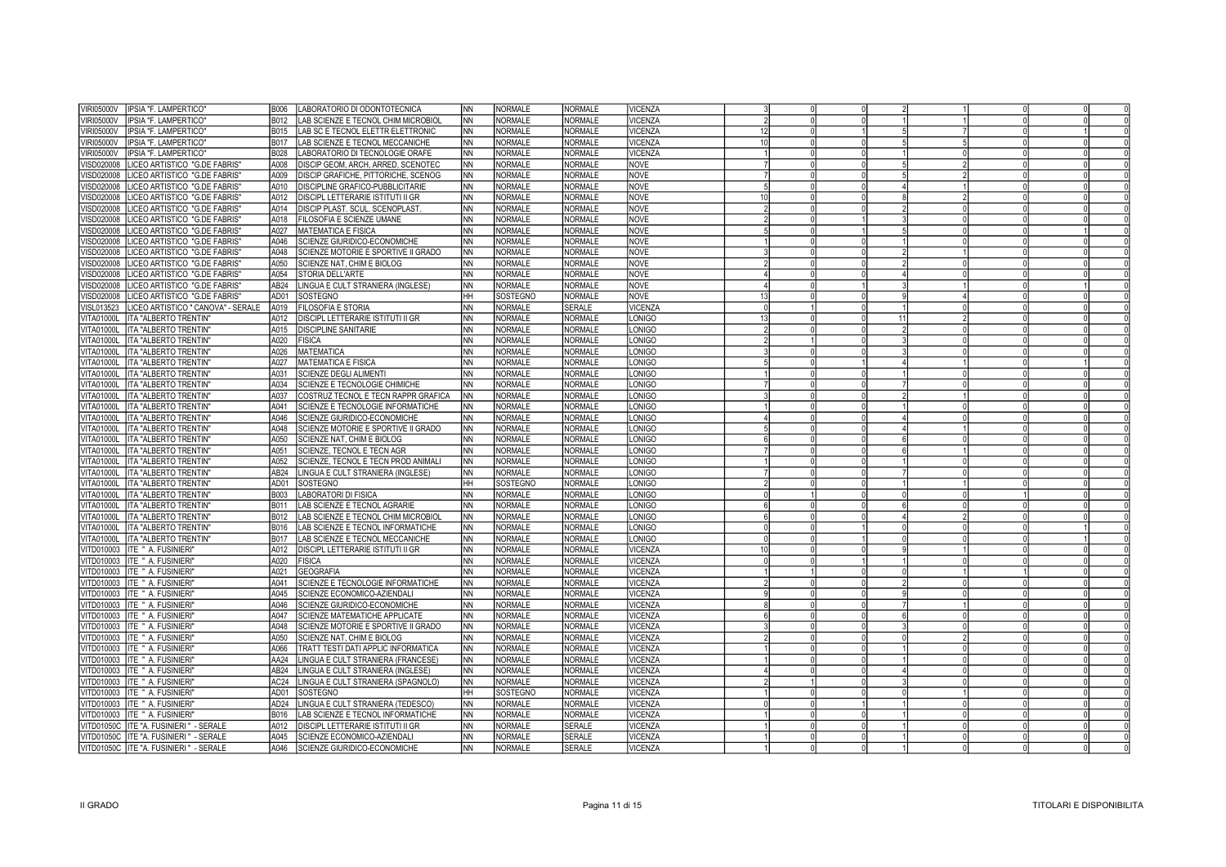| VIRI05000V<br>IPSIA "F. LAMPERTICO"               | B006             | LABORATORIO DI ODONTOTECNICA        | <b>NN</b> | <b>NORMALE</b> | <b>NORMALE</b> | VICENZA        |                 |  |  |  |
|---------------------------------------------------|------------------|-------------------------------------|-----------|----------------|----------------|----------------|-----------------|--|--|--|
| <b>VIRI05000V</b><br>IPSIA "F. LAMPERTICO"        | B012             | LAB SCIENZE E TECNOL CHIM MICROBIOL | NN        | <b>NORMALE</b> | NORMALE        | /ICENZA        |                 |  |  |  |
| IPSIA "F. LAMPERTICO"<br>/IRI05000V               | B015             | LAB SC E TECNOL ELETTR ELETTRONIC   | <b>NN</b> | <b>NORMALE</b> | <b>NORMALE</b> | VICENZA        | 12              |  |  |  |
| VIRI05000V<br>IPSIA "F. LAMPERTICO"               | B017             | LAB SCIENZE E TECNOL MECCANICHE     | <b>NN</b> | <b>NORMALE</b> | <b>NORMALE</b> | VICENZA        | 10 <sup>1</sup> |  |  |  |
| IPSIA "F. LAMPERTICO"<br>/IRI05000V               | B028             | LABORATORIO DI TECNOLOGIE ORAFE     | NN        | <b>NORMALE</b> | <b>NORMALE</b> | VICENZA        |                 |  |  |  |
| VISD020008<br>LICEO ARTISTICO "G.DE FABRIS"       | A008             | DISCIP GEOM. ARCH. ARRED. SCENOTEC  | INN.      | <b>NORMALE</b> | <b>NORMALE</b> | <b>NOVE</b>    |                 |  |  |  |
| LICEO ARTISTICO "G.DE FABRIS"<br>/ISD020008       | A009             | DISCIP GRAFICHE, PITTORICHE, SCENOG | NN.       | <b>NORMALE</b> | <b>NORMALE</b> | <b>NOVE</b>    |                 |  |  |  |
| LICEO ARTISTICO "G.DE FABRIS"<br>/ISD020008       | A010             | DISCIPLINE GRAFICO-PUBBLICITARIE    | <b>NN</b> | <b>NORMALE</b> | <b>NORMALE</b> | <b>NOVE</b>    |                 |  |  |  |
| LICEO ARTISTICO "G.DE FABRIS"<br>/ISD020008       | A012             | DISCIPL LETTERARIE ISTITUTI II GR   | NN        | <b>NORMALE</b> | <b>NORMALE</b> | <b>NOVE</b>    |                 |  |  |  |
| /ISD020008<br>LICEO ARTISTICO "G.DE FABRIS"       | A014             | DISCIP PLAST, SCUL, SCENOPLAST      | NN.       | <b>NORMALE</b> | NORMALE        | <b>NOVE</b>    |                 |  |  |  |
| LICEO ARTISTICO "G.DE FABRIS"<br>/ISD020008       | A018             | FILOSOFIA E SCIENZE UMANE           | NN        | <b>NORMALE</b> | <b>NORMALE</b> | <b>NOVE</b>    |                 |  |  |  |
| VISD020008<br>LICEO ARTISTICO "G.DE FABRIS"       | A027             | <b>MATEMATICA E FISICA</b>          | <b>NN</b> | NORMALE        | <b>NORMALE</b> | <b>NOVE</b>    |                 |  |  |  |
| /ISD020008<br>LICEO ARTISTICO "G.DE FABRIS"       | A046             | SCIENZE GIURIDICO-ECONOMICHE        | NΝ        | <b>NORMALE</b> | <b>NORMALE</b> | <b>NOVE</b>    |                 |  |  |  |
| LICEO ARTISTICO "G.DE FABRIS"<br>VISD020008       | A048             | SCIENZE MOTORIE E SPORTIVE II GRADO | <b>NN</b> | NORMALE        | NORMALE        | <b>NOVE</b>    |                 |  |  |  |
| LICEO ARTISTICO "G.DE FABRIS"<br>/ISD020008       | A050             | SCIENZE NAT. CHIM E BIOLOG          | NN.       | NORMALE        | <b>NORMALE</b> | <b>NOVE</b>    |                 |  |  |  |
| LICEO ARTISTICO "G.DE FABRIS"<br>VISD020008       | A054             | STORIA DELL'ARTE                    | <b>NN</b> | NORMALE        | <b>NORMALE</b> | <b>NOVE</b>    |                 |  |  |  |
| LICEO ARTISTICO "G.DE FABRIS"<br>/ISD020008       | AB24             | LINGUA E CULT STRANIERA (INGLESE)   | <b>NN</b> | NORMALE        | <b>NORMALE</b> | <b>NOVE</b>    |                 |  |  |  |
| LICEO ARTISTICO "G.DE FABRIS"<br>VISD020008       | AD01             | <b>SOSTEGNO</b>                     | HH        | SOSTEGNO       | NORMALE        | <b>NOVE</b>    |                 |  |  |  |
| LICEO ARTISTICO " CANOVA" - SERALE<br>VISL013523  | A019             | <b>FILOSOFIA E STORIA</b>           | <b>NN</b> | <b>NORMALE</b> | <b>SERALE</b>  | <b>VICENZA</b> |                 |  |  |  |
| <b>VITA01000L</b><br>ITA "ALBERTO TRENTIN'        | A012             | DISCIPL LETTERARIE ISTITUTI II GR   | NN.       | <b>NORMALE</b> | <b>NORMALE</b> | ONIGO          |                 |  |  |  |
| VITA01000L<br>IITA "ALBERTO TRENTIN'              | A015             | <b>DISCIPLINE SANITARIE</b>         | NΝ        | <b>NORMALE</b> | <b>NORMALE</b> | ONIGO          |                 |  |  |  |
| ITA "ALBERTO TRENTIN'<br>VITA01000L               | A020             | <b>FISICA</b>                       | NΝ        | <b>NORMALE</b> | <b>NORMALE</b> | ONIGO          |                 |  |  |  |
| <b>ITA "ALBERTO TRENTIN</b><br>VITA01000L         | A026             | <b>MATEMATICA</b>                   | NN        | <b>NORMALE</b> | <b>NORMALE</b> | ONIGO          |                 |  |  |  |
| VITA01000L<br><b>ITA "ALBERTO TRENTIN"</b>        | A027             | MATEMATICA E FISICA                 | NΝ        | <b>NORMALE</b> | NORMALE        | ONIGO          |                 |  |  |  |
| VITA01000L<br><b>ITA "ALBERTO TRENTIN</b>         | A031             | <b>SCIENZE DEGLI ALIMENTI</b>       | NΝ        | <b>NORMALE</b> | <b>NORMALE</b> | <b>LONIGO</b>  |                 |  |  |  |
| ITA "ALBERTO TRENTIN'<br>VITA01000L               | A034             | SCIENZE E TECNOLOGIE CHIMICHE       | NΝ        | <b>NORMALE</b> | <b>NORMALE</b> | ONIGO          |                 |  |  |  |
| <b>VITA01000L</b><br><b>ITA "ALBERTO TRENTIN"</b> | A037             | COSTRUZ TECNOL E TECN RAPPR GRAFICA | <b>NN</b> | NORMALE        | <b>NORMALE</b> | LONIGO         |                 |  |  |  |
| VITA01000L<br><b>ITA "ALBERTO TRENTIN"</b>        | A041             | SCIENZE E TECNOLOGIE INFORMATICHE   | NΝ        | <b>NORMALE</b> | <b>NORMALE</b> | ONIGO          |                 |  |  |  |
| <b>VITA01000L</b><br>IITA "ALBERTO TRENTIN'       | A046             | SCIENZE GIURIDICO-ECONOMICHE        | <b>NN</b> | <b>NORMALE</b> | <b>NORMALE</b> | LONIGO         |                 |  |  |  |
| VITA01000L<br><b>ITA "ALBERTO TRENTIN"</b>        | A048             | SCIENZE MOTORIE E SPORTIVE II GRADO | <b>NN</b> | <b>NORMALE</b> | <b>NORMALE</b> | ONIGO          |                 |  |  |  |
| VITA01000L<br><b>ITA "ALBERTO TRENTIN"</b>        | A050             | SCIENZE NAT, CHIM E BIOLOG          | <b>NN</b> | <b>NORMALE</b> | <b>NORMALE</b> | <b>LONIGO</b>  |                 |  |  |  |
| VITA01000L ITA "ALBERTO TRENTIN"                  | A051             | SCIENZE, TECNOL E TECN AGR          | NΝ        | <b>NORMALE</b> | <b>NORMALE</b> | ONIGO          |                 |  |  |  |
| VITA01000L<br><b>ITA "ALBERTO TRENTIN"</b>        | A052             | SCIENZE, TECNOL E TECN PROD ANIMALI | <b>NN</b> | <b>NORMALE</b> | NORMALE        | <b>LONIGO</b>  |                 |  |  |  |
| VITA01000L   ITA "ALBERTO TRENTIN'                | AB <sub>24</sub> | LINGUA E CULT STRANIERA (INGLESE)   | ΝN        | <b>NORMALE</b> | NORMALE        | ONIGO          |                 |  |  |  |
| VITA01000L   ITA "ALBERTO TRENTIN'                | AD01             | SOSTEGNO                            | HH.       | SOSTEGNO       | <b>NORMALE</b> | LONIGO         |                 |  |  |  |
| VITA01000L   ITA "ALBERTO TRENTIN'                | B003             | <b>LABORATORI DI FISICA</b>         | NΝ        | <b>NORMALE</b> | <b>NORMALE</b> | <b>LONIGO</b>  |                 |  |  |  |
| VITA01000L<br><b>ITA "ALBERTO TRENTIN</b>         | B011             | LAB SCIENZE E TECNOL AGRARIE        | NN        | <b>NORMALE</b> | <b>NORMALE</b> | LONIGO         |                 |  |  |  |
| VITA01000L<br><b>ITA "ALBERTO TRENTIN"</b>        | B012             | LAB SCIENZE E TECNOL CHIM MICROBIOL | NN        | NORMALE        | <b>NORMALE</b> | ONIGO          |                 |  |  |  |
| VITA01000L<br><b>ITA "ALBERTO TRENTIN"</b>        | B016             | LAB SCIENZE E TECNOL INFORMATICHE   | <b>NN</b> | <b>NORMALE</b> | <b>NORMALE</b> | ONIGO          |                 |  |  |  |
| VITA01000L ITA "ALBERTO TRENTIN"                  | B017             | LAB SCIENZE E TECNOL MECCANICHE     | NN        | <b>NORMALE</b> | <b>NORMALE</b> | ONIGO          |                 |  |  |  |
| VITD010003   ITE " A. FUSINIERI"                  | A012             | DISCIPL LETTERARIE ISTITUTI II GR   | <b>NN</b> | <b>NORMALE</b> | <b>NORMALE</b> | VICENZA        |                 |  |  |  |
| VITD010003 ITE " A. FUSINIERI"                    | A020             | <b>FISICA</b>                       | ΝN        | <b>NORMALE</b> | <b>NORMALE</b> | <b>VICENZA</b> |                 |  |  |  |
| VITD010003  ITE " A. FUSINIERI"                   | A021             | <b>GEOGRAFIA</b>                    | <b>NN</b> | <b>NORMALE</b> | <b>NORMALE</b> | <b>VICENZA</b> |                 |  |  |  |
| VITD010003 ITE " A. FUSINIERI"                    | A041             | SCIENZE E TECNOLOGIE INFORMATICHE   | NN        | <b>NORMALE</b> | <b>NORMALE</b> | <b>VICENZA</b> |                 |  |  |  |
| /ITD010003 TITE " A. FUSINIERI"                   | A045             | SCIENZE ECONOMICO-AZIENDALI         | <b>NN</b> | <b>NORMALE</b> | NORMALE        | <b>VICENZA</b> |                 |  |  |  |
| VITD010003  ITE " A. FUSINIERI"                   | A046             | SCIENZE GIURIDICO-ECONOMICHE        | ΝN        | <b>NORMALE</b> | <b>NORMALE</b> | <b>VICENZA</b> |                 |  |  |  |
| VITD010003  ITE " A. FUSINIERI"                   | A047             | SCIENZE MATEMATICHE APPLICATE       | NN        | <b>NORMALE</b> | <b>NORMALE</b> | <b>VICENZA</b> |                 |  |  |  |
| VITD010003  ITE " A. FUSINIERI"                   | A048             | SCIENZE MOTORIE E SPORTIVE II GRADO | NN        | <b>NORMALE</b> | <b>NORMALE</b> | VICENZA        |                 |  |  |  |
| VITD010003 ITE " A. FUSINIERI"                    | A050             | SCIENZE NAT, CHIM E BIOLOG          | <b>NN</b> | <b>NORMALE</b> | NORMALE        | VICENZA        |                 |  |  |  |
| VITD010003   ITE " A. FUSINIERI"                  | A066             | TRATT TESTI DATI APPLIC INFORMATICA | <b>NN</b> | <b>NORMALE</b> | <b>NORMALE</b> | VICENZA        |                 |  |  |  |
| VITD010003  ITE " A. FUSINIERI"                   | AA24             | LINGUA E CULT STRANIERA (FRANCESE)  | <b>NN</b> | <b>NORMALE</b> | <b>NORMALE</b> | VICENZA        |                 |  |  |  |
| VITD010003   ITE " A. FUSINIERI"                  | AB24             | LINGUA E CULT STRANIERA (INGLESE)   | <b>NN</b> | <b>NORMALE</b> | <b>NORMALE</b> | VICENZA        |                 |  |  |  |
| VITD010003 ITE " A. FUSINIERI"                    | AC24             | LINGUA E CULT STRANIERA (SPAGNOLO)  | NN        | <b>NORMALE</b> | <b>NORMALE</b> | VICENZA        |                 |  |  |  |
| VITD010003  ITE " A. FUSINIERI"                   | AD01             | SOSTEGNO                            | HH        | SOSTEGNO       | <b>NORMALE</b> | <b>VICENZA</b> |                 |  |  |  |
| VITD010003  ITE " A. FUSINIERI"                   | AD <sub>24</sub> | LINGUA E CULT STRANIERA (TEDESCO)   | ΝN        | <b>NORMALE</b> | <b>NORMALE</b> | VICENZA        |                 |  |  |  |
| VITD010003   ITE " A. FUSINIERI"                  | B016             | LAB SCIENZE E TECNOL INFORMATICHE   | <b>NN</b> | <b>NORMALE</b> | <b>NORMALE</b> | VICENZA        |                 |  |  |  |
| VITD01050C TITE "A. FUSINIERI " - SERALE          | A012             | DISCIPL LETTERARIE ISTITUTI II GR   | ΝN        | <b>NORMALE</b> | <b>SERALE</b>  | VICENZA        |                 |  |  |  |
| VITD01050C   ITE "A. FUSINIERI " - SERALE         | A045             | SCIENZE ECONOMICO-AZIENDALI         | ΝN        | <b>NORMALE</b> | <b>SERALE</b>  | VICENZA        |                 |  |  |  |
| VITD01050C   ITE "A. FUSINIERI " - SERALE         | A046             | SCIENZE GIURIDICO-ECONOMICHE        | ΝN        | NORMALE        | <b>SERALE</b>  | <b>VICENZA</b> |                 |  |  |  |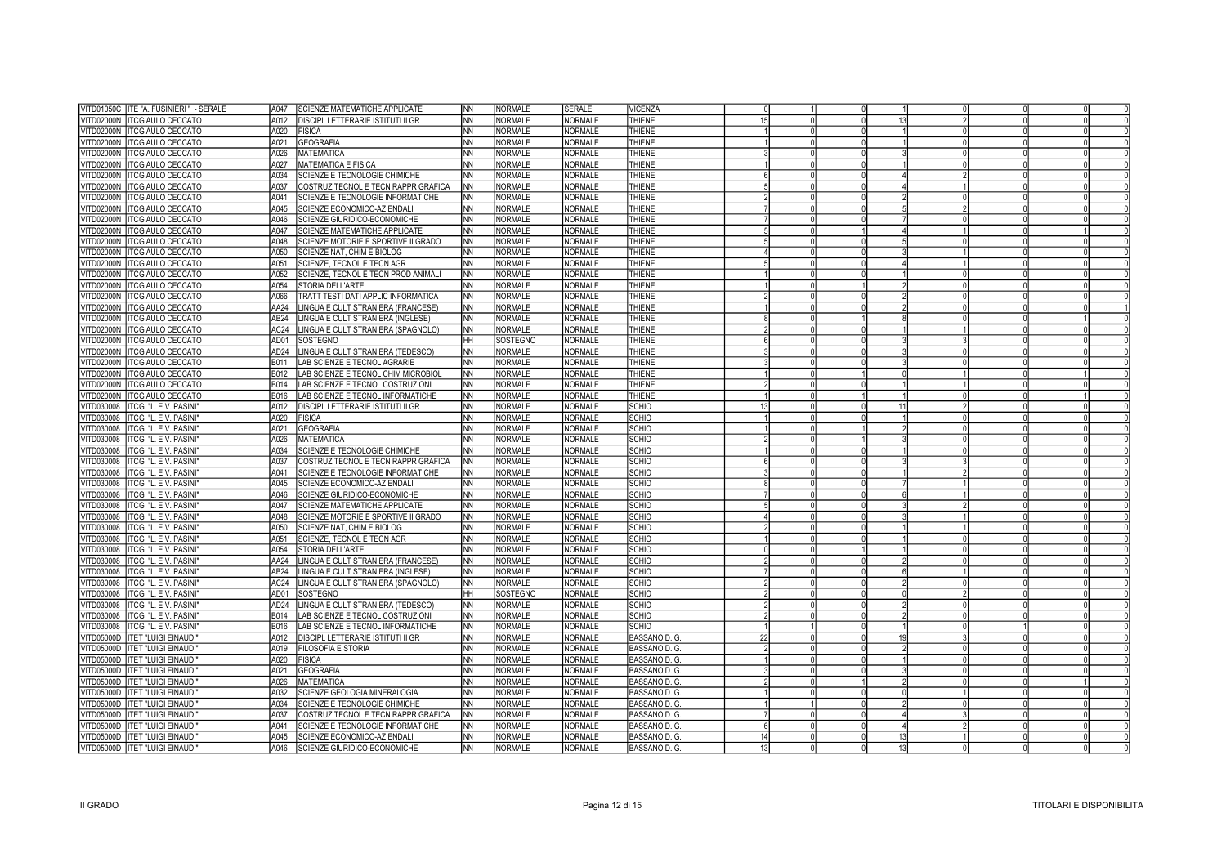| VITD01050C   ITE "A. FUSINIERI" - SERALE                               | A047             | <b>SCIENZE MATEMATICHE APPLICATE</b>                          | INN               | <b>NORMALE</b>                   | <b>SERALE</b>                    | <b>VICENZA</b>               |    |  |    |  |  |
|------------------------------------------------------------------------|------------------|---------------------------------------------------------------|-------------------|----------------------------------|----------------------------------|------------------------------|----|--|----|--|--|
| VITD02000N ITCG AULO CECCATO                                           | A012             | <b>DISCIPL LETTERARIE ISTITUTI II GR</b>                      | INN               | <b>NORMALE</b>                   | <b>NORMALE</b>                   | THIENE                       | 15 |  |    |  |  |
| VITD02000N   ITCG AULO CECCATO                                         | A020             | <b>FISICA</b>                                                 | Inn               | <b>NORMALE</b>                   | <b>NORMALE</b>                   | THIENE                       |    |  |    |  |  |
| VITD02000N TICG AULO CECCATO                                           | A021             | <b>GEOGRAFIA</b>                                              | INN               | <b>NORMALE</b>                   | <b>NORMALE</b>                   | THIENE                       |    |  |    |  |  |
| VITD02000N TICG AULO CECCATO                                           | A026             | <b>MATEMATICA</b>                                             | Inn               | <b>NORMALE</b>                   | <b>NORMALE</b>                   | THIENE                       |    |  |    |  |  |
| VITD02000N ITCG AULO CECCATO                                           | A027             | <b>MATEMATICA E FISICA</b>                                    | <b>NN</b>         | <b>NORMALE</b>                   | <b>NORMALE</b>                   | THIENE                       |    |  |    |  |  |
| VITD02000N TTCG AULO CECCATO                                           | A034             | SCIENZE E TECNOLOGIE CHIMICHE                                 | <b>NN</b>         | <b>NORMALE</b>                   | <b>NORMALE</b>                   | THIENE                       |    |  |    |  |  |
| VITD02000N ITCG AULO CECCATO                                           | A037             | COSTRUZ TECNOL E TECN RAPPR GRAFICA                           | INN               | <b>NORMALE</b>                   | <b>NORMALE</b>                   | THIENE                       |    |  |    |  |  |
| VITD02000N   ITCG AULO CECCATO                                         | A041             | SCIENZE E TECNOLOGIE INFORMATICHE                             | <b>NN</b>         | <b>NORMALE</b>                   | <b>NORMALE</b>                   | <b>THIENE</b>                |    |  |    |  |  |
| VITD02000N ITCG AULO CECCATO                                           | A045             | SCIENZE ECONOMICO-AZIENDALI                                   | INN.              | <b>NORMALE</b>                   | <b>NORMALE</b>                   | THIENE                       |    |  |    |  |  |
| VITD02000N ITCG AULO CECCATO                                           | A046             | SCIENZE GIURIDICO-ECONOMICHE                                  | Inn               | <b>NORMALE</b>                   | <b>NORMALE</b>                   | <b>THIENE</b>                |    |  |    |  |  |
| VITD02000N ITCG AULO CECCATO                                           | A047             | <b>SCIENZE MATEMATICHE APPLICATE</b>                          | <b>INN</b>        | <b>NORMALE</b>                   | <b>NORMALE</b>                   | THIENE                       |    |  |    |  |  |
| VITD02000N   ITCG AULO CECCATO                                         | A048             | SCIENZE MOTORIE E SPORTIVE II GRADO                           | INN               | <b>NORMALE</b>                   | <b>NORMALE</b>                   | THIENE                       |    |  |    |  |  |
| VITD02000N ITCG AULO CECCATO                                           | A050             | SCIENZE NAT. CHIM E BIOLOG                                    | Inn               | <b>NORMALE</b>                   | <b>NORMALE</b>                   | <b>THIENE</b>                |    |  |    |  |  |
| VITD02000N   ITCG AULO CECCATO                                         | A051             | SCIENZE. TECNOL E TECN AGR                                    | INN               | <b>NORMALE</b>                   | <b>NORMALE</b>                   | THIENE                       |    |  |    |  |  |
| VITD02000N   ITCG AULO CECCATO                                         | A052             | SCIENZE, TECNOL E TECN PROD ANIMALI                           | INN.              | <b>NORMALE</b>                   | <b>NORMALE</b>                   | <b>THIENE</b>                |    |  |    |  |  |
| VITD02000N ITCG AULO CECCATO                                           | A054             | STORIA DELL'ARTE                                              | INN               | <b>NORMALE</b>                   | <b>NORMALE</b>                   | THIENE                       |    |  |    |  |  |
| VITD02000N   ITCG AULO CECCATO                                         | A066             | TRATT TESTI DATI APPLIC INFORMATICA                           | <b>INN</b>        | <b>NORMALE</b>                   | <b>NORMALE</b>                   | <b>THIENE</b>                |    |  |    |  |  |
| VITD02000N ITCG AULO CECCATO                                           | AA24             | LINGUA E CULT STRANIERA (FRANCESE)                            | <b>INN</b>        | <b>NORMALE</b>                   | <b>NORMALE</b>                   | THIENE                       |    |  |    |  |  |
| VITD02000N   ITCG AULO CECCATO                                         | AB <sub>24</sub> | LINGUA E CULT STRANIERA (INGLESE)                             | INN.              | <b>NORMALE</b>                   | <b>NORMALE</b>                   | <b>THIENE</b>                |    |  |    |  |  |
| VITD02000N   ITCG AULO CECCATO                                         | AC24             | LINGUA E CULT STRANIERA (SPAGNOLO)                            | INN               | <b>NORMALE</b>                   | NORMALE                          | THIENE                       |    |  |    |  |  |
| VITD02000N   ITCG AULO CECCATO                                         | AD01             | SOSTEGNO                                                      | Iнн.              | SOSTEGNO                         | NORMALE                          | <b>THIENE</b>                |    |  |    |  |  |
| VITD02000N   ITCG AULO CECCATO                                         | AD <sub>24</sub> | LINGUA E CULT STRANIERA (TEDESCO)                             | INN               | <b>NORMALE</b>                   | NORMALE                          | THIENE                       |    |  |    |  |  |
| VITD02000N   ITCG AULO CECCATO                                         | B011             | LAB SCIENZE E TECNOL AGRARIE                                  | INN               | <b>NORMALE</b>                   | NORMALE                          | <b>THIENE</b>                |    |  |    |  |  |
| VITD02000N ITCG AULO CECCATO                                           | B012             | LAB SCIENZE E TECNOL CHIM MICROBIOL                           | INN               | <b>NORMALE</b>                   | <b>NORMALE</b>                   | THIENE                       |    |  |    |  |  |
| VITD02000N TICG AULO CECCATO                                           | B014             | LAB SCIENZE E TECNOL COSTRUZIONI                              | Inn               | <b>NORMALE</b>                   | <b>NORMALE</b>                   | THIENE                       |    |  |    |  |  |
|                                                                        | B016             |                                                               | INN.              | <b>NORMALE</b>                   | <b>NORMALE</b>                   | THIENE                       |    |  |    |  |  |
| VITD02000N ITCG AULO CECCATO                                           |                  | LAB SCIENZE E TECNOL INFORMATICHE                             |                   |                                  | <b>NORMALE</b>                   | <b>SCHIO</b>                 |    |  |    |  |  |
| ITCG "L. E V. PASINI"<br>VITD030008                                    | A012             | DISCIPL LETTERARIE ISTITUTI II GR                             | INN               | <b>NORMALE</b><br><b>NORMALE</b> | <b>NORMALE</b>                   |                              |    |  |    |  |  |
| VITD030008 ITCG "L. E V. PASINI'                                       | A020<br>A021     | <b>FISICA</b>                                                 | INN<br>Inn        |                                  |                                  | <b>SCHIO</b>                 |    |  |    |  |  |
| VITD030008<br><b>ITCG "L. E V. PASINI"</b>                             | A026             | <b>GEOGRAFIA</b>                                              |                   | <b>NORMALE</b>                   | <b>NORMALE</b><br><b>NORMALE</b> | <b>SCHIO</b><br><b>SCHIO</b> |    |  |    |  |  |
| VITD030008   ITCG "L. E V. PASINI"                                     |                  | <b>MATEMATICA</b>                                             | <b>NN</b>         | NORMALE                          |                                  | <b>SCHIO</b>                 |    |  |    |  |  |
| VITD030008   ITCG "L. E V. PASINI"                                     | A034             | SCIENZE E TECNOLOGIE CHIMICHE                                 | <b>NN</b>         | <b>NORMALE</b>                   | <b>NORMALE</b>                   |                              |    |  |    |  |  |
| VITD030008   ITCG "L. E V. PASINI"                                     | A037<br>A041     | COSTRUZ TECNOL E TECN RAPPR GRAFICA                           | INN.<br><b>NN</b> | <b>NORMALE</b><br><b>NORMALE</b> | <b>NORMALE</b><br><b>NORMALE</b> | <b>SCHIO</b><br><b>SCHIO</b> |    |  |    |  |  |
| VITD030008 ITCG "L. E V. PASINI"                                       | A045             | SCIENZE E TECNOLOGIE INFORMATICHE                             | INN.              | <b>NORMALE</b>                   | <b>NORMALE</b>                   | <b>SCHIO</b>                 |    |  |    |  |  |
| VITD030008   ITCG "L. E V. PASINI"                                     |                  | SCIENZE ECONOMICO-AZIENDALI                                   | <b>NN</b>         | <b>NORMALE</b>                   | <b>NORMALE</b>                   | <b>SCHIO</b>                 |    |  |    |  |  |
| VITD030008 ITCG "L. E V. PASINI"<br>VITD030008   ITCG "L. E V. PASINI" | A046<br>A047     | SCIENZE GIURIDICO-ECONOMICHE<br>SCIENZE MATEMATICHE APPLICATE | INN               | <b>NORMALE</b>                   | <b>NORMALE</b>                   | <b>SCHIO</b>                 |    |  |    |  |  |
|                                                                        |                  |                                                               |                   |                                  |                                  |                              |    |  |    |  |  |
| VITD030008 ITCG "L. E V. PASINI'                                       | A048             | SCIENZE MOTORIE E SPORTIVE II GRADO                           | INN.              | NORMALE                          | <b>NORMALE</b>                   | <b>SCHIO</b>                 |    |  |    |  |  |
| VITD030008   ITCG "L. E V. PASINI"                                     | A050             | SCIENZE NAT, CHIM E BIOLOG                                    | INN.              | <b>NORMALE</b>                   | <b>NORMALE</b>                   | <b>SCHIO</b>                 |    |  |    |  |  |
| VITD030008   ITCG "L. E V. PASINI"                                     | A051             | SCIENZE, TECNOL E TECN AGR                                    | INN               | NORMALE                          | <b>NORMALE</b>                   | <b>SCHIO</b>                 |    |  |    |  |  |
| VITD030008   ITCG "L. E V. PASINI"                                     | A054<br>AA24     | STORIA DELL'ARTE                                              | <b>NN</b>         | <b>NORMALE</b>                   | <b>NORMALE</b>                   | <b>SCHIO</b>                 |    |  |    |  |  |
| VITD030008 ITCG "L. E V. PASINI'                                       |                  | LINGUA E CULT STRANIERA (FRANCESE)                            | <b>INN</b>        | <b>NORMALE</b>                   | <b>NORMALE</b>                   | <b>SCHIO</b>                 |    |  |    |  |  |
| VITD030008   ITCG "L. E V. PASINI"                                     | AB <sub>24</sub> | LINGUA E CULT STRANIERA (INGLESE)                             | INN.              | NORMALE                          | <b>NORMALE</b>                   | <b>SCHIO</b>                 |    |  |    |  |  |
| VITD030008   ITCG "L. E V. PASINI"                                     | AC24             | LINGUA E CULT STRANIERA (SPAGNOLO)                            | INN               | <b>NORMALE</b>                   | <b>NORMALE</b>                   | <b>SCHIO</b>                 |    |  |    |  |  |
| VITD030008   ITCG "L. E V. PASINI"                                     | AD01             | SOSTEGNO                                                      | Інн               | SOSTEGNO                         | <b>NORMALE</b>                   | <b>SCHIO</b>                 |    |  |    |  |  |
| VITD030008   ITCG "L. E V. PASINI"                                     | AD24             | LINGUA E CULT STRANIERA (TEDESCO)                             | INN               | <b>NORMALE</b>                   | NORMALE                          | <b>SCHIO</b>                 |    |  |    |  |  |
| VITD030008   ITCG "L. E V. PASINI"                                     | B014             | LAB SCIENZE E TECNOL COSTRUZIONI                              | INN               | NORMALE                          | <b>NORMALE</b>                   | <b>SCHIO</b>                 |    |  |    |  |  |
| VITD030008 ITCG "L. E V. PASINI'                                       | <b>B016</b>      | LAB SCIENZE E TECNOL INFORMATICHE                             | INN               | <b>NORMALE</b>                   | <b>NORMALE</b>                   | <b>SCHIO</b>                 |    |  |    |  |  |
| VITD05000D   ITET "LUIGI EINAUDI"                                      | A012             | DISCIPL LETTERARIE ISTITUTI II GR                             | INN               | NORMALE                          | <b>NORMALE</b>                   | BASSANO D. G.                | 22 |  |    |  |  |
| VITD05000D   ITET "LUIGI EINAUDI"                                      | A019             | <b>FILOSOFIA E STORIA</b>                                     | <b>INN</b>        | NORMALE                          | <b>NORMALE</b>                   | BASSANO D. G.                |    |  |    |  |  |
| VITD05000D  ITET "LUIGI EINAUDI"                                       | A020             | <b>FISICA</b>                                                 | <b>NN</b>         | NORMALE                          | <b>NORMALE</b>                   | BASSANO D. G.                |    |  |    |  |  |
| VITD05000D  ITET "LUIGI EINAUDI"                                       | A021             | <b>GEOGRAFIA</b>                                              | <b>NN</b>         | <b>NORMALE</b>                   | <b>NORMALE</b>                   | BASSANO D. G.                |    |  |    |  |  |
| VITD05000D  ITET "LUIGI EINAUDI"                                       | A026             | <b>MATEMATICA</b>                                             | <b>NN</b>         | <b>NORMALE</b>                   | <b>NORMALE</b>                   | BASSANO D. G.                |    |  |    |  |  |
| VITD05000D   ITET "LUIGI EINAUDI"                                      | A032             | SCIENZE GEOLOGIA MINERALOGIA                                  | <b>INN</b>        | <b>NORMALE</b>                   | <b>NORMALE</b>                   | BASSANO D. G.                |    |  |    |  |  |
| VITD05000D   ITET "LUIGI EINAUDI"                                      | A034             | SCIENZE E TECNOLOGIE CHIMICHE                                 | <b>NN</b>         | NORMALE                          | <b>NORMALE</b>                   | BASSANO D. G.                |    |  |    |  |  |
| VITD05000D   ITET "LUIGI EINAUDI"                                      | A037             | COSTRUZ TECNOL E TECN RAPPR GRAFICA                           | <b>INN</b>        | <b>NORMALE</b>                   | <b>NORMALE</b>                   | BASSANO D. G.                |    |  |    |  |  |
| VITD05000D  ITET "LUIGI EINAUDI"                                       | A041             | SCIENZE E TECNOLOGIE INFORMATICHE                             | <b>NN</b>         | NORMALE                          | <b>NORMALE</b>                   | BASSANO D. G.                |    |  |    |  |  |
| VITD05000D   ITET "LUIGI EINAUDI"                                      | A045             | SCIENZE ECONOMICO-AZIENDALI                                   | <b>INN</b>        | <b>NORMALE</b>                   | <b>NORMALE</b>                   | BASSANO D. G.                | 14 |  | 12 |  |  |
| VITD05000D   ITET "LUIGI EINAUDI"                                      | A046             | SCIENZE GIURIDICO-ECONOMICHE                                  | <b>NN</b>         | <b>NORMALE</b>                   | <b>NORMALE</b>                   | BASSANO D. G.                | 13 |  |    |  |  |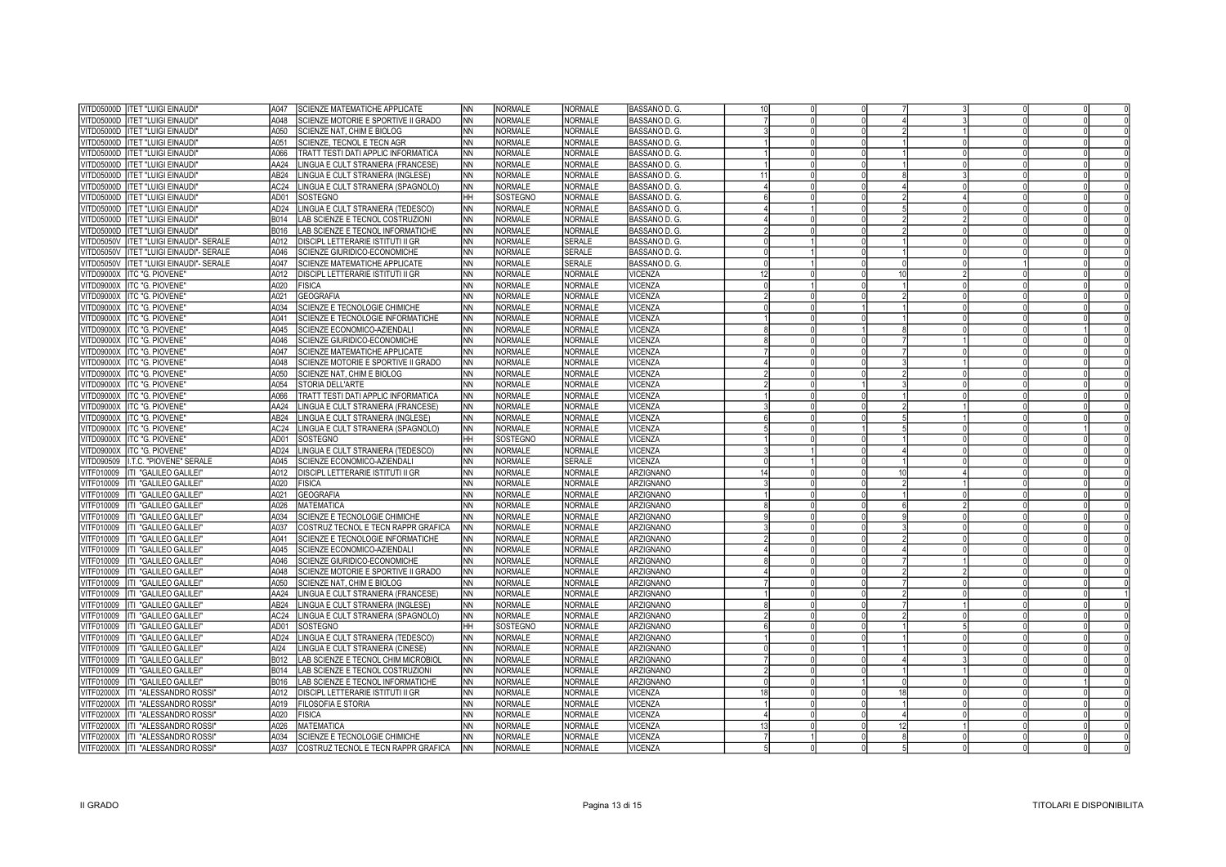| VITD05000D   ITET "LUIGI EINAUDI"                 | A047<br>SCIENZE MATEMATICHE APPLICATE                 | <b>NN</b> | <b>NORMALE</b> | <b>NORMALE</b> | BASSANO D. G.        |                 |    |  |  |
|---------------------------------------------------|-------------------------------------------------------|-----------|----------------|----------------|----------------------|-----------------|----|--|--|
| VITD05000D<br>ITET "LUIGI EINAUDI"                | A048<br>SCIENZE MOTORIE E SPORTIVE II GRADO           | <b>NN</b> | <b>NORMALE</b> | NORMALE        | BASSANO D. G.        |                 |    |  |  |
| ITET "LUIGI EINAUDI"<br>VITD05000D                | A050<br>SCIENZE NAT. CHIM E BIOLOG                    | <b>NN</b> | <b>NORMALE</b> | <b>NORMALE</b> | BASSANO D. G.        |                 |    |  |  |
| ITET "LUIGI EINAUDI"<br>VITD05000D                | A051<br>SCIENZE. TECNOL E TECN AGR                    | <b>NN</b> | <b>NORMALE</b> | <b>NORMALE</b> | BASSANO D. G.        |                 |    |  |  |
| /ITD05000D TITET "LUIGI EINAUDI"                  | A066<br>TRATT TESTI DATI APPLIC INFORMATICA           | <b>NN</b> | <b>NORMALE</b> | <b>NORMALE</b> | BASSANO D. G.        |                 |    |  |  |
| VITD05000D IITET "LUIGI EINAUDI"                  | AA24<br>LINGUA E CULT STRANIERA (FRANCESE)            | INN.      | <b>NORMALE</b> | <b>NORMALE</b> | BASSANO D. G.        |                 |    |  |  |
| VITD05000D   ITET "LUIGI EINAUDI"                 | AB24<br>LINGUA E CULT STRANIERA (INGLESE)             | <b>NN</b> | <b>NORMALE</b> | <b>NORMALE</b> | BASSANO D. G.        |                 |    |  |  |
| VITD05000D IITET "LUIGI EINAUDI"                  | AC24<br>LINGUA E CULT STRANIERA (SPAGNOLO)            | INN.      | <b>NORMALE</b> | <b>NORMALE</b> | BASSANO D. G.        |                 |    |  |  |
| /ITD05000D TITET "LUIGI EINAUDI"                  | AD01<br>SOSTEGNO                                      | HH.       | SOSTEGNO       | NORMALE        | BASSANO D. G.        |                 |    |  |  |
| VITD05000D<br>IITET "LUIGI EINAUDI                | AD <sub>24</sub><br>LINGUA E CULT STRANIERA (TEDESCO) | <b>NN</b> | <b>NORMALE</b> | NORMALE        | <b>BASSANO D. G.</b> |                 |    |  |  |
| /ITD05000D  ITET "LUIGI EINAUDI"                  | B014<br>LAB SCIENZE E TECNOL COSTRUZIONI              | NN.       | <b>NORMALE</b> | <b>NORMALE</b> | <b>BASSANO D. G.</b> |                 |    |  |  |
| VITD05000D<br><b>ITET "LUIGI EINAUDI"</b>         | B016<br>LAB SCIENZE E TECNOL INFORMATICHE             | <b>NN</b> | NORMALE        | NORMALE        | BASSANO D. G.        |                 |    |  |  |
| VITD05050V<br><b>ITET "LUIGI EINAUDI"- SERALE</b> | A012<br>DISCIPL LETTERARIE ISTITUTI II GR             | NN.       | <b>NORMALE</b> | <b>SERALE</b>  | BASSANO D. G.        |                 |    |  |  |
| <b>VITD05050V</b><br>ITET "LUIGI EINAUDI"- SERALE | A046<br>SCIENZE GIURIDICO-ECONOMICHE                  | <b>NN</b> | NORMALE        | SERALE         | BASSANO D. G.        |                 |    |  |  |
| VITD05050V ITET "LUIGI EINAUDI"- SERALE           | A047<br>SCIENZE MATEMATICHE APPLICATE                 | NN.       | NORMALE        | <b>SERALE</b>  | BASSANO D. G.        |                 |    |  |  |
| VITD09000X ITC "G. PIOVENE"                       | A012<br>DISCIPL LETTERARIE ISTITUTI II GR             | <b>NN</b> | <b>NORMALE</b> | <b>NORMALE</b> | VICENZA              | 12 <sup>1</sup> | 10 |  |  |
| VITD09000X ITC "G. PIOVENE"                       | A020<br><b>FISICA</b>                                 | NN.       | NORMALE        | <b>NORMALE</b> | VICENZA              |                 |    |  |  |
| VITD09000X ITC "G. PIOVENE"                       | A021<br><b>GEOGRAFIA</b>                              | NN        | <b>NORMALE</b> | NORMALE        | VICENZA              |                 |    |  |  |
| VITD09000X ITC "G. PIOVENE"                       | A034<br>SCIENZE E TECNOLOGIE CHIMICHE                 | <b>NN</b> | <b>NORMALE</b> | <b>NORMALE</b> | VICENZA              |                 |    |  |  |
| VITD09000X ITC "G. PIOVENE"                       | A041<br>SCIENZE E TECNOLOGIE INFORMATICHE             | <b>NN</b> | <b>NORMALE</b> | <b>NORMALE</b> | VICENZA              |                 |    |  |  |
| VITD09000X ITC "G. PIOVENE"                       | A045<br>SCIENZE ECONOMICO-AZIENDALI                   | <b>NN</b> | <b>NORMALE</b> | <b>NORMALE</b> | VICENZA              |                 |    |  |  |
| VITD09000X ITC "G. PIOVENE"                       | A046<br>SCIENZE GIURIDICO-ECONOMICHE                  | <b>NN</b> | <b>NORMALE</b> | <b>NORMALE</b> | <b>VICENZA</b>       |                 |    |  |  |
| VITD09000X ITC "G. PIOVENE"                       | A047<br>SCIENZE MATEMATICHE APPLICATE                 | NN        | <b>NORMALE</b> | <b>NORMALE</b> | /ICENZA              |                 |    |  |  |
| VITD09000X ITC "G. PIOVENE"                       | SCIENZE MOTORIE E SPORTIVE II GRADO<br>A048           | <b>NN</b> | <b>NORMALE</b> | NORMALE        | VICENZA              |                 |    |  |  |
| VITD09000X ITC "G. PIOVENE"                       | A050<br>SCIENZE NAT, CHIM E BIOLOG                    | ΝN        | <b>NORMALE</b> | <b>NORMALE</b> | <b>VICENZA</b>       |                 |    |  |  |
| VITD09000X ITC "G. PIOVENE"                       | A054<br>STORIA DELL'ARTE                              | <b>NN</b> | <b>NORMALE</b> | <b>NORMALE</b> | VICENZA              |                 |    |  |  |
| VITD09000X ITC "G. PIOVENE"                       | A066<br>TRATT TESTI DATI APPLIC INFORMATICA           | <b>NN</b> | NORMALE        | <b>NORMALE</b> | VICENZA              |                 |    |  |  |
| VITD09000X ITC "G. PIOVENE"                       | AA24<br>LINGUA E CULT STRANIERA (FRANCESE)            | <b>NN</b> | <b>NORMALE</b> | <b>NORMALE</b> | VICENZA              |                 |    |  |  |
| VITD09000X ITC "G. PIOVENE"                       | AB24<br>LINGUA E CULT STRANIERA (INGLESE)             | NN        | <b>NORMALE</b> | <b>NORMALE</b> | VICENZA              |                 |    |  |  |
| VITD09000X ITC "G. PIOVENE"                       | AC24<br>LINGUA E CULT STRANIERA (SPAGNOLO)            | <b>NN</b> | <b>NORMALE</b> | <b>NORMALE</b> | VICENZA              |                 |    |  |  |
| VITD09000X ITC "G. PIOVENE"                       | AD01<br>SOSTEGNO                                      | HH.       | SOSTEGNO       | <b>NORMALE</b> | VICENZA              |                 |    |  |  |
| VITD09000X ITC "G. PIOVENE"                       | AD <sub>24</sub><br>LINGUA E CULT STRANIERA (TEDESCO) | NN.       | <b>NORMALE</b> | <b>NORMALE</b> | VICENZA              |                 |    |  |  |
| VITD090509   I.T.C. "PIOVENE" SERALE              | A045<br>SCIENZE ECONOMICO-AZIENDALI                   | <b>NN</b> | <b>NORMALE</b> | SERALE         | VICENZA              |                 |    |  |  |
| VITF010009 ITI "GALILEO GALILEI"                  | A012<br>DISCIPL LETTERARIE ISTITUTI II GR             | NN.       | <b>NORMALE</b> | NORMALE        | ARZIGNANO            |                 |    |  |  |
| VITF010009   ITI "GALILEO GALILEI"                | A020<br><b>FISICA</b>                                 | <b>NN</b> | <b>NORMALE</b> | <b>NORMALE</b> | ARZIGNANO            |                 |    |  |  |
| VITF010009  ITI "GALILEO GALILEI"                 | <b>GEOGRAFIA</b><br>A021                              | NΝ        | <b>NORMALE</b> | <b>NORMALE</b> | ARZIGNANO            |                 |    |  |  |
| VITF010009   ITI "GALILEO GALILEI"                | A026<br><b>MATEMATICA</b>                             | NN        | <b>NORMALE</b> | <b>NORMALE</b> | ARZIGNANO            |                 |    |  |  |
| VITF010009  ITI "GALILEO GALILEI"                 | A034<br>SCIENZE E TECNOLOGIE CHIMICHE                 | <b>NN</b> | <b>NORMALE</b> | <b>NORMALE</b> | <b>ARZIGNANO</b>     |                 |    |  |  |
| VITF010009   ITI "GALILEO GALILEI"                | A037<br>COSTRUZ TECNOL E TECN RAPPR GRAFICA           | <b>NN</b> | <b>NORMALE</b> | <b>NORMALE</b> | ARZIGNANO            |                 |    |  |  |
| VITF010009 ITI "GALILEO GALILEI"                  | A041<br>SCIENZE E TECNOLOGIE INFORMATICHE             | NN        | <b>NORMALE</b> | <b>NORMALE</b> | <b>ARZIGNANO</b>     |                 |    |  |  |
| VITF010009  ITI "GALILEO GALILEI"                 | A045<br>SCIENZE ECONOMICO-AZIENDALI                   | <b>NN</b> | <b>NORMALE</b> | <b>NORMALE</b> | ARZIGNANO            |                 |    |  |  |
| VITF010009 ITI "GALILEO GALILEI"                  | A046<br>SCIENZE GIURIDICO-ECONOMICHE                  | ΝN        | <b>NORMALE</b> | <b>NORMALE</b> | ARZIGNANO            |                 |    |  |  |
| VITF010009  ITI "GALILEO GALILEI"                 | A048<br>SCIENZE MOTORIE E SPORTIVE II GRADO           | <b>NN</b> | <b>NORMALE</b> | <b>NORMALE</b> | ARZIGNANO            |                 |    |  |  |
| VITF010009  ITI "GALILEO GALILEI"                 | A050<br>SCIENZE NAT, CHIM E BIOLOG                    | NN        | <b>NORMALE</b> | <b>NORMALE</b> | ARZIGNANO            |                 |    |  |  |
| VITF010009 IITI "GALILEO GALILEI'                 | AA24<br>LINGUA E CULT STRANIERA (FRANCESE)            | <b>NN</b> | <b>NORMALE</b> | NORMALE        | ARZIGNANO            |                 |    |  |  |
| VITF010009  ITI "GALILEO GALILEI"                 | AB <sub>24</sub><br>LINGUA E CULT STRANIERA (INGLESE) | NN        | <b>NORMALE</b> | <b>NORMALE</b> | ARZIGNANO            |                 |    |  |  |
| VITF010009 ITI "GALILEO GALILEI"                  | AC24<br>LINGUA E CULT STRANIERA (SPAGNOLO)            | <b>NN</b> | <b>NORMALE</b> | NORMALE        | ARZIGNANO            |                 |    |  |  |
| VITF010009  ITI "GALILEO GALILEI"                 | AD01<br><b>SOSTEGNO</b>                               | HH.       | SOSTEGNO       | <b>NORMALE</b> | ARZIGNANO            |                 |    |  |  |
| VITF010009 ITI "GALILEO GALILEI"                  | AD24<br>LINGUA E CULT STRANIERA (TEDESCO)             | <b>NN</b> | <b>NORMALE</b> | NORMALE        | ARZIGNANO            |                 |    |  |  |
| VITF010009  ITI "GALILEO GALILEI"                 | AI24<br>LINGUA E CULT STRANIERA (CINESE)              | <b>NN</b> | <b>NORMALE</b> | <b>NORMALE</b> | <b>ARZIGNANO</b>     |                 |    |  |  |
| VITF010009 ITI "GALILEO GALILEI"                  | B012<br>LAB SCIENZE E TECNOL CHIM MICROBIOL           | <b>NN</b> | <b>NORMALE</b> | <b>NORMALE</b> | <b>ARZIGNANO</b>     |                 |    |  |  |
| VITF010009  ITI "GALILEO GALILEI"                 | B014<br>LAB SCIENZE E TECNOL COSTRUZIONI              | <b>NN</b> | <b>NORMALE</b> | <b>NORMALE</b> | <b>ARZIGNANO</b>     |                 |    |  |  |
| VITF010009 ITI "GALILEO GALILEI"                  | B016<br>LAB SCIENZE E TECNOL INFORMATICHE             | NN.       | <b>NORMALE</b> | <b>NORMALE</b> | <b>ARZIGNANO</b>     |                 |    |  |  |
| VITF02000X  ITI "ALESSANDRO ROSSI'                | DISCIPL LETTERARIE ISTITUTI II GR<br>A012             | NN        | <b>NORMALE</b> | <b>NORMALE</b> | VICENZA              | 18              | 18 |  |  |
| VITF02000X ITI "ALESSANDRO ROSSI'                 | A019<br><b>FILOSOFIA E STORIA</b>                     | NΝ        | <b>NORMALE</b> | <b>NORMALE</b> | VICENZA              |                 |    |  |  |
| VITF02000X<br>ITI "ALESSANDRO ROSSI"              | A020<br><b>FISICA</b>                                 |           | <b>NORMALE</b> | <b>NORMALE</b> | VICENZA              |                 |    |  |  |
|                                                   | A026<br><b>MATEMATICA</b>                             | ΝN<br>NΝ  | <b>NORMALE</b> | <b>NORMALE</b> | VICENZA              | 13              |    |  |  |
| VITF02000X  ITI "ALESSANDRO ROSSI"                | A034                                                  |           | <b>NORMALE</b> | <b>NORMALE</b> | VICENZA              |                 |    |  |  |
| VITF02000X   ITI "ALESSANDRO ROSSI"               | SCIENZE E TECNOLOGIE CHIMICHE                         | NN        |                |                |                      |                 |    |  |  |
| VITF02000X   ITI "ALESSANDRO ROSSI"               | A037<br>COSTRUZ TECNOL E TECN RAPPR GRAFICA           | NN.       | <b>NORMALE</b> | <b>NORMALE</b> | <b>VICENZA</b>       |                 |    |  |  |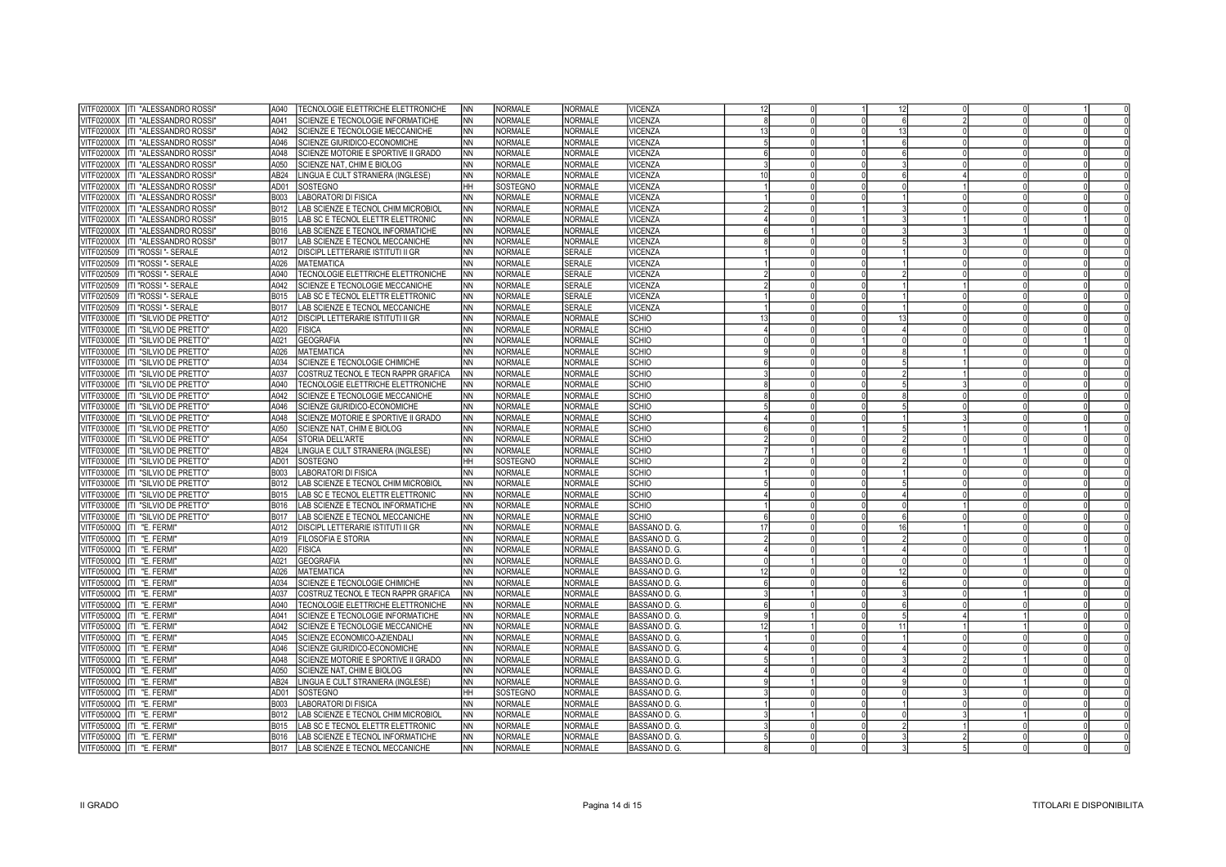| <b>VITF02000X</b>          | <b>ITI "ALESSANDRO ROSSI"</b>      | TECNOLOGIE ELETTRICHE ELETTRONICHE<br>A040  | <b>NN</b> | NORMALE        | <b>NORMALE</b> | VICENZA        | 12 |          | 12 |  |  |
|----------------------------|------------------------------------|---------------------------------------------|-----------|----------------|----------------|----------------|----|----------|----|--|--|
| /ITF02000X                 | ITI "ALESSANDRO ROSSI'             | SCIENZE E TECNOLOGIE INFORMATICHE<br>A041   | <b>NN</b> | NORMALE        | <b>NORMALE</b> | <b>VICENZA</b> |    |          |    |  |  |
| <b>ITF02000X</b>           | <b>ITI "ALESSANDRO ROSSI"</b>      | A042<br>SCIENZE E TECNOLOGIE MECCANICHE     | <b>NN</b> | NORMALE        | <b>NORMALE</b> | VICENZA        | 13 |          | 13 |  |  |
| /ITF02000X                 | ITI "ALESSANDRO ROSSI'             | A046<br>SCIENZE GIURIDICO-ECONOMICHE        | <b>NN</b> | <b>NORMALE</b> | <b>NORMALE</b> | VICENZA        |    |          |    |  |  |
| <b>ITF02000X</b>           | <b>ITI "ALESSANDRO ROSSI"</b>      | A048<br>SCIENZE MOTORIE E SPORTIVE II GRADO | <b>NN</b> | <b>NORMALE</b> | <b>NORMALE</b> | VICENZA        |    |          |    |  |  |
| /ITF02000X                 | ITI "ALESSANDRO ROSSI'             | A050<br>SCIENZE NAT. CHIM E BIOLOG          | <b>NN</b> | <b>NORMALE</b> | <b>NORMALE</b> | VICENZA        |    | $\Omega$ |    |  |  |
| <b>ITF02000X</b>           | <b>ITI "ALESSANDRO ROSSI"</b>      | AB24<br>LINGUA E CULT STRANIERA (INGLESE)   | <b>NN</b> | NORMALE        | <b>NORMALE</b> | VICENZA        |    |          |    |  |  |
| TF02000X                   | IITI "ALESSANDRO ROSSI"            | AD01<br>SOSTEGNO                            | <b>HH</b> | SOSTEGNO       | <b>NORMALE</b> | VICENZA        |    |          |    |  |  |
| ITF02000X                  | ITI "ALESSANDRO ROSSI'             | LABORATORI DI FISICA<br>B003                | <b>NN</b> | <b>NORMALE</b> | <b>NORMALE</b> | <b>VICENZA</b> |    |          |    |  |  |
| TF02000X                   | ITI "ALESSANDRO ROSSI'             | B012<br>AB SCIENZE E TECNOL CHIM MICROBIOL  | <b>NN</b> | <b>NORMALE</b> | NORMALE        | VICENZA        |    |          |    |  |  |
| <b>ITF02000X</b>           | ITI "ALESSANDRO ROSSI'             | B015<br>LAB SC E TECNOL ELETTR ELETTRONIC   | <b>NN</b> | NORMALE        | <b>NORMALE</b> | VICENZA        |    |          |    |  |  |
| <b>ITF02000X</b>           | ITI "ALESSANDRO ROSSI'             | B016<br>AB SCIENZE E TECNOL INFORMATICHE    | <b>NN</b> | Normale        | <b>NORMALE</b> | VICENZA        |    |          |    |  |  |
| <b>ITF02000X</b>           | ITI "ALESSANDRO ROSSI'             | B017<br>LAB SCIENZE E TECNOL MECCANICHE     | <b>NN</b> | NORMALE        | <b>NORMALE</b> | VICENZA        |    |          |    |  |  |
|                            |                                    | A012                                        |           |                |                |                |    | $\Omega$ |    |  |  |
| TF020509                   | ITI "ROSSI "- SERALE               | DISCIPL LETTERARIE ISTITUTI II GR           | <b>NN</b> | NORMALE        | <b>SERALE</b>  | VICENZA        |    |          |    |  |  |
| ITF020509                  | ITI "ROSSI "- SERALE               | A026<br><b>IMATEMATICA</b>                  | <b>NN</b> | <b>NORMALE</b> | <b>SERALE</b>  | VICENZA        |    |          |    |  |  |
| TF020509                   | ITI "ROSSI "- SERALE               | A040<br>TECNOLOGIE ELETTRICHE ELETTRONICHE  | INN       | <b>NORMALE</b> | <b>SERALE</b>  | VICENZA        |    |          |    |  |  |
| ITF020509                  | ITI "ROSSI "- SERALE               | A042<br>SCIENZE E TECNOLOGIE MECCANICHE     | <b>NN</b> | <b>NORMALE</b> | <b>SERALE</b>  | <b>VICENZA</b> |    |          |    |  |  |
| <b>ITF020509</b>           | ITI "ROSSI "- SERALE               | B015<br>AB SC E TECNOL ELETTR ELETTRONIC    | <b>NN</b> | NORMALE        | <b>SERALE</b>  | VICENZA        |    |          |    |  |  |
| TF020509                   | ITI "ROSSI "- SERALE               | B017<br>LAB SCIENZE E TECNOL MECCANICHE     | <b>NN</b> | NORMALE        | <b>SERALE</b>  | <b>VICENZA</b> |    |          |    |  |  |
| ITF03000E                  | ITI "SILVIO DE PRETTO"             | A012<br>DISCIPL LETTERARIE ISTITUTI II GR   | <b>NN</b> | NORMALE        | <b>NORMALE</b> | SCHIO          |    |          |    |  |  |
| <b>ITF03000E</b>           | ITI "SILVIO DE PRETTO"             | A020<br><b>FISICA</b>                       | <b>NN</b> | Normale        | <b>NORMALE</b> | SCHIO          |    |          |    |  |  |
| <b>ITF03000E</b>           | ITI "SILVIO DE PRETTO"             | A021<br><b>GEOGRAFIA</b>                    | <b>NN</b> | NORMALE        | <b>NORMALE</b> | SCHIO          |    |          |    |  |  |
| ITF03000E                  | ITI "SILVIO DE PRETTO"             | A026<br><b>MATEMATICA</b>                   | <b>NN</b> | <b>NORMALE</b> | <b>NORMALE</b> | SCHIO          |    |          |    |  |  |
| 'ITF03000E                 | <b>ITI "SILVIO DE PRETTO"</b>      | A034<br>SCIENZE E TECNOLOGIE CHIMICHE       | <b>NN</b> | NORMALE        | <b>NORMALE</b> | SCHIO          |    |          |    |  |  |
| /ITF03000E                 | ITI "SILVIO DE PRETTO"             | A037<br>COSTRUZ TECNOL E TECN RAPPR GRAFICA | <b>NN</b> | <b>NORMALE</b> | <b>NORMALE</b> | SCHIO          |    |          |    |  |  |
| /ITF03000E                 | <b>ITI "SILVIO DE PRETTO"</b>      | A040<br>TECNOLOGIE ELETTRICHE ELETTRONICHE  | <b>NN</b> | <b>NORMALE</b> | <b>NORMALE</b> | SCHIO          |    |          |    |  |  |
| 'ITF03000E                 | <b>ITI "SILVIO DE PRETTO"</b>      | A042<br>SCIENZE E TECNOLOGIE MECCANICHE     | <b>NN</b> | <b>NORMALE</b> | <b>NORMALE</b> | SCHIO          |    |          |    |  |  |
|                            | ITF03000E   ITI "SILVIO DE PRETTO" | A046<br>SCIENZE GIURIDICO-ECONOMICHE        | <b>NN</b> | NORMALE        | <b>NORMALE</b> | SCHIO          |    |          |    |  |  |
| <b>ITF03000E</b>           | ITI "SILVIO DE PRETTO"             | A048<br>SCIENZE MOTORIE E SPORTIVE II GRADO | <b>NN</b> | <b>NORMALE</b> | <b>NORMALE</b> | SCHIO          |    |          |    |  |  |
| TF03000E                   | IITI "SILVIO DE PRETTO"            | A050<br>SCIENZE NAT. CHIM E BIOLOG          | <b>NN</b> | NORMALE        | <b>NORMALE</b> | SCHIO          |    |          |    |  |  |
| <b>ITF03000E</b>           | ITI "SILVIO DE PRETTO"             | A054<br>STORIA DELL'ARTE                    | <b>NN</b> | NORMALE        | <b>NORMALE</b> | SCHIO          |    |          |    |  |  |
| <b>ITF03000E</b>           | <b>ITI "SILVIO DE PRETTO"</b>      | AB24<br>LINGUA E CULT STRANIERA (INGLESE)   | <b>NN</b> | <b>NORMALE</b> | <b>NORMALE</b> | SCHIO          |    |          |    |  |  |
| <b>ITF03000E</b>           | <b>ITI "SILVIO DE PRETTO"</b>      | AD01<br><b>SOSTEGNO</b>                     | HН        | SOSTEGNO       | <b>NORMALE</b> | SCHIO          |    |          |    |  |  |
| <b>ITF03000E</b>           | <b>ITI "SILVIO DE PRETTO"</b>      | B003<br><b>LABORATORI DI FISICA</b>         | <b>NN</b> | <b>NORMALE</b> | NORMALE        | SCHIO          |    |          |    |  |  |
|                            | ITF03000E ITI "SILVIO DE PRETTO"   | LAB SCIENZE E TECNOL CHIM MICROBIOL<br>B012 | INN       | <b>NORMALE</b> | <b>NORMALE</b> | SCHIO          |    |          |    |  |  |
|                            | ITF03000E ITI "SILVIO DE PRETTO"   | LAB SC E TECNOL ELETTR ELETTRONIC<br>B015   | <b>NN</b> | <b>NORMALE</b> | <b>NORMALE</b> | SCHIO          |    |          |    |  |  |
| <b>ITF03000E</b>           | <b>ITI "SILVIO DE PRETTO"</b>      | B016<br>LAB SCIENZE E TECNOL INFORMATICHE   | <b>NN</b> | NORMALE        | <b>NORMALE</b> | SCHIO          |    |          |    |  |  |
| <b>ITF03000E</b>           | ITI "SILVIO DE PRETTO"             | B017<br>LAB SCIENZE E TECNOL MECCANICHE     | <b>NN</b> | <b>NORMALE</b> | <b>NORMALE</b> | SCHIO          |    |          |    |  |  |
| <b>ITF05000Q</b>           | ITI "E. FERMI                      | A012<br>DISCIPL LETTERARIE ISTITUTI II GR   | <b>NN</b> | NORMALE        | <b>NORMALE</b> | BASSANO D. G.  | 17 |          | 16 |  |  |
|                            | ITF05000Q ITI "E. FERMI            | <b>FILOSOFIA E STORIA</b><br>A019           | <b>NN</b> | <b>NORMALE</b> | <b>NORMALE</b> | BASSANO D. G.  |    |          |    |  |  |
| <b>ITF05000Q</b>           | ITI "E. FERMI                      | A020<br><b>FISICA</b>                       | <b>NN</b> | NORMALE        | <b>NORMALE</b> | BASSANO D. G.  |    |          |    |  |  |
| <b>ITF05000Q</b>           | ITI "E. FERMI                      | A021<br><b>GEOGRAFIA</b>                    | <b>NN</b> | NORMALE        | <b>NORMALE</b> | BASSANO D. G.  |    |          |    |  |  |
|                            | ITF05000Q ITI "E. FERMI            | <b>MATEMATICA</b><br>A026                   | <b>NN</b> | NORMALE        | <b>NORMALE</b> | BASSANO D. G.  | 12 |          | 12 |  |  |
|                            | 'ITF05000Q IITI "E. FERMI          | A034<br>SCIENZE E TECNOLOGIE CHIMICHE       | <b>NN</b> | <b>NORMALE</b> | <b>NORMALE</b> | BASSANO D. G.  |    |          |    |  |  |
|                            | 'ITF05000Q IITI "E. FERMI          | A037<br>COSTRUZ TECNOL E TECN RAPPR GRAFICA | <b>NN</b> | <b>NORMALE</b> | <b>NORMALE</b> | BASSANO D. G.  |    |          |    |  |  |
|                            | ITF05000Q ITI "E. FERMI"           | A040<br>TECNOLOGIE ELETTRICHE ELETTRONICHE  | <b>NN</b> | <b>NORMALE</b> | <b>NORMALE</b> | BASSANO D. G.  |    |          |    |  |  |
|                            | 'ITF05000Q IITI "E. FERMI          | A041<br>SCIENZE E TECNOLOGIE INFORMATICHE   | <b>NN</b> | <b>NORMALE</b> | <b>NORMALE</b> | BASSANO D. G.  |    |          |    |  |  |
|                            | ITF05000Q ITI "E. FERMI            | A042<br>SCIENZE E TECNOLOGIE MECCANICHE     | <b>NN</b> | <b>NORMALE</b> | NORMALE        | BASSANO D. G.  | 12 |          | 11 |  |  |
| TF05000Q                   | ITI "E. FERMI                      | A045<br>SCIENZE ECONOMICO-AZIENDALI         | <b>NN</b> | NORMALE        | <b>NORMALE</b> | BASSANO D. G.  |    |          |    |  |  |
| <b>ITF05000Q</b>           | ITI "E. FERMI                      | A046<br>SCIENZE GIURIDICO-ECONOMICHE        | <b>NN</b> | <b>NORMALE</b> | <b>NORMALE</b> | BASSANO D. G.  |    |          |    |  |  |
|                            | ITF05000Q ITI "E. FERMI            | A048<br>SCIENZE MOTORIE E SPORTIVE II GRADO | <b>NN</b> | NORMALE        | <b>NORMALE</b> | BASSANO D. G.  |    |          |    |  |  |
| <b>ITF05000Q</b>           | ITI "E. FERMI                      | A050<br>SCIENZE NAT, CHIM E BIOLOG          | <b>NN</b> | <b>NORMALE</b> | <b>NORMALE</b> | BASSANO D. G.  |    |          |    |  |  |
|                            | ITF05000Q ITI "E. FERMI            | AB24<br>LINGUA E CULT STRANIERA (INGLESE)   | <b>NN</b> | NORMALE        | <b>NORMALE</b> | BASSANO D. G.  |    |          |    |  |  |
|                            | ITF05000Q  ITI "E. FERMI           | AD01<br>SOSTEGNO                            | lнн       | SOSTEGNO       | <b>NORMALE</b> | BASSANO D. G.  |    |          |    |  |  |
|                            |                                    | LABORATORI DI FISICA                        | <b>NN</b> | NORMALE        | <b>NORMALE</b> | BASSANO D. G.  |    |          |    |  |  |
|                            | 'ITF05000Q  ITI "E. FERMI          | B003                                        |           |                |                |                |    |          |    |  |  |
| <b>ITF05000Q</b>           | ITI "E. FERMI                      | B012<br>AB SCIENZE E TECNOL CHIM MICROBIOL  | <b>NN</b> | NORMALE        | <b>NORMALE</b> | BASSANO D. G.  |    |          |    |  |  |
|                            | ITF05000Q ITI "E. FERMI            | B015<br>LAB SC E TECNOL ELETTR ELETTRONIC   | <b>NN</b> | NORMALE        | <b>NORMALE</b> | BASSANO D. G.  |    |          |    |  |  |
|                            | ITF05000Q ITI "E. FERMI            | B016<br>AB SCIENZE E TECNOL INFORMATICHE    | <b>NN</b> | NORMALE        | <b>NORMALE</b> | BASSANO D. G.  |    |          |    |  |  |
| VITF05000Q  ITI "E. FERMI" |                                    | B017<br>LAB SCIENZE E TECNOL MECCANICHE     | <b>NN</b> | <b>NORMALE</b> | <b>NORMALE</b> | BASSANO D. G.  |    |          |    |  |  |